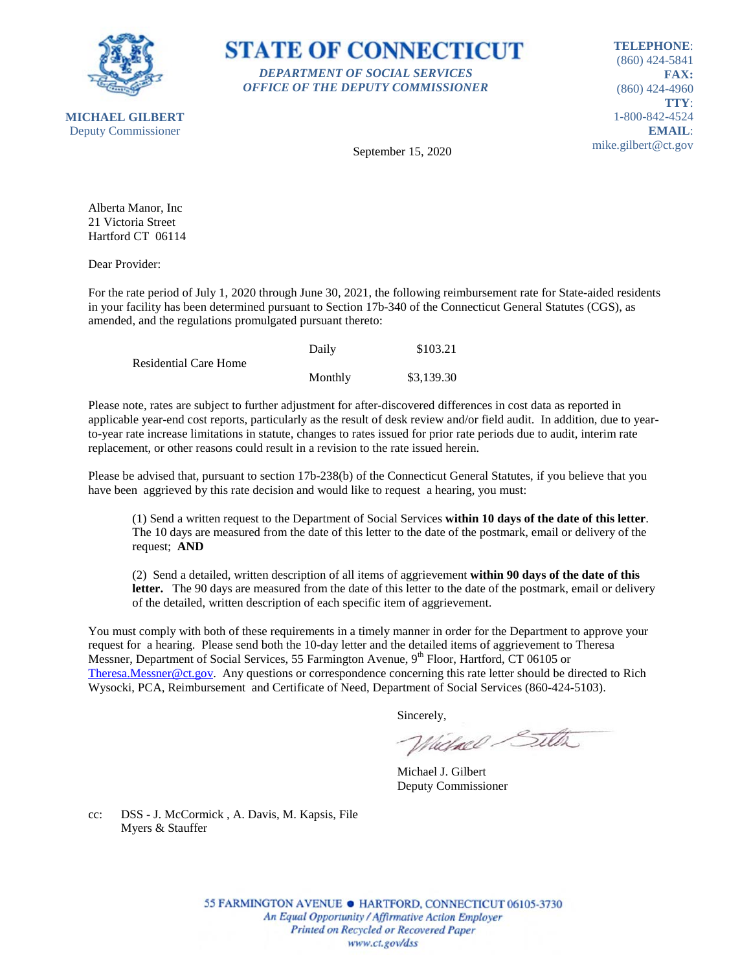



**TELEPHONE**: (860) 424-5841 **FAX:** (860) 424-4960 **TTY**: 1-800-842-4524 **EMAIL**: mike.gilbert@ct.gov

September 15, 2020

Alberta Manor, Inc 21 Victoria Street Hartford CT 06114

Dear Provider:

For the rate period of July 1, 2020 through June 30, 2021, the following reimbursement rate for State-aided residents in your facility has been determined pursuant to Section 17b-340 of the Connecticut General Statutes (CGS), as amended, and the regulations promulgated pursuant thereto:

|                              | Daily   | \$103.21   |
|------------------------------|---------|------------|
| <b>Residential Care Home</b> |         |            |
|                              | Monthly | \$3,139.30 |

Please note, rates are subject to further adjustment for after-discovered differences in cost data as reported in applicable year-end cost reports, particularly as the result of desk review and/or field audit. In addition, due to yearto-year rate increase limitations in statute, changes to rates issued for prior rate periods due to audit, interim rate replacement, or other reasons could result in a revision to the rate issued herein.

Please be advised that, pursuant to section 17b-238(b) of the Connecticut General Statutes, if you believe that you have been aggrieved by this rate decision and would like to request a hearing, you must:

(1) Send a written request to the Department of Social Services **within 10 days of the date of this letter**. The 10 days are measured from the date of this letter to the date of the postmark, email or delivery of the request; **AND**

(2) Send a detailed, written description of all items of aggrievement **within 90 days of the date of this letter.** The 90 days are measured from the date of this letter to the date of the postmark, email or delivery of the detailed, written description of each specific item of aggrievement.

You must comply with both of these requirements in a timely manner in order for the Department to approve your request for a hearing. Please send both the 10-day letter and the detailed items of aggrievement to Theresa Messner, Department of Social Services, 55 Farmington Avenue, 9<sup>th</sup> Floor, Hartford, CT 06105 or [Theresa.Messner@ct.gov.](mailto:Theresa.Messner@ct.gov) Any questions or correspondence concerning this rate letter should be directed to Rich Wysocki, PCA, Reimbursement and Certificate of Need, Department of Social Services (860-424-5103).

Sincerely,

Wielnel Silta

Michael J. Gilbert Deputy Commissioner

cc: DSS - J. McCormick , A. Davis, M. Kapsis, File Myers & Stauffer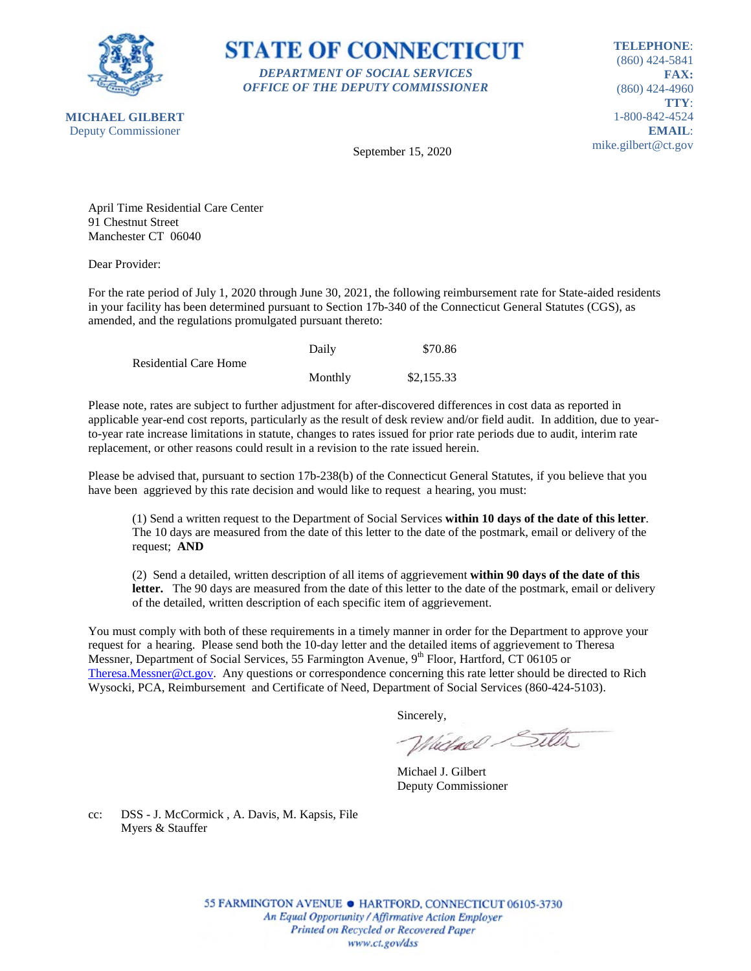

**STATE OF CONNECTICUT** *DEPARTMENT OF SOCIAL SERVICES OFFICE OF THE DEPUTY COMMISSIONER*

**TELEPHONE**: (860) 424-5841 **FAX:** (860) 424-4960 **TTY**: 1-800-842-4524 **EMAIL**: mike.gilbert@ct.gov

September 15, 2020

April Time Residential Care Center 91 Chestnut Street Manchester CT 06040

Dear Provider:

For the rate period of July 1, 2020 through June 30, 2021, the following reimbursement rate for State-aided residents in your facility has been determined pursuant to Section 17b-340 of the Connecticut General Statutes (CGS), as amended, and the regulations promulgated pursuant thereto:

|                       | Daily   | \$70.86    |
|-----------------------|---------|------------|
| Residential Care Home |         |            |
|                       | Monthly | \$2,155.33 |

Please note, rates are subject to further adjustment for after-discovered differences in cost data as reported in applicable year-end cost reports, particularly as the result of desk review and/or field audit. In addition, due to yearto-year rate increase limitations in statute, changes to rates issued for prior rate periods due to audit, interim rate replacement, or other reasons could result in a revision to the rate issued herein.

Please be advised that, pursuant to section 17b-238(b) of the Connecticut General Statutes, if you believe that you have been aggrieved by this rate decision and would like to request a hearing, you must:

(1) Send a written request to the Department of Social Services **within 10 days of the date of this letter**. The 10 days are measured from the date of this letter to the date of the postmark, email or delivery of the request; **AND**

(2) Send a detailed, written description of all items of aggrievement **within 90 days of the date of this letter.** The 90 days are measured from the date of this letter to the date of the postmark, email or delivery of the detailed, written description of each specific item of aggrievement.

You must comply with both of these requirements in a timely manner in order for the Department to approve your request for a hearing. Please send both the 10-day letter and the detailed items of aggrievement to Theresa Messner, Department of Social Services, 55 Farmington Avenue, 9<sup>th</sup> Floor, Hartford, CT 06105 or [Theresa.Messner@ct.gov.](mailto:Theresa.Messner@ct.gov) Any questions or correspondence concerning this rate letter should be directed to Rich Wysocki, PCA, Reimbursement and Certificate of Need, Department of Social Services (860-424-5103).

Sincerely,

Wielnel Silta

Michael J. Gilbert Deputy Commissioner

cc: DSS - J. McCormick , A. Davis, M. Kapsis, File Myers & Stauffer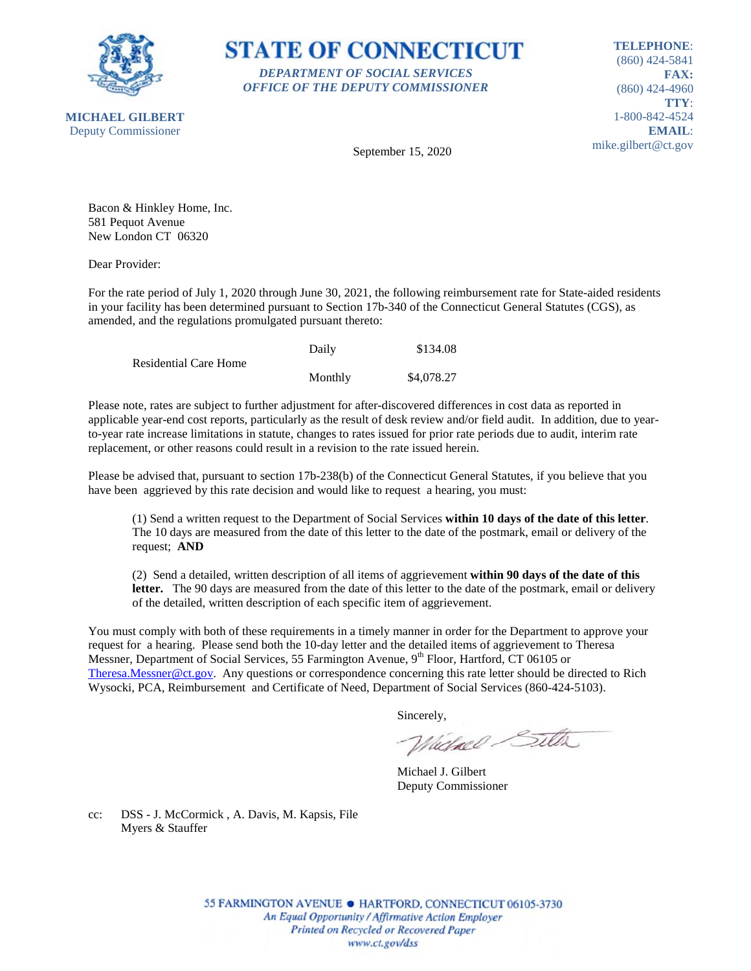

**STATE OF CONNECTICUT** *DEPARTMENT OF SOCIAL SERVICES OFFICE OF THE DEPUTY COMMISSIONER*

**TELEPHONE**: (860) 424-5841 **FAX:** (860) 424-4960 **TTY**: 1-800-842-4524 **EMAIL**: mike.gilbert@ct.gov

September 15, 2020

Bacon & Hinkley Home, Inc. 581 Pequot Avenue New London CT 06320

Dear Provider:

For the rate period of July 1, 2020 through June 30, 2021, the following reimbursement rate for State-aided residents in your facility has been determined pursuant to Section 17b-340 of the Connecticut General Statutes (CGS), as amended, and the regulations promulgated pursuant thereto:

|                              | Daily   | \$134.08   |
|------------------------------|---------|------------|
| <b>Residential Care Home</b> |         |            |
|                              | Monthly | \$4,078.27 |

Please note, rates are subject to further adjustment for after-discovered differences in cost data as reported in applicable year-end cost reports, particularly as the result of desk review and/or field audit. In addition, due to yearto-year rate increase limitations in statute, changes to rates issued for prior rate periods due to audit, interim rate replacement, or other reasons could result in a revision to the rate issued herein.

Please be advised that, pursuant to section 17b-238(b) of the Connecticut General Statutes, if you believe that you have been aggrieved by this rate decision and would like to request a hearing, you must:

(1) Send a written request to the Department of Social Services **within 10 days of the date of this letter**. The 10 days are measured from the date of this letter to the date of the postmark, email or delivery of the request; **AND**

(2) Send a detailed, written description of all items of aggrievement **within 90 days of the date of this letter.** The 90 days are measured from the date of this letter to the date of the postmark, email or delivery of the detailed, written description of each specific item of aggrievement.

You must comply with both of these requirements in a timely manner in order for the Department to approve your request for a hearing. Please send both the 10-day letter and the detailed items of aggrievement to Theresa Messner, Department of Social Services, 55 Farmington Avenue, 9<sup>th</sup> Floor, Hartford, CT 06105 or [Theresa.Messner@ct.gov.](mailto:Theresa.Messner@ct.gov) Any questions or correspondence concerning this rate letter should be directed to Rich Wysocki, PCA, Reimbursement and Certificate of Need, Department of Social Services (860-424-5103).

Sincerely,

Wielnel Silta

Michael J. Gilbert Deputy Commissioner

cc: DSS - J. McCormick , A. Davis, M. Kapsis, File Myers & Stauffer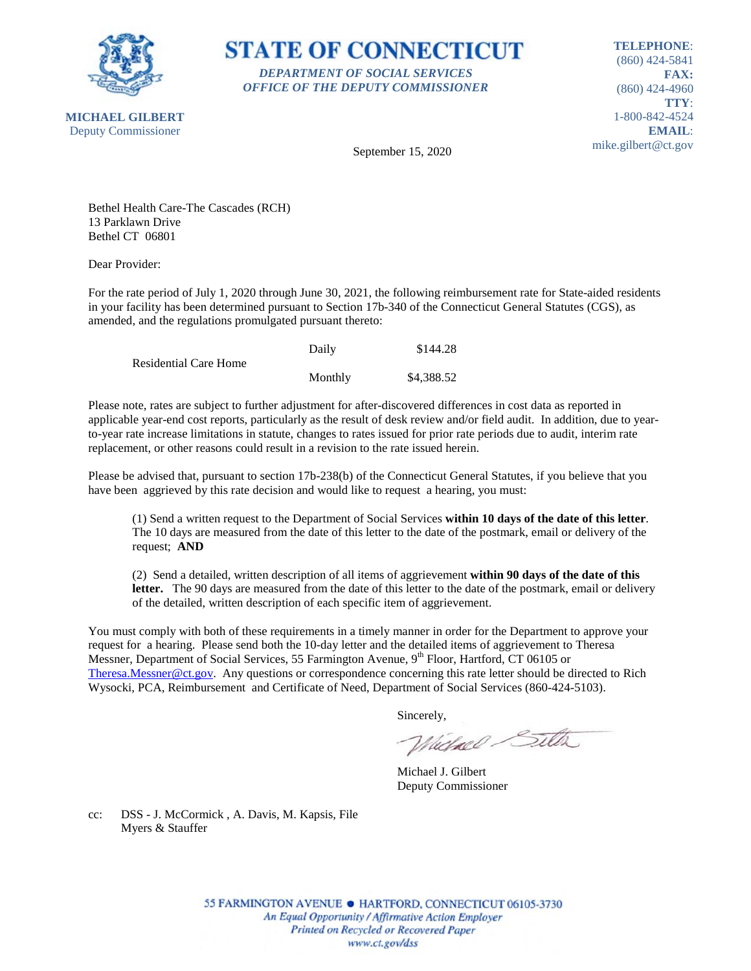

**STATE OF CONNECTICUT** *DEPARTMENT OF SOCIAL SERVICES OFFICE OF THE DEPUTY COMMISSIONER*

**TELEPHONE**: (860) 424-5841 **FAX:** (860) 424-4960 **TTY**: 1-800-842-4524 **EMAIL**: mike.gilbert@ct.gov

September 15, 2020

Bethel Health Care-The Cascades (RCH) 13 Parklawn Drive Bethel CT 06801

Dear Provider:

For the rate period of July 1, 2020 through June 30, 2021, the following reimbursement rate for State-aided residents in your facility has been determined pursuant to Section 17b-340 of the Connecticut General Statutes (CGS), as amended, and the regulations promulgated pursuant thereto:

|                              | Daily   | \$144.28   |
|------------------------------|---------|------------|
| <b>Residential Care Home</b> |         |            |
|                              | Monthly | \$4,388.52 |

Please note, rates are subject to further adjustment for after-discovered differences in cost data as reported in applicable year-end cost reports, particularly as the result of desk review and/or field audit. In addition, due to yearto-year rate increase limitations in statute, changes to rates issued for prior rate periods due to audit, interim rate replacement, or other reasons could result in a revision to the rate issued herein.

Please be advised that, pursuant to section 17b-238(b) of the Connecticut General Statutes, if you believe that you have been aggrieved by this rate decision and would like to request a hearing, you must:

(1) Send a written request to the Department of Social Services **within 10 days of the date of this letter**. The 10 days are measured from the date of this letter to the date of the postmark, email or delivery of the request; **AND**

(2) Send a detailed, written description of all items of aggrievement **within 90 days of the date of this letter.** The 90 days are measured from the date of this letter to the date of the postmark, email or delivery of the detailed, written description of each specific item of aggrievement.

You must comply with both of these requirements in a timely manner in order for the Department to approve your request for a hearing. Please send both the 10-day letter and the detailed items of aggrievement to Theresa Messner, Department of Social Services, 55 Farmington Avenue, 9<sup>th</sup> Floor, Hartford, CT 06105 or [Theresa.Messner@ct.gov.](mailto:Theresa.Messner@ct.gov) Any questions or correspondence concerning this rate letter should be directed to Rich Wysocki, PCA, Reimbursement and Certificate of Need, Department of Social Services (860-424-5103).

Sincerely,

Wielnel Silta

Michael J. Gilbert Deputy Commissioner

cc: DSS - J. McCormick , A. Davis, M. Kapsis, File Myers & Stauffer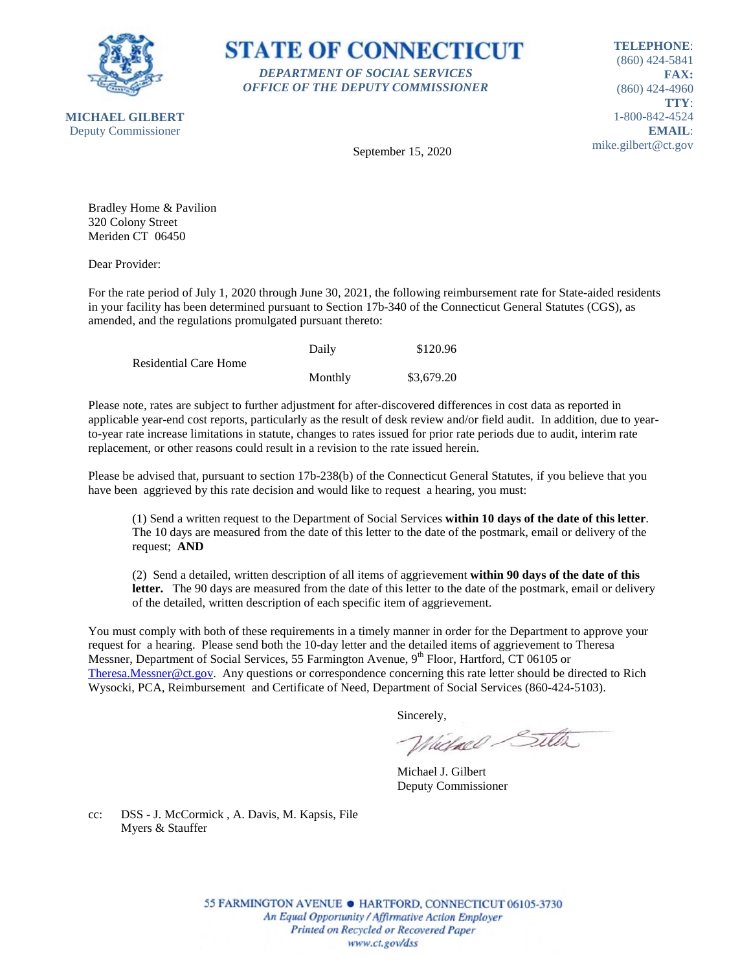



**TELEPHONE**: (860) 424-5841 **FAX:** (860) 424-4960 **TTY**: 1-800-842-4524 **EMAIL**: mike.gilbert@ct.gov

September 15, 2020

Bradley Home & Pavilion 320 Colony Street Meriden CT 06450

Dear Provider:

For the rate period of July 1, 2020 through June 30, 2021, the following reimbursement rate for State-aided residents in your facility has been determined pursuant to Section 17b-340 of the Connecticut General Statutes (CGS), as amended, and the regulations promulgated pursuant thereto:

|                              | Daily   | \$120.96   |
|------------------------------|---------|------------|
| <b>Residential Care Home</b> |         |            |
|                              | Monthly | \$3,679.20 |

Please note, rates are subject to further adjustment for after-discovered differences in cost data as reported in applicable year-end cost reports, particularly as the result of desk review and/or field audit. In addition, due to yearto-year rate increase limitations in statute, changes to rates issued for prior rate periods due to audit, interim rate replacement, or other reasons could result in a revision to the rate issued herein.

Please be advised that, pursuant to section 17b-238(b) of the Connecticut General Statutes, if you believe that you have been aggrieved by this rate decision and would like to request a hearing, you must:

(1) Send a written request to the Department of Social Services **within 10 days of the date of this letter**. The 10 days are measured from the date of this letter to the date of the postmark, email or delivery of the request; **AND**

(2) Send a detailed, written description of all items of aggrievement **within 90 days of the date of this letter.** The 90 days are measured from the date of this letter to the date of the postmark, email or delivery of the detailed, written description of each specific item of aggrievement.

You must comply with both of these requirements in a timely manner in order for the Department to approve your request for a hearing. Please send both the 10-day letter and the detailed items of aggrievement to Theresa Messner, Department of Social Services, 55 Farmington Avenue, 9<sup>th</sup> Floor, Hartford, CT 06105 or [Theresa.Messner@ct.gov.](mailto:Theresa.Messner@ct.gov) Any questions or correspondence concerning this rate letter should be directed to Rich Wysocki, PCA, Reimbursement and Certificate of Need, Department of Social Services (860-424-5103).

Sincerely,

Wielnel Silta

Michael J. Gilbert Deputy Commissioner

cc: DSS - J. McCormick , A. Davis, M. Kapsis, File Myers & Stauffer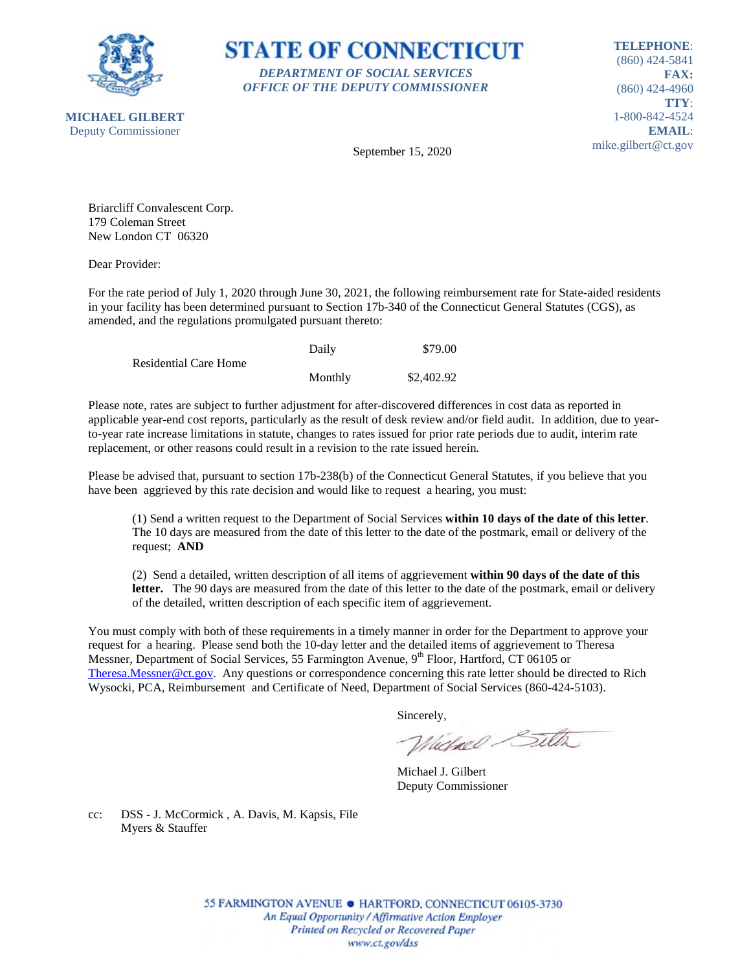

**STATE OF CONNECTICUT** *DEPARTMENT OF SOCIAL SERVICES OFFICE OF THE DEPUTY COMMISSIONER*

**TELEPHONE**: (860) 424-5841 **FAX:** (860) 424-4960 **TTY**: 1-800-842-4524 **EMAIL**: mike.gilbert@ct.gov

September 15, 2020

Briarcliff Convalescent Corp. 179 Coleman Street New London CT 06320

Dear Provider:

For the rate period of July 1, 2020 through June 30, 2021, the following reimbursement rate for State-aided residents in your facility has been determined pursuant to Section 17b-340 of the Connecticut General Statutes (CGS), as amended, and the regulations promulgated pursuant thereto:

|                              | Daily   | \$79.00    |
|------------------------------|---------|------------|
| <b>Residential Care Home</b> |         |            |
|                              | Monthly | \$2,402.92 |

Please note, rates are subject to further adjustment for after-discovered differences in cost data as reported in applicable year-end cost reports, particularly as the result of desk review and/or field audit. In addition, due to yearto-year rate increase limitations in statute, changes to rates issued for prior rate periods due to audit, interim rate replacement, or other reasons could result in a revision to the rate issued herein.

Please be advised that, pursuant to section 17b-238(b) of the Connecticut General Statutes, if you believe that you have been aggrieved by this rate decision and would like to request a hearing, you must:

(1) Send a written request to the Department of Social Services **within 10 days of the date of this letter**. The 10 days are measured from the date of this letter to the date of the postmark, email or delivery of the request; **AND**

(2) Send a detailed, written description of all items of aggrievement **within 90 days of the date of this letter.** The 90 days are measured from the date of this letter to the date of the postmark, email or delivery of the detailed, written description of each specific item of aggrievement.

You must comply with both of these requirements in a timely manner in order for the Department to approve your request for a hearing. Please send both the 10-day letter and the detailed items of aggrievement to Theresa Messner, Department of Social Services, 55 Farmington Avenue, 9<sup>th</sup> Floor, Hartford, CT 06105 or [Theresa.Messner@ct.gov.](mailto:Theresa.Messner@ct.gov) Any questions or correspondence concerning this rate letter should be directed to Rich Wysocki, PCA, Reimbursement and Certificate of Need, Department of Social Services (860-424-5103).

Sincerely,

Wielnel Silta

Michael J. Gilbert Deputy Commissioner

cc: DSS - J. McCormick , A. Davis, M. Kapsis, File Myers & Stauffer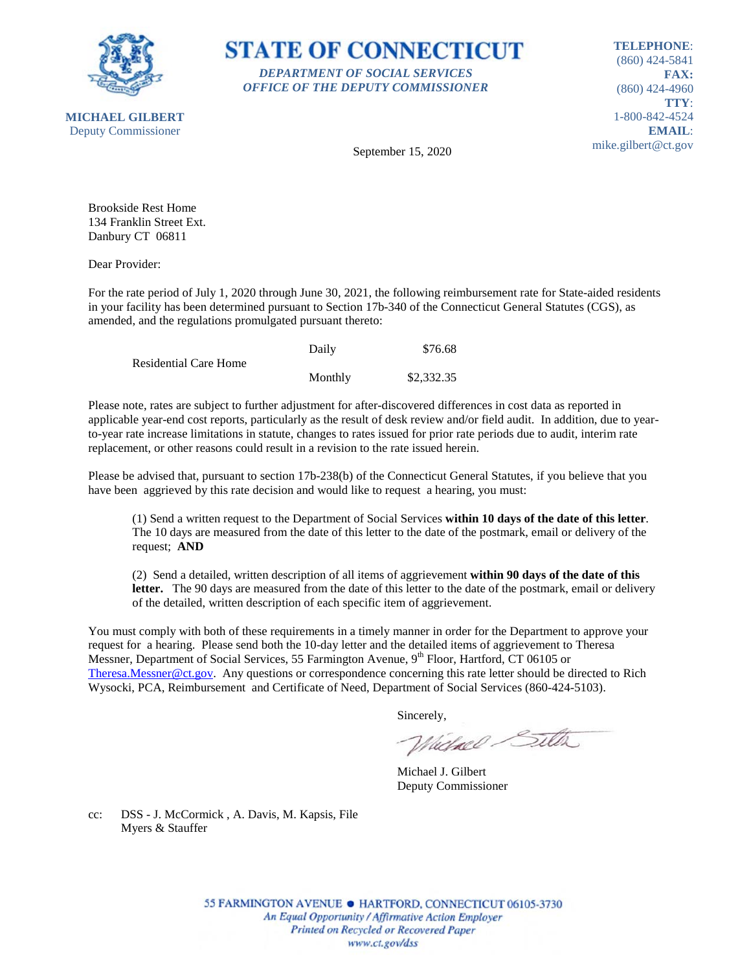



**TELEPHONE**: (860) 424-5841 **FAX:** (860) 424-4960 **TTY**: 1-800-842-4524 **EMAIL**: mike.gilbert@ct.gov

September 15, 2020

Brookside Rest Home 134 Franklin Street Ext. Danbury CT 06811

Dear Provider:

For the rate period of July 1, 2020 through June 30, 2021, the following reimbursement rate for State-aided residents in your facility has been determined pursuant to Section 17b-340 of the Connecticut General Statutes (CGS), as amended, and the regulations promulgated pursuant thereto:

|                              | Daily   | \$76.68    |
|------------------------------|---------|------------|
| <b>Residential Care Home</b> |         |            |
|                              | Monthly | \$2,332.35 |

Please note, rates are subject to further adjustment for after-discovered differences in cost data as reported in applicable year-end cost reports, particularly as the result of desk review and/or field audit. In addition, due to yearto-year rate increase limitations in statute, changes to rates issued for prior rate periods due to audit, interim rate replacement, or other reasons could result in a revision to the rate issued herein.

Please be advised that, pursuant to section 17b-238(b) of the Connecticut General Statutes, if you believe that you have been aggrieved by this rate decision and would like to request a hearing, you must:

(1) Send a written request to the Department of Social Services **within 10 days of the date of this letter**. The 10 days are measured from the date of this letter to the date of the postmark, email or delivery of the request; **AND**

(2) Send a detailed, written description of all items of aggrievement **within 90 days of the date of this letter.** The 90 days are measured from the date of this letter to the date of the postmark, email or delivery of the detailed, written description of each specific item of aggrievement.

You must comply with both of these requirements in a timely manner in order for the Department to approve your request for a hearing. Please send both the 10-day letter and the detailed items of aggrievement to Theresa Messner, Department of Social Services, 55 Farmington Avenue, 9<sup>th</sup> Floor, Hartford, CT 06105 or [Theresa.Messner@ct.gov.](mailto:Theresa.Messner@ct.gov) Any questions or correspondence concerning this rate letter should be directed to Rich Wysocki, PCA, Reimbursement and Certificate of Need, Department of Social Services (860-424-5103).

Sincerely,

Wielnel Silta

Michael J. Gilbert Deputy Commissioner

cc: DSS - J. McCormick , A. Davis, M. Kapsis, File Myers & Stauffer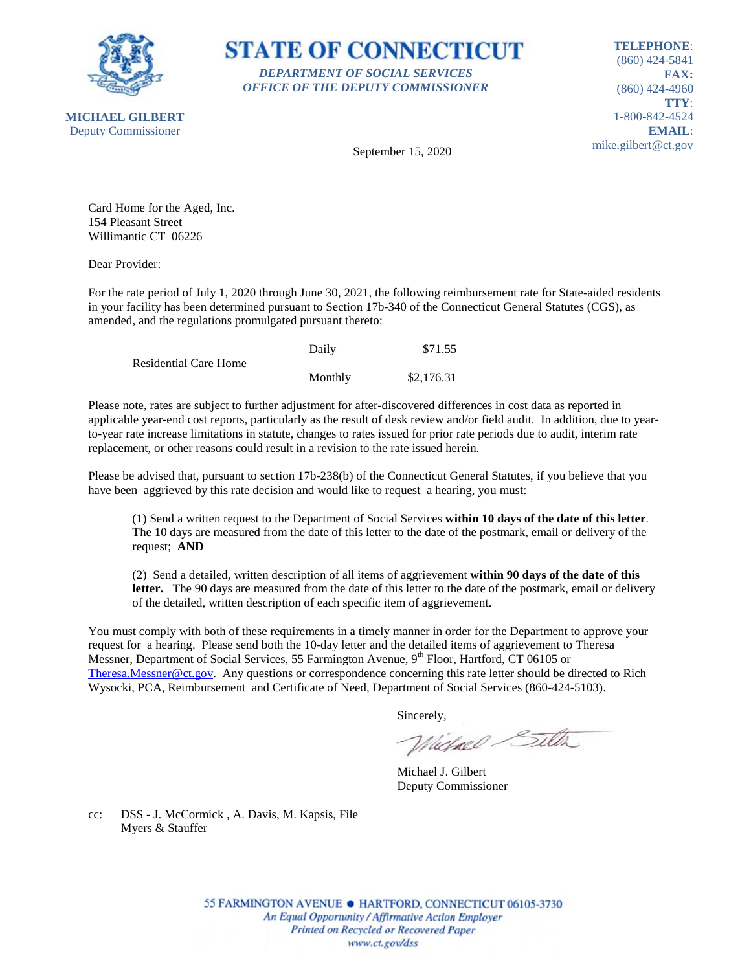

**STATE OF CONNECTICUT** *DEPARTMENT OF SOCIAL SERVICES OFFICE OF THE DEPUTY COMMISSIONER*

**TELEPHONE**: (860) 424-5841 **FAX:** (860) 424-4960 **TTY**: 1-800-842-4524 **EMAIL**: mike.gilbert@ct.gov

September 15, 2020

Card Home for the Aged, Inc. 154 Pleasant Street Willimantic CT 06226

Dear Provider:

For the rate period of July 1, 2020 through June 30, 2021, the following reimbursement rate for State-aided residents in your facility has been determined pursuant to Section 17b-340 of the Connecticut General Statutes (CGS), as amended, and the regulations promulgated pursuant thereto:

|                       | Daily   | \$71.55    |
|-----------------------|---------|------------|
| Residential Care Home |         |            |
|                       | Monthly | \$2,176.31 |

Please note, rates are subject to further adjustment for after-discovered differences in cost data as reported in applicable year-end cost reports, particularly as the result of desk review and/or field audit. In addition, due to yearto-year rate increase limitations in statute, changes to rates issued for prior rate periods due to audit, interim rate replacement, or other reasons could result in a revision to the rate issued herein.

Please be advised that, pursuant to section 17b-238(b) of the Connecticut General Statutes, if you believe that you have been aggrieved by this rate decision and would like to request a hearing, you must:

(1) Send a written request to the Department of Social Services **within 10 days of the date of this letter**. The 10 days are measured from the date of this letter to the date of the postmark, email or delivery of the request; **AND**

(2) Send a detailed, written description of all items of aggrievement **within 90 days of the date of this letter.** The 90 days are measured from the date of this letter to the date of the postmark, email or delivery of the detailed, written description of each specific item of aggrievement.

You must comply with both of these requirements in a timely manner in order for the Department to approve your request for a hearing. Please send both the 10-day letter and the detailed items of aggrievement to Theresa Messner, Department of Social Services, 55 Farmington Avenue, 9<sup>th</sup> Floor, Hartford, CT 06105 or [Theresa.Messner@ct.gov.](mailto:Theresa.Messner@ct.gov) Any questions or correspondence concerning this rate letter should be directed to Rich Wysocki, PCA, Reimbursement and Certificate of Need, Department of Social Services (860-424-5103).

Sincerely,

Wielnel Silta

Michael J. Gilbert Deputy Commissioner

cc: DSS - J. McCormick , A. Davis, M. Kapsis, File Myers & Stauffer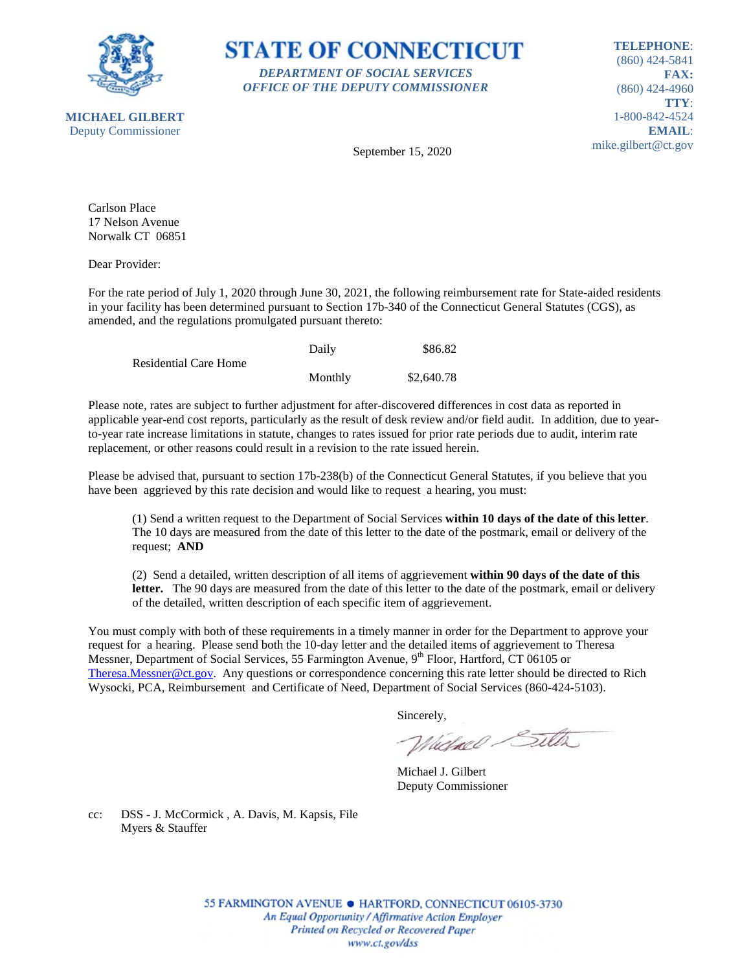

**STATE OF CONNECTICUT** *DEPARTMENT OF SOCIAL SERVICES OFFICE OF THE DEPUTY COMMISSIONER*

**TELEPHONE**: (860) 424-5841 **FAX:** (860) 424-4960 **TTY**: 1-800-842-4524 **EMAIL**: mike.gilbert@ct.gov

September 15, 2020

Carlson Place 17 Nelson Avenue Norwalk CT 06851

Dear Provider:

For the rate period of July 1, 2020 through June 30, 2021, the following reimbursement rate for State-aided residents in your facility has been determined pursuant to Section 17b-340 of the Connecticut General Statutes (CGS), as amended, and the regulations promulgated pursuant thereto:

|                              | Daily   | \$86.82    |
|------------------------------|---------|------------|
| <b>Residential Care Home</b> |         |            |
|                              | Monthly | \$2,640.78 |

Please note, rates are subject to further adjustment for after-discovered differences in cost data as reported in applicable year-end cost reports, particularly as the result of desk review and/or field audit. In addition, due to yearto-year rate increase limitations in statute, changes to rates issued for prior rate periods due to audit, interim rate replacement, or other reasons could result in a revision to the rate issued herein.

Please be advised that, pursuant to section 17b-238(b) of the Connecticut General Statutes, if you believe that you have been aggrieved by this rate decision and would like to request a hearing, you must:

(1) Send a written request to the Department of Social Services **within 10 days of the date of this letter**. The 10 days are measured from the date of this letter to the date of the postmark, email or delivery of the request; **AND**

(2) Send a detailed, written description of all items of aggrievement **within 90 days of the date of this letter.** The 90 days are measured from the date of this letter to the date of the postmark, email or delivery of the detailed, written description of each specific item of aggrievement.

You must comply with both of these requirements in a timely manner in order for the Department to approve your request for a hearing. Please send both the 10-day letter and the detailed items of aggrievement to Theresa Messner, Department of Social Services, 55 Farmington Avenue, 9<sup>th</sup> Floor, Hartford, CT 06105 or [Theresa.Messner@ct.gov.](mailto:Theresa.Messner@ct.gov) Any questions or correspondence concerning this rate letter should be directed to Rich Wysocki, PCA, Reimbursement and Certificate of Need, Department of Social Services (860-424-5103).

Sincerely,

Wielnel Silta

Michael J. Gilbert Deputy Commissioner

cc: DSS - J. McCormick , A. Davis, M. Kapsis, File Myers & Stauffer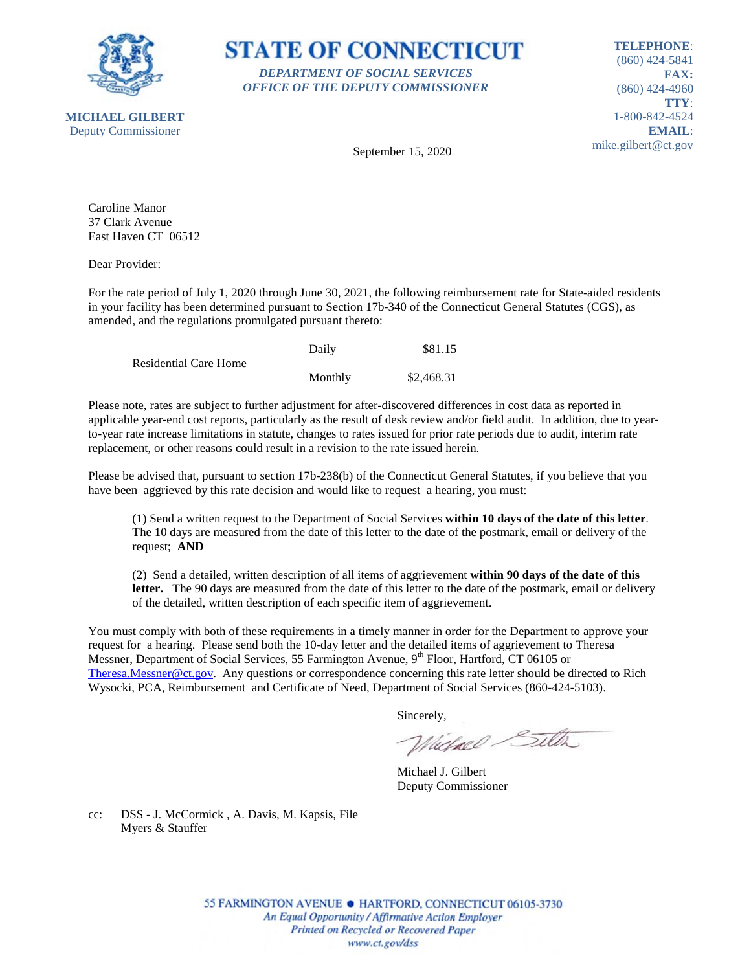



**TELEPHONE**: (860) 424-5841 **FAX:** (860) 424-4960 **TTY**: 1-800-842-4524 **EMAIL**: mike.gilbert@ct.gov

**MICHAEL GILBERT** Deputy Commissioner

September 15, 2020

Caroline Manor 37 Clark Avenue East Haven CT 06512

Dear Provider:

For the rate period of July 1, 2020 through June 30, 2021, the following reimbursement rate for State-aided residents in your facility has been determined pursuant to Section 17b-340 of the Connecticut General Statutes (CGS), as amended, and the regulations promulgated pursuant thereto:

|                              | Daily   | \$81.15    |
|------------------------------|---------|------------|
| <b>Residential Care Home</b> |         |            |
|                              | Monthly | \$2,468.31 |

Please note, rates are subject to further adjustment for after-discovered differences in cost data as reported in applicable year-end cost reports, particularly as the result of desk review and/or field audit. In addition, due to yearto-year rate increase limitations in statute, changes to rates issued for prior rate periods due to audit, interim rate replacement, or other reasons could result in a revision to the rate issued herein.

Please be advised that, pursuant to section 17b-238(b) of the Connecticut General Statutes, if you believe that you have been aggrieved by this rate decision and would like to request a hearing, you must:

(1) Send a written request to the Department of Social Services **within 10 days of the date of this letter**. The 10 days are measured from the date of this letter to the date of the postmark, email or delivery of the request; **AND**

(2) Send a detailed, written description of all items of aggrievement **within 90 days of the date of this letter.** The 90 days are measured from the date of this letter to the date of the postmark, email or delivery of the detailed, written description of each specific item of aggrievement.

You must comply with both of these requirements in a timely manner in order for the Department to approve your request for a hearing. Please send both the 10-day letter and the detailed items of aggrievement to Theresa Messner, Department of Social Services, 55 Farmington Avenue, 9<sup>th</sup> Floor, Hartford, CT 06105 or [Theresa.Messner@ct.gov.](mailto:Theresa.Messner@ct.gov) Any questions or correspondence concerning this rate letter should be directed to Rich Wysocki, PCA, Reimbursement and Certificate of Need, Department of Social Services (860-424-5103).

Sincerely,

Wielnel Silta

Michael J. Gilbert Deputy Commissioner

cc: DSS - J. McCormick , A. Davis, M. Kapsis, File Myers & Stauffer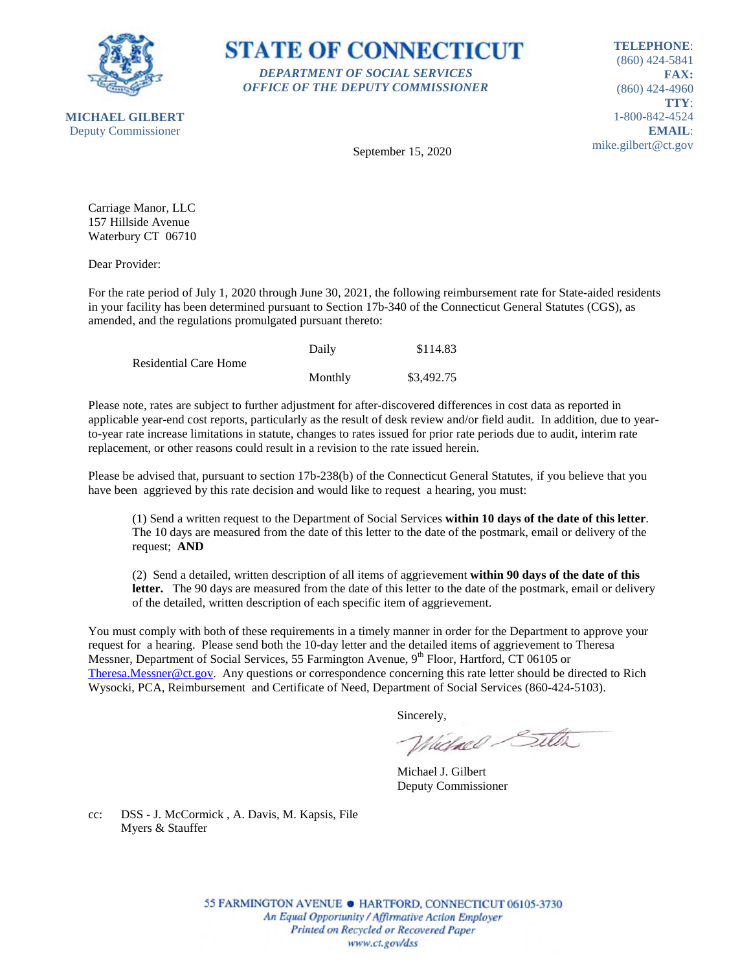



**TELEPHONE**: (860) 424-5841 **FAX:** (860) 424-4960 **TTY**: 1-800-842-4524 **EMAIL**: mike.gilbert@ct.gov

September 15, 2020

Carriage Manor, LLC 157 Hillside Avenue Waterbury CT 06710

Dear Provider:

For the rate period of July 1, 2020 through June 30, 2021, the following reimbursement rate for State-aided residents in your facility has been determined pursuant to Section 17b-340 of the Connecticut General Statutes (CGS), as amended, and the regulations promulgated pursuant thereto:

|                              | Daily   | \$114.83   |
|------------------------------|---------|------------|
| <b>Residential Care Home</b> |         |            |
|                              | Monthly | \$3,492.75 |

Please note, rates are subject to further adjustment for after-discovered differences in cost data as reported in applicable year-end cost reports, particularly as the result of desk review and/or field audit. In addition, due to yearto-year rate increase limitations in statute, changes to rates issued for prior rate periods due to audit, interim rate replacement, or other reasons could result in a revision to the rate issued herein.

Please be advised that, pursuant to section 17b-238(b) of the Connecticut General Statutes, if you believe that you have been aggrieved by this rate decision and would like to request a hearing, you must:

(1) Send a written request to the Department of Social Services **within 10 days of the date of this letter**. The 10 days are measured from the date of this letter to the date of the postmark, email or delivery of the request; **AND**

(2) Send a detailed, written description of all items of aggrievement **within 90 days of the date of this letter.** The 90 days are measured from the date of this letter to the date of the postmark, email or delivery of the detailed, written description of each specific item of aggrievement.

You must comply with both of these requirements in a timely manner in order for the Department to approve your request for a hearing. Please send both the 10-day letter and the detailed items of aggrievement to Theresa Messner, Department of Social Services, 55 Farmington Avenue, 9<sup>th</sup> Floor, Hartford, CT 06105 or [Theresa.Messner@ct.gov.](mailto:Theresa.Messner@ct.gov) Any questions or correspondence concerning this rate letter should be directed to Rich Wysocki, PCA, Reimbursement and Certificate of Need, Department of Social Services (860-424-5103).

Sincerely,

Wielnel Silta

Michael J. Gilbert Deputy Commissioner

cc: DSS - J. McCormick , A. Davis, M. Kapsis, File Myers & Stauffer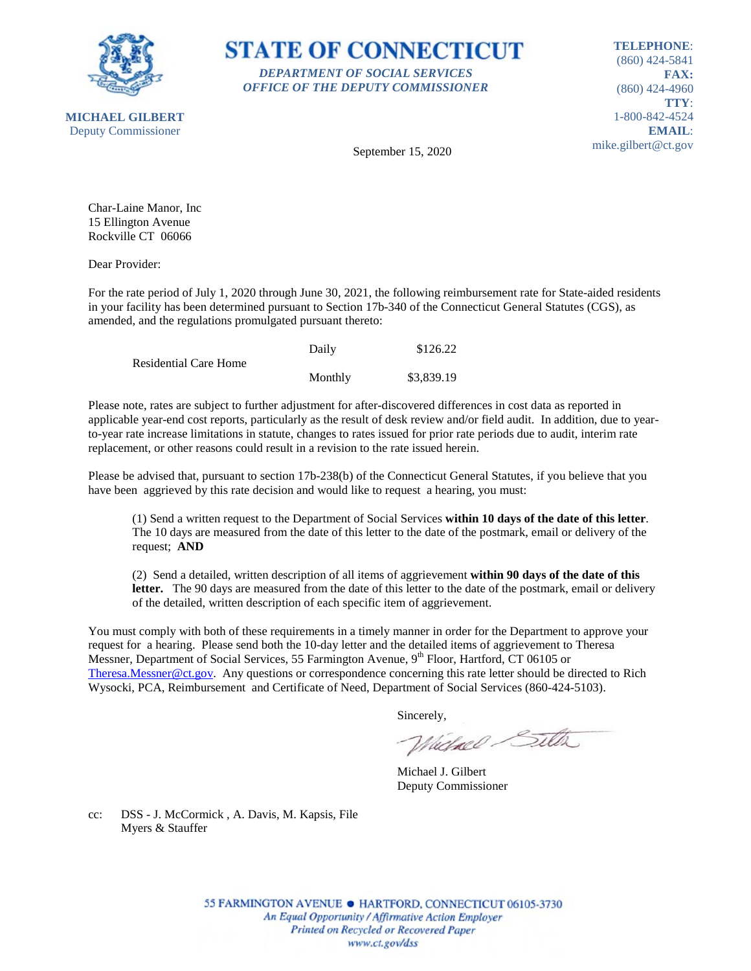



**TELEPHONE**: (860) 424-5841 **FAX:** (860) 424-4960 **TTY**: 1-800-842-4524 **EMAIL**: mike.gilbert@ct.gov

September 15, 2020

Char-Laine Manor, Inc 15 Ellington Avenue Rockville CT 06066

Dear Provider:

For the rate period of July 1, 2020 through June 30, 2021, the following reimbursement rate for State-aided residents in your facility has been determined pursuant to Section 17b-340 of the Connecticut General Statutes (CGS), as amended, and the regulations promulgated pursuant thereto:

|                              | Daily   | \$126.22   |
|------------------------------|---------|------------|
| <b>Residential Care Home</b> |         |            |
|                              | Monthly | \$3,839.19 |

Please note, rates are subject to further adjustment for after-discovered differences in cost data as reported in applicable year-end cost reports, particularly as the result of desk review and/or field audit. In addition, due to yearto-year rate increase limitations in statute, changes to rates issued for prior rate periods due to audit, interim rate replacement, or other reasons could result in a revision to the rate issued herein.

Please be advised that, pursuant to section 17b-238(b) of the Connecticut General Statutes, if you believe that you have been aggrieved by this rate decision and would like to request a hearing, you must:

(1) Send a written request to the Department of Social Services **within 10 days of the date of this letter**. The 10 days are measured from the date of this letter to the date of the postmark, email or delivery of the request; **AND**

(2) Send a detailed, written description of all items of aggrievement **within 90 days of the date of this letter.** The 90 days are measured from the date of this letter to the date of the postmark, email or delivery of the detailed, written description of each specific item of aggrievement.

You must comply with both of these requirements in a timely manner in order for the Department to approve your request for a hearing. Please send both the 10-day letter and the detailed items of aggrievement to Theresa Messner, Department of Social Services, 55 Farmington Avenue, 9<sup>th</sup> Floor, Hartford, CT 06105 or [Theresa.Messner@ct.gov.](mailto:Theresa.Messner@ct.gov) Any questions or correspondence concerning this rate letter should be directed to Rich Wysocki, PCA, Reimbursement and Certificate of Need, Department of Social Services (860-424-5103).

Sincerely,

Wielnel Silta

Michael J. Gilbert Deputy Commissioner

cc: DSS - J. McCormick , A. Davis, M. Kapsis, File Myers & Stauffer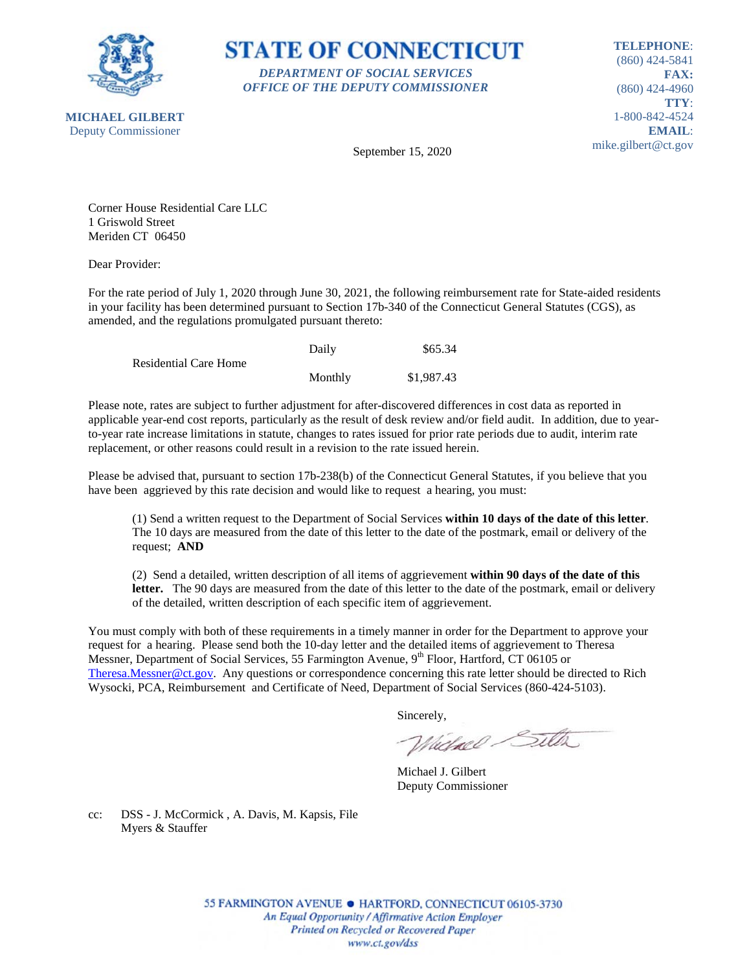

**STATE OF CONNECTICUT** *DEPARTMENT OF SOCIAL SERVICES OFFICE OF THE DEPUTY COMMISSIONER*

**TELEPHONE**: (860) 424-5841 **FAX:** (860) 424-4960 **TTY**: 1-800-842-4524 **EMAIL**: mike.gilbert@ct.gov

September 15, 2020

Corner House Residential Care LLC 1 Griswold Street Meriden CT 06450

Dear Provider:

For the rate period of July 1, 2020 through June 30, 2021, the following reimbursement rate for State-aided residents in your facility has been determined pursuant to Section 17b-340 of the Connecticut General Statutes (CGS), as amended, and the regulations promulgated pursuant thereto:

|                              | Daily   | \$65.34    |
|------------------------------|---------|------------|
| <b>Residential Care Home</b> |         |            |
|                              | Monthly | \$1,987.43 |

Please note, rates are subject to further adjustment for after-discovered differences in cost data as reported in applicable year-end cost reports, particularly as the result of desk review and/or field audit. In addition, due to yearto-year rate increase limitations in statute, changes to rates issued for prior rate periods due to audit, interim rate replacement, or other reasons could result in a revision to the rate issued herein.

Please be advised that, pursuant to section 17b-238(b) of the Connecticut General Statutes, if you believe that you have been aggrieved by this rate decision and would like to request a hearing, you must:

(1) Send a written request to the Department of Social Services **within 10 days of the date of this letter**. The 10 days are measured from the date of this letter to the date of the postmark, email or delivery of the request; **AND**

(2) Send a detailed, written description of all items of aggrievement **within 90 days of the date of this letter.** The 90 days are measured from the date of this letter to the date of the postmark, email or delivery of the detailed, written description of each specific item of aggrievement.

You must comply with both of these requirements in a timely manner in order for the Department to approve your request for a hearing. Please send both the 10-day letter and the detailed items of aggrievement to Theresa Messner, Department of Social Services, 55 Farmington Avenue, 9<sup>th</sup> Floor, Hartford, CT 06105 or [Theresa.Messner@ct.gov.](mailto:Theresa.Messner@ct.gov) Any questions or correspondence concerning this rate letter should be directed to Rich Wysocki, PCA, Reimbursement and Certificate of Need, Department of Social Services (860-424-5103).

Sincerely,

Wielnel Silta

Michael J. Gilbert Deputy Commissioner

cc: DSS - J. McCormick , A. Davis, M. Kapsis, File Myers & Stauffer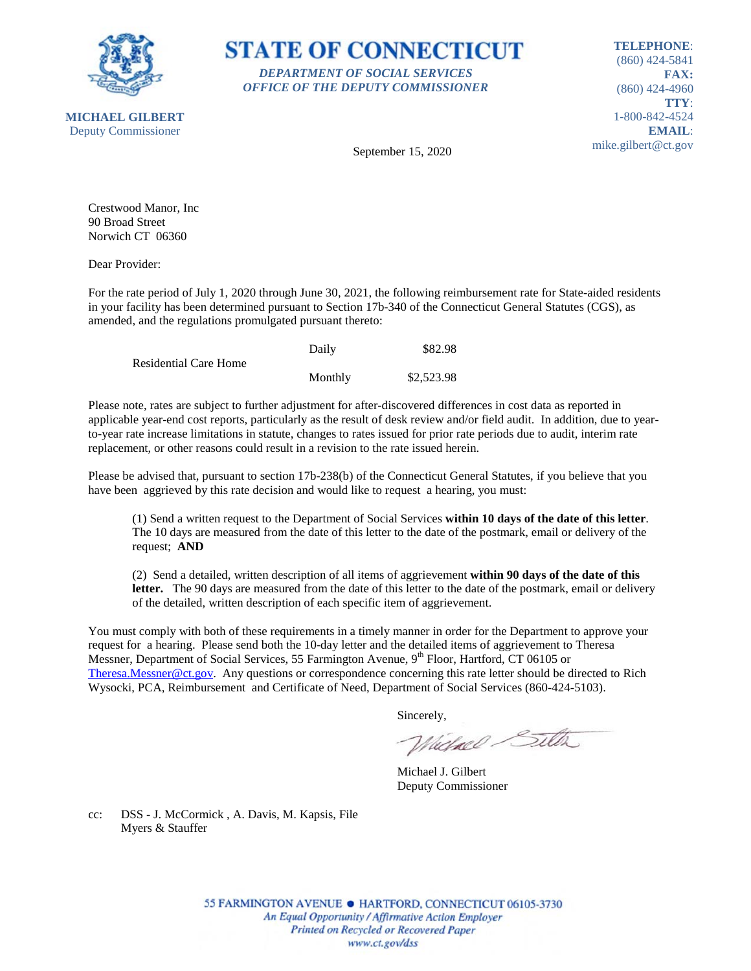



**TELEPHONE**: (860) 424-5841 **FAX:** (860) 424-4960 **TTY**: 1-800-842-4524 **EMAIL**: mike.gilbert@ct.gov

September 15, 2020

Crestwood Manor, Inc 90 Broad Street Norwich CT 06360

Dear Provider:

For the rate period of July 1, 2020 through June 30, 2021, the following reimbursement rate for State-aided residents in your facility has been determined pursuant to Section 17b-340 of the Connecticut General Statutes (CGS), as amended, and the regulations promulgated pursuant thereto:

|                              | Daily   | \$82.98    |
|------------------------------|---------|------------|
| <b>Residential Care Home</b> |         |            |
|                              | Monthly | \$2,523.98 |

Please note, rates are subject to further adjustment for after-discovered differences in cost data as reported in applicable year-end cost reports, particularly as the result of desk review and/or field audit. In addition, due to yearto-year rate increase limitations in statute, changes to rates issued for prior rate periods due to audit, interim rate replacement, or other reasons could result in a revision to the rate issued herein.

Please be advised that, pursuant to section 17b-238(b) of the Connecticut General Statutes, if you believe that you have been aggrieved by this rate decision and would like to request a hearing, you must:

(1) Send a written request to the Department of Social Services **within 10 days of the date of this letter**. The 10 days are measured from the date of this letter to the date of the postmark, email or delivery of the request; **AND**

(2) Send a detailed, written description of all items of aggrievement **within 90 days of the date of this letter.** The 90 days are measured from the date of this letter to the date of the postmark, email or delivery of the detailed, written description of each specific item of aggrievement.

You must comply with both of these requirements in a timely manner in order for the Department to approve your request for a hearing. Please send both the 10-day letter and the detailed items of aggrievement to Theresa Messner, Department of Social Services, 55 Farmington Avenue, 9<sup>th</sup> Floor, Hartford, CT 06105 or [Theresa.Messner@ct.gov.](mailto:Theresa.Messner@ct.gov) Any questions or correspondence concerning this rate letter should be directed to Rich Wysocki, PCA, Reimbursement and Certificate of Need, Department of Social Services (860-424-5103).

Sincerely,

Wielnel Silta

Michael J. Gilbert Deputy Commissioner

cc: DSS - J. McCormick , A. Davis, M. Kapsis, File Myers & Stauffer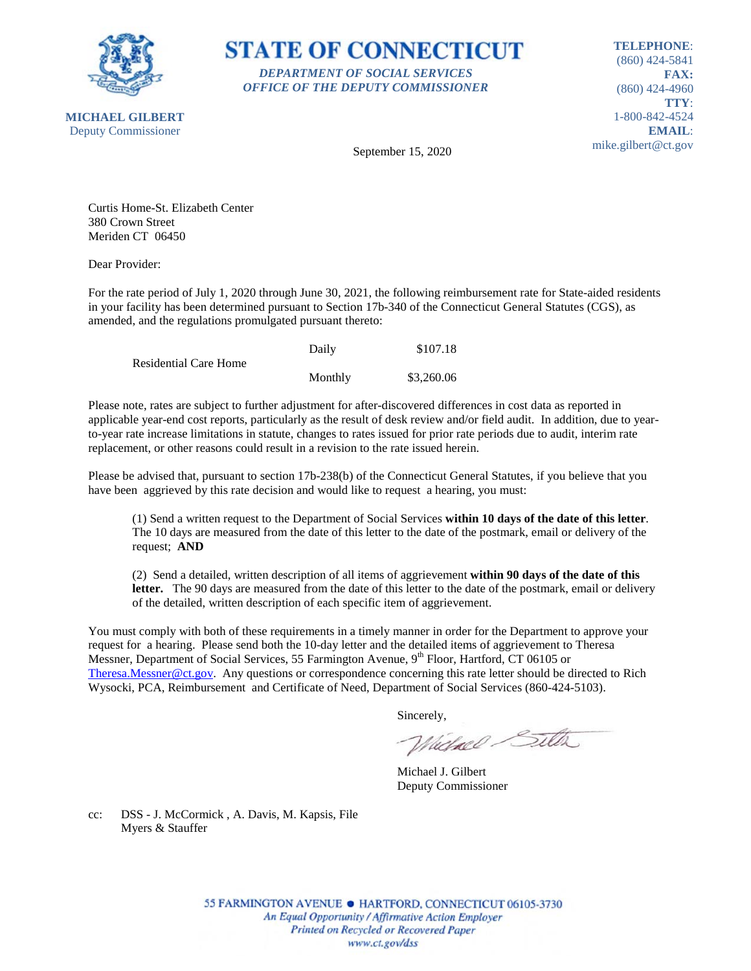

**STATE OF CONNECTICUT** *DEPARTMENT OF SOCIAL SERVICES OFFICE OF THE DEPUTY COMMISSIONER*

**TELEPHONE**: (860) 424-5841 **FAX:** (860) 424-4960 **TTY**: 1-800-842-4524 **EMAIL**: mike.gilbert@ct.gov

September 15, 2020

Curtis Home-St. Elizabeth Center 380 Crown Street Meriden CT 06450

Dear Provider:

For the rate period of July 1, 2020 through June 30, 2021, the following reimbursement rate for State-aided residents in your facility has been determined pursuant to Section 17b-340 of the Connecticut General Statutes (CGS), as amended, and the regulations promulgated pursuant thereto:

|                              | Daily   | \$107.18   |
|------------------------------|---------|------------|
| <b>Residential Care Home</b> |         |            |
|                              | Monthly | \$3,260.06 |

Please note, rates are subject to further adjustment for after-discovered differences in cost data as reported in applicable year-end cost reports, particularly as the result of desk review and/or field audit. In addition, due to yearto-year rate increase limitations in statute, changes to rates issued for prior rate periods due to audit, interim rate replacement, or other reasons could result in a revision to the rate issued herein.

Please be advised that, pursuant to section 17b-238(b) of the Connecticut General Statutes, if you believe that you have been aggrieved by this rate decision and would like to request a hearing, you must:

(1) Send a written request to the Department of Social Services **within 10 days of the date of this letter**. The 10 days are measured from the date of this letter to the date of the postmark, email or delivery of the request; **AND**

(2) Send a detailed, written description of all items of aggrievement **within 90 days of the date of this letter.** The 90 days are measured from the date of this letter to the date of the postmark, email or delivery of the detailed, written description of each specific item of aggrievement.

You must comply with both of these requirements in a timely manner in order for the Department to approve your request for a hearing. Please send both the 10-day letter and the detailed items of aggrievement to Theresa Messner, Department of Social Services, 55 Farmington Avenue, 9<sup>th</sup> Floor, Hartford, CT 06105 or [Theresa.Messner@ct.gov.](mailto:Theresa.Messner@ct.gov) Any questions or correspondence concerning this rate letter should be directed to Rich Wysocki, PCA, Reimbursement and Certificate of Need, Department of Social Services (860-424-5103).

Sincerely,

Wielnel Silta

Michael J. Gilbert Deputy Commissioner

cc: DSS - J. McCormick , A. Davis, M. Kapsis, File Myers & Stauffer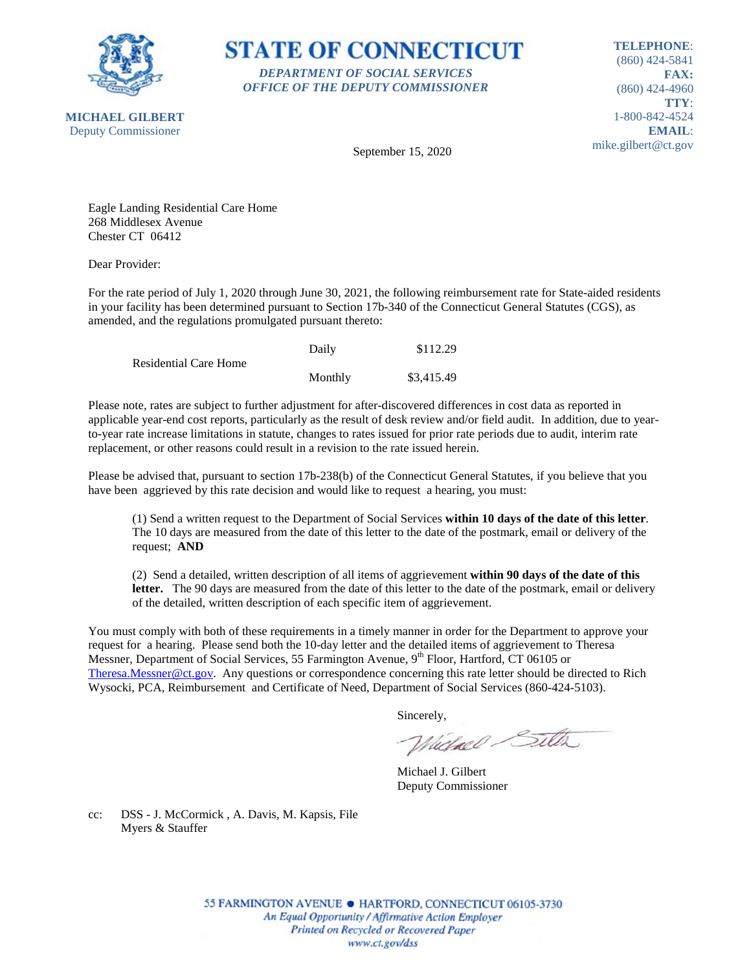

**STATE OF CONNECTICUT** *DEPARTMENT OF SOCIAL SERVICES OFFICE OF THE DEPUTY COMMISSIONER*

**TELEPHONE**: (860) 424-5841 **FAX:** (860) 424-4960 **TTY**: 1-800-842-4524 **EMAIL**: mike.gilbert@ct.gov

September 15, 2020

Eagle Landing Residential Care Home 268 Middlesex Avenue Chester CT 06412

Dear Provider:

For the rate period of July 1, 2020 through June 30, 2021, the following reimbursement rate for State-aided residents in your facility has been determined pursuant to Section 17b-340 of the Connecticut General Statutes (CGS), as amended, and the regulations promulgated pursuant thereto:

|                              | Daily   | \$112.29   |
|------------------------------|---------|------------|
| <b>Residential Care Home</b> |         |            |
|                              | Monthly | \$3,415.49 |

Please note, rates are subject to further adjustment for after-discovered differences in cost data as reported in applicable year-end cost reports, particularly as the result of desk review and/or field audit. In addition, due to yearto-year rate increase limitations in statute, changes to rates issued for prior rate periods due to audit, interim rate replacement, or other reasons could result in a revision to the rate issued herein.

Please be advised that, pursuant to section 17b-238(b) of the Connecticut General Statutes, if you believe that you have been aggrieved by this rate decision and would like to request a hearing, you must:

(1) Send a written request to the Department of Social Services **within 10 days of the date of this letter**. The 10 days are measured from the date of this letter to the date of the postmark, email or delivery of the request; **AND**

(2) Send a detailed, written description of all items of aggrievement **within 90 days of the date of this letter.** The 90 days are measured from the date of this letter to the date of the postmark, email or delivery of the detailed, written description of each specific item of aggrievement.

You must comply with both of these requirements in a timely manner in order for the Department to approve your request for a hearing. Please send both the 10-day letter and the detailed items of aggrievement to Theresa Messner, Department of Social Services, 55 Farmington Avenue, 9<sup>th</sup> Floor, Hartford, CT 06105 or [Theresa.Messner@ct.gov.](mailto:Theresa.Messner@ct.gov) Any questions or correspondence concerning this rate letter should be directed to Rich Wysocki, PCA, Reimbursement and Certificate of Need, Department of Social Services (860-424-5103).

Sincerely,

Wielnel Silta

Michael J. Gilbert Deputy Commissioner

cc: DSS - J. McCormick , A. Davis, M. Kapsis, File Myers & Stauffer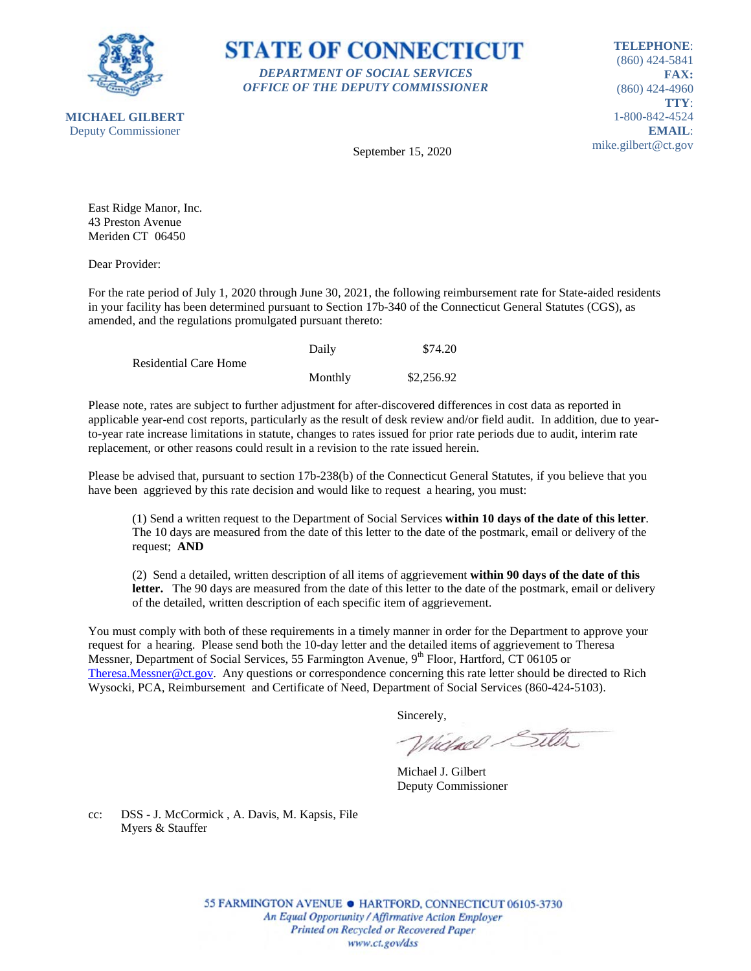



**TELEPHONE**: (860) 424-5841 **FAX:** (860) 424-4960 **TTY**: 1-800-842-4524 **EMAIL**: mike.gilbert@ct.gov

September 15, 2020

East Ridge Manor, Inc. 43 Preston Avenue Meriden CT 06450

Dear Provider:

For the rate period of July 1, 2020 through June 30, 2021, the following reimbursement rate for State-aided residents in your facility has been determined pursuant to Section 17b-340 of the Connecticut General Statutes (CGS), as amended, and the regulations promulgated pursuant thereto:

|                              | Daily   | \$74.20    |
|------------------------------|---------|------------|
| <b>Residential Care Home</b> |         |            |
|                              | Monthly | \$2,256.92 |

Please note, rates are subject to further adjustment for after-discovered differences in cost data as reported in applicable year-end cost reports, particularly as the result of desk review and/or field audit. In addition, due to yearto-year rate increase limitations in statute, changes to rates issued for prior rate periods due to audit, interim rate replacement, or other reasons could result in a revision to the rate issued herein.

Please be advised that, pursuant to section 17b-238(b) of the Connecticut General Statutes, if you believe that you have been aggrieved by this rate decision and would like to request a hearing, you must:

(1) Send a written request to the Department of Social Services **within 10 days of the date of this letter**. The 10 days are measured from the date of this letter to the date of the postmark, email or delivery of the request; **AND**

(2) Send a detailed, written description of all items of aggrievement **within 90 days of the date of this letter.** The 90 days are measured from the date of this letter to the date of the postmark, email or delivery of the detailed, written description of each specific item of aggrievement.

You must comply with both of these requirements in a timely manner in order for the Department to approve your request for a hearing. Please send both the 10-day letter and the detailed items of aggrievement to Theresa Messner, Department of Social Services, 55 Farmington Avenue, 9<sup>th</sup> Floor, Hartford, CT 06105 or [Theresa.Messner@ct.gov.](mailto:Theresa.Messner@ct.gov) Any questions or correspondence concerning this rate letter should be directed to Rich Wysocki, PCA, Reimbursement and Certificate of Need, Department of Social Services (860-424-5103).

Sincerely,

Wielnel Silta

Michael J. Gilbert Deputy Commissioner

cc: DSS - J. McCormick , A. Davis, M. Kapsis, File Myers & Stauffer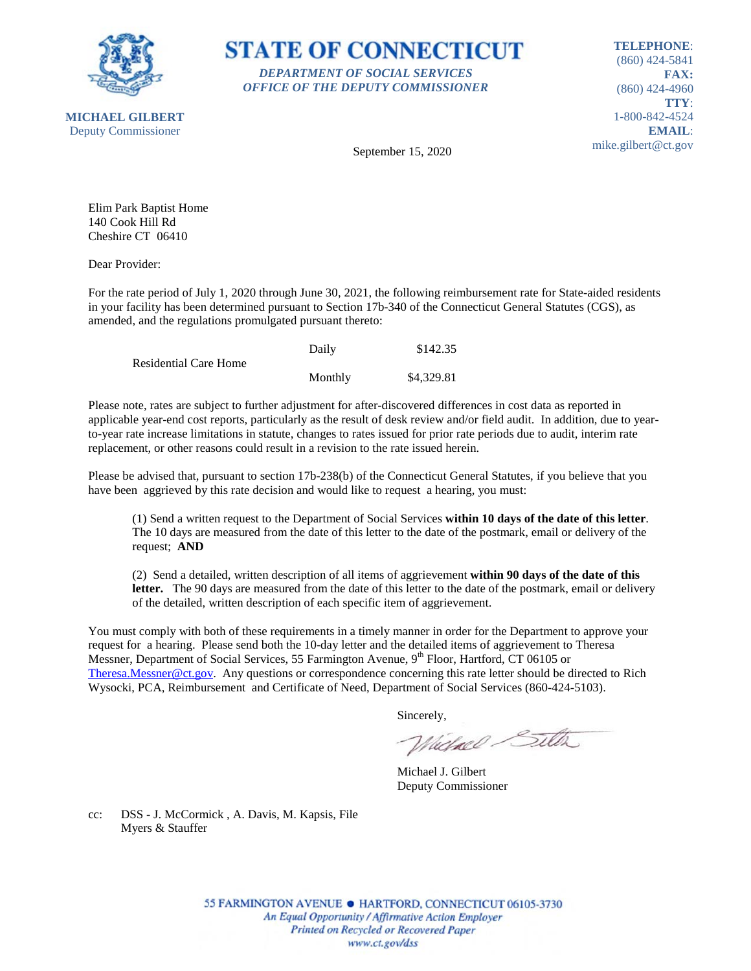



**TELEPHONE**: (860) 424-5841 **FAX:** (860) 424-4960 **TTY**: 1-800-842-4524 **EMAIL**: mike.gilbert@ct.gov

September 15, 2020

Elim Park Baptist Home 140 Cook Hill Rd Cheshire CT 06410

Dear Provider:

For the rate period of July 1, 2020 through June 30, 2021, the following reimbursement rate for State-aided residents in your facility has been determined pursuant to Section 17b-340 of the Connecticut General Statutes (CGS), as amended, and the regulations promulgated pursuant thereto:

|                              | Daily   | \$142.35   |
|------------------------------|---------|------------|
| <b>Residential Care Home</b> |         |            |
|                              | Monthly | \$4,329.81 |

Please note, rates are subject to further adjustment for after-discovered differences in cost data as reported in applicable year-end cost reports, particularly as the result of desk review and/or field audit. In addition, due to yearto-year rate increase limitations in statute, changes to rates issued for prior rate periods due to audit, interim rate replacement, or other reasons could result in a revision to the rate issued herein.

Please be advised that, pursuant to section 17b-238(b) of the Connecticut General Statutes, if you believe that you have been aggrieved by this rate decision and would like to request a hearing, you must:

(1) Send a written request to the Department of Social Services **within 10 days of the date of this letter**. The 10 days are measured from the date of this letter to the date of the postmark, email or delivery of the request; **AND**

(2) Send a detailed, written description of all items of aggrievement **within 90 days of the date of this letter.** The 90 days are measured from the date of this letter to the date of the postmark, email or delivery of the detailed, written description of each specific item of aggrievement.

You must comply with both of these requirements in a timely manner in order for the Department to approve your request for a hearing. Please send both the 10-day letter and the detailed items of aggrievement to Theresa Messner, Department of Social Services, 55 Farmington Avenue, 9<sup>th</sup> Floor, Hartford, CT 06105 or [Theresa.Messner@ct.gov.](mailto:Theresa.Messner@ct.gov) Any questions or correspondence concerning this rate letter should be directed to Rich Wysocki, PCA, Reimbursement and Certificate of Need, Department of Social Services (860-424-5103).

Sincerely,

Wielnel Silta

Michael J. Gilbert Deputy Commissioner

cc: DSS - J. McCormick , A. Davis, M. Kapsis, File Myers & Stauffer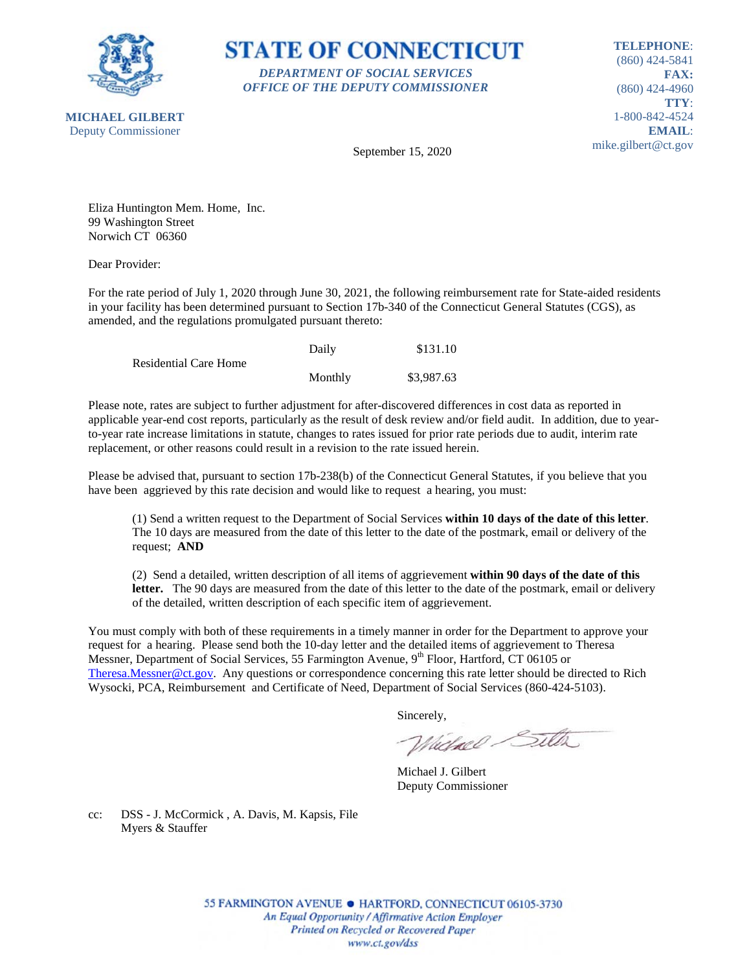

**STATE OF CONNECTICUT** *DEPARTMENT OF SOCIAL SERVICES OFFICE OF THE DEPUTY COMMISSIONER*

**TELEPHONE**: (860) 424-5841 **FAX:** (860) 424-4960 **TTY**: 1-800-842-4524 **EMAIL**: mike.gilbert@ct.gov

September 15, 2020

Eliza Huntington Mem. Home, Inc. 99 Washington Street Norwich CT 06360

Dear Provider:

For the rate period of July 1, 2020 through June 30, 2021, the following reimbursement rate for State-aided residents in your facility has been determined pursuant to Section 17b-340 of the Connecticut General Statutes (CGS), as amended, and the regulations promulgated pursuant thereto:

|                              | Daily   | \$131.10   |
|------------------------------|---------|------------|
| <b>Residential Care Home</b> |         |            |
|                              | Monthly | \$3,987.63 |

Please note, rates are subject to further adjustment for after-discovered differences in cost data as reported in applicable year-end cost reports, particularly as the result of desk review and/or field audit. In addition, due to yearto-year rate increase limitations in statute, changes to rates issued for prior rate periods due to audit, interim rate replacement, or other reasons could result in a revision to the rate issued herein.

Please be advised that, pursuant to section 17b-238(b) of the Connecticut General Statutes, if you believe that you have been aggrieved by this rate decision and would like to request a hearing, you must:

(1) Send a written request to the Department of Social Services **within 10 days of the date of this letter**. The 10 days are measured from the date of this letter to the date of the postmark, email or delivery of the request; **AND**

(2) Send a detailed, written description of all items of aggrievement **within 90 days of the date of this letter.** The 90 days are measured from the date of this letter to the date of the postmark, email or delivery of the detailed, written description of each specific item of aggrievement.

You must comply with both of these requirements in a timely manner in order for the Department to approve your request for a hearing. Please send both the 10-day letter and the detailed items of aggrievement to Theresa Messner, Department of Social Services, 55 Farmington Avenue, 9<sup>th</sup> Floor, Hartford, CT 06105 or [Theresa.Messner@ct.gov.](mailto:Theresa.Messner@ct.gov) Any questions or correspondence concerning this rate letter should be directed to Rich Wysocki, PCA, Reimbursement and Certificate of Need, Department of Social Services (860-424-5103).

Sincerely,

Wielnel Silta

Michael J. Gilbert Deputy Commissioner

cc: DSS - J. McCormick , A. Davis, M. Kapsis, File Myers & Stauffer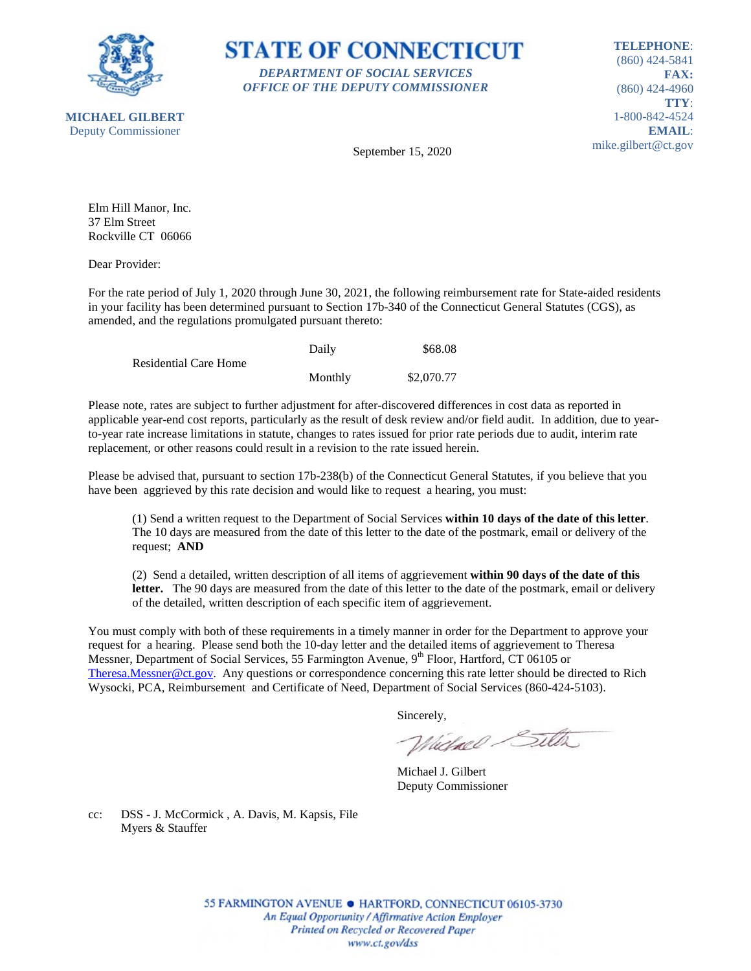



**TELEPHONE**: (860) 424-5841 **FAX:** (860) 424-4960 **TTY**: 1-800-842-4524 **EMAIL**: mike.gilbert@ct.gov

September 15, 2020

Elm Hill Manor, Inc. 37 Elm Street Rockville CT 06066

Dear Provider:

For the rate period of July 1, 2020 through June 30, 2021, the following reimbursement rate for State-aided residents in your facility has been determined pursuant to Section 17b-340 of the Connecticut General Statutes (CGS), as amended, and the regulations promulgated pursuant thereto:

|                              | Daily   | \$68.08    |
|------------------------------|---------|------------|
| <b>Residential Care Home</b> |         |            |
|                              | Monthly | \$2,070.77 |

Please note, rates are subject to further adjustment for after-discovered differences in cost data as reported in applicable year-end cost reports, particularly as the result of desk review and/or field audit. In addition, due to yearto-year rate increase limitations in statute, changes to rates issued for prior rate periods due to audit, interim rate replacement, or other reasons could result in a revision to the rate issued herein.

Please be advised that, pursuant to section 17b-238(b) of the Connecticut General Statutes, if you believe that you have been aggrieved by this rate decision and would like to request a hearing, you must:

(1) Send a written request to the Department of Social Services **within 10 days of the date of this letter**. The 10 days are measured from the date of this letter to the date of the postmark, email or delivery of the request; **AND**

(2) Send a detailed, written description of all items of aggrievement **within 90 days of the date of this letter.** The 90 days are measured from the date of this letter to the date of the postmark, email or delivery of the detailed, written description of each specific item of aggrievement.

You must comply with both of these requirements in a timely manner in order for the Department to approve your request for a hearing. Please send both the 10-day letter and the detailed items of aggrievement to Theresa Messner, Department of Social Services, 55 Farmington Avenue, 9<sup>th</sup> Floor, Hartford, CT 06105 or [Theresa.Messner@ct.gov.](mailto:Theresa.Messner@ct.gov) Any questions or correspondence concerning this rate letter should be directed to Rich Wysocki, PCA, Reimbursement and Certificate of Need, Department of Social Services (860-424-5103).

Sincerely,

Wielnel Silta

Michael J. Gilbert Deputy Commissioner

cc: DSS - J. McCormick , A. Davis, M. Kapsis, File Myers & Stauffer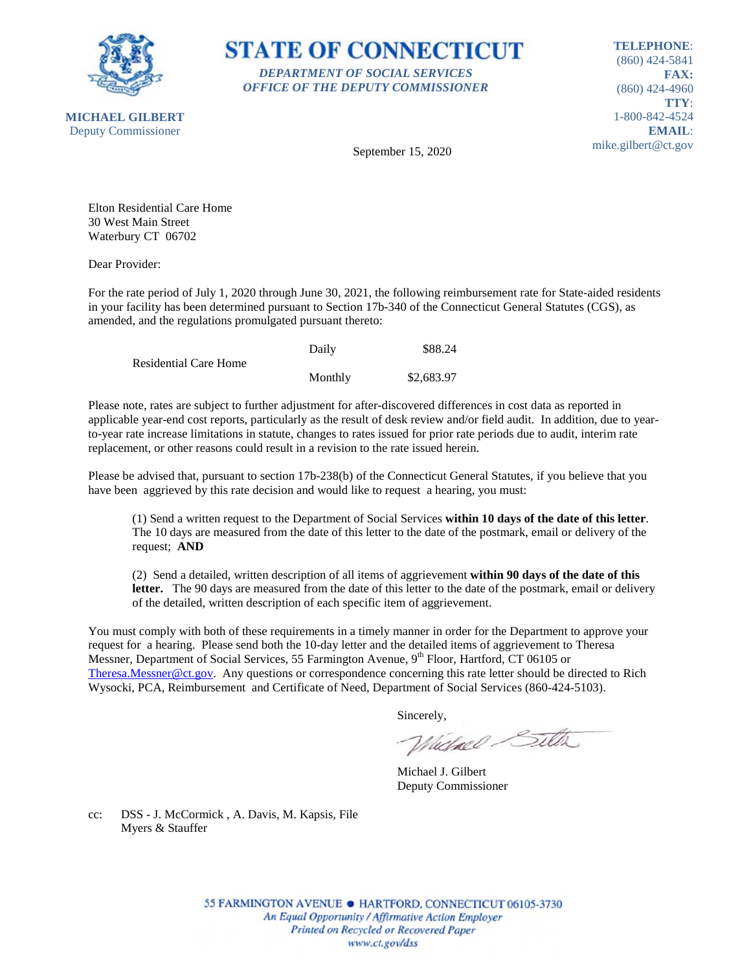

**STATE OF CONNECTICUT** *DEPARTMENT OF SOCIAL SERVICES OFFICE OF THE DEPUTY COMMISSIONER*

**TELEPHONE**: (860) 424-5841 **FAX:** (860) 424-4960 **TTY**: 1-800-842-4524 **EMAIL**: mike.gilbert@ct.gov

September 15, 2020

Elton Residential Care Home 30 West Main Street Waterbury CT 06702

Dear Provider:

For the rate period of July 1, 2020 through June 30, 2021, the following reimbursement rate for State-aided residents in your facility has been determined pursuant to Section 17b-340 of the Connecticut General Statutes (CGS), as amended, and the regulations promulgated pursuant thereto:

|                              | Daily   | \$88.24    |
|------------------------------|---------|------------|
| <b>Residential Care Home</b> |         |            |
|                              | Monthly | \$2,683.97 |

Please note, rates are subject to further adjustment for after-discovered differences in cost data as reported in applicable year-end cost reports, particularly as the result of desk review and/or field audit. In addition, due to yearto-year rate increase limitations in statute, changes to rates issued for prior rate periods due to audit, interim rate replacement, or other reasons could result in a revision to the rate issued herein.

Please be advised that, pursuant to section 17b-238(b) of the Connecticut General Statutes, if you believe that you have been aggrieved by this rate decision and would like to request a hearing, you must:

(1) Send a written request to the Department of Social Services **within 10 days of the date of this letter**. The 10 days are measured from the date of this letter to the date of the postmark, email or delivery of the request; **AND**

(2) Send a detailed, written description of all items of aggrievement **within 90 days of the date of this letter.** The 90 days are measured from the date of this letter to the date of the postmark, email or delivery of the detailed, written description of each specific item of aggrievement.

You must comply with both of these requirements in a timely manner in order for the Department to approve your request for a hearing. Please send both the 10-day letter and the detailed items of aggrievement to Theresa Messner, Department of Social Services, 55 Farmington Avenue, 9<sup>th</sup> Floor, Hartford, CT 06105 or [Theresa.Messner@ct.gov.](mailto:Theresa.Messner@ct.gov) Any questions or correspondence concerning this rate letter should be directed to Rich Wysocki, PCA, Reimbursement and Certificate of Need, Department of Social Services (860-424-5103).

Sincerely,

Wielnel Silta

Michael J. Gilbert Deputy Commissioner

cc: DSS - J. McCormick , A. Davis, M. Kapsis, File Myers & Stauffer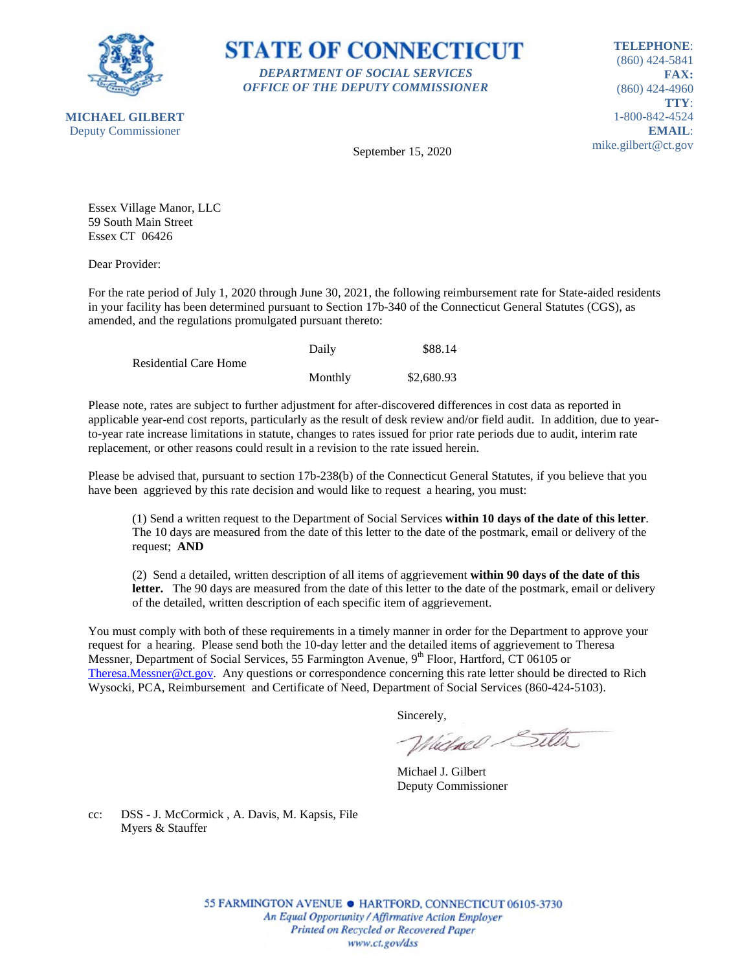

**STATE OF CONNECTICUT** *DEPARTMENT OF SOCIAL SERVICES OFFICE OF THE DEPUTY COMMISSIONER*

**TELEPHONE**: (860) 424-5841 **FAX:** (860) 424-4960 **TTY**: 1-800-842-4524 **EMAIL**: mike.gilbert@ct.gov

September 15, 2020

Essex Village Manor, LLC 59 South Main Street Essex CT 06426

Dear Provider:

For the rate period of July 1, 2020 through June 30, 2021, the following reimbursement rate for State-aided residents in your facility has been determined pursuant to Section 17b-340 of the Connecticut General Statutes (CGS), as amended, and the regulations promulgated pursuant thereto:

|                              | Daily   | \$88.14    |
|------------------------------|---------|------------|
| <b>Residential Care Home</b> |         |            |
|                              | Monthly | \$2,680.93 |

Please note, rates are subject to further adjustment for after-discovered differences in cost data as reported in applicable year-end cost reports, particularly as the result of desk review and/or field audit. In addition, due to yearto-year rate increase limitations in statute, changes to rates issued for prior rate periods due to audit, interim rate replacement, or other reasons could result in a revision to the rate issued herein.

Please be advised that, pursuant to section 17b-238(b) of the Connecticut General Statutes, if you believe that you have been aggrieved by this rate decision and would like to request a hearing, you must:

(1) Send a written request to the Department of Social Services **within 10 days of the date of this letter**. The 10 days are measured from the date of this letter to the date of the postmark, email or delivery of the request; **AND**

(2) Send a detailed, written description of all items of aggrievement **within 90 days of the date of this letter.** The 90 days are measured from the date of this letter to the date of the postmark, email or delivery of the detailed, written description of each specific item of aggrievement.

You must comply with both of these requirements in a timely manner in order for the Department to approve your request for a hearing. Please send both the 10-day letter and the detailed items of aggrievement to Theresa Messner, Department of Social Services, 55 Farmington Avenue, 9<sup>th</sup> Floor, Hartford, CT 06105 or [Theresa.Messner@ct.gov.](mailto:Theresa.Messner@ct.gov) Any questions or correspondence concerning this rate letter should be directed to Rich Wysocki, PCA, Reimbursement and Certificate of Need, Department of Social Services (860-424-5103).

Sincerely,

Wielnel Silta

Michael J. Gilbert Deputy Commissioner

cc: DSS - J. McCormick , A. Davis, M. Kapsis, File Myers & Stauffer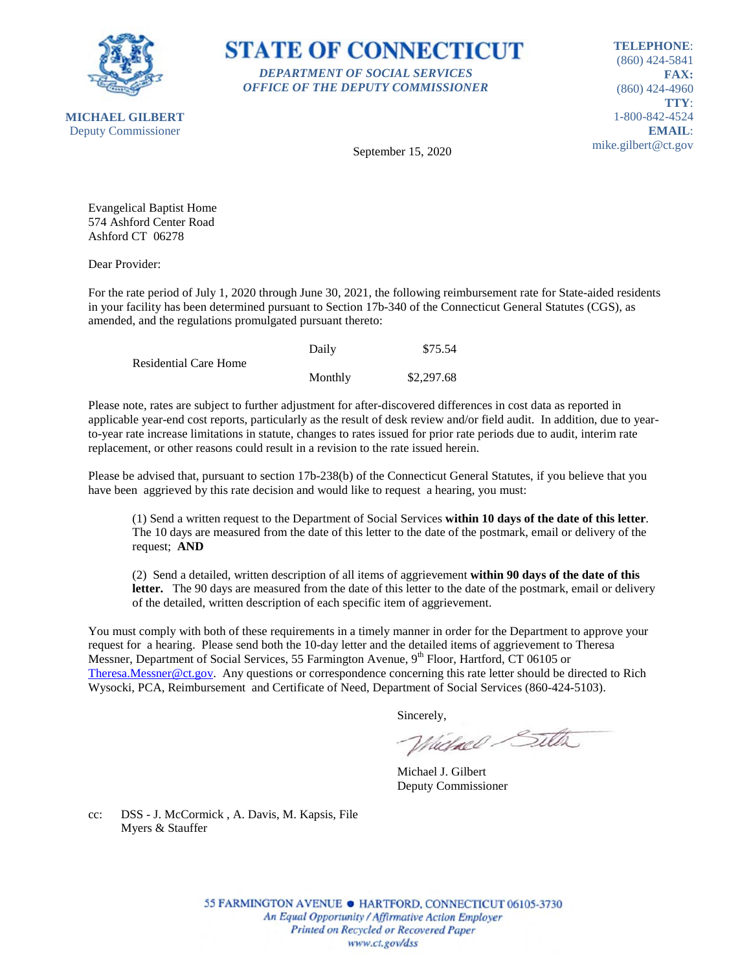



**TELEPHONE**: (860) 424-5841 **FAX:** (860) 424-4960 **TTY**: 1-800-842-4524 **EMAIL**: mike.gilbert@ct.gov

September 15, 2020

Evangelical Baptist Home 574 Ashford Center Road Ashford CT 06278

Dear Provider:

For the rate period of July 1, 2020 through June 30, 2021, the following reimbursement rate for State-aided residents in your facility has been determined pursuant to Section 17b-340 of the Connecticut General Statutes (CGS), as amended, and the regulations promulgated pursuant thereto:

|                              | Daily   | \$75.54    |
|------------------------------|---------|------------|
| <b>Residential Care Home</b> |         |            |
|                              | Monthly | \$2,297.68 |

Please note, rates are subject to further adjustment for after-discovered differences in cost data as reported in applicable year-end cost reports, particularly as the result of desk review and/or field audit. In addition, due to yearto-year rate increase limitations in statute, changes to rates issued for prior rate periods due to audit, interim rate replacement, or other reasons could result in a revision to the rate issued herein.

Please be advised that, pursuant to section 17b-238(b) of the Connecticut General Statutes, if you believe that you have been aggrieved by this rate decision and would like to request a hearing, you must:

(1) Send a written request to the Department of Social Services **within 10 days of the date of this letter**. The 10 days are measured from the date of this letter to the date of the postmark, email or delivery of the request; **AND**

(2) Send a detailed, written description of all items of aggrievement **within 90 days of the date of this letter.** The 90 days are measured from the date of this letter to the date of the postmark, email or delivery of the detailed, written description of each specific item of aggrievement.

You must comply with both of these requirements in a timely manner in order for the Department to approve your request for a hearing. Please send both the 10-day letter and the detailed items of aggrievement to Theresa Messner, Department of Social Services, 55 Farmington Avenue, 9<sup>th</sup> Floor, Hartford, CT 06105 or [Theresa.Messner@ct.gov.](mailto:Theresa.Messner@ct.gov) Any questions or correspondence concerning this rate letter should be directed to Rich Wysocki, PCA, Reimbursement and Certificate of Need, Department of Social Services (860-424-5103).

Sincerely,

Wielnel Silta

Michael J. Gilbert Deputy Commissioner

cc: DSS - J. McCormick , A. Davis, M. Kapsis, File Myers & Stauffer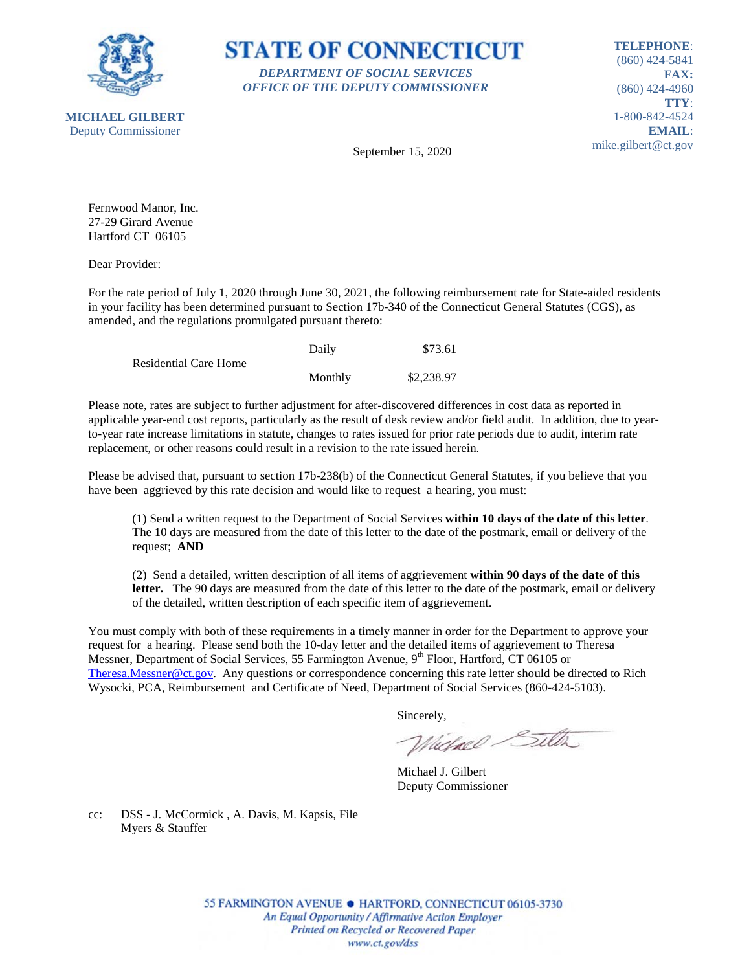



**TELEPHONE**: (860) 424-5841 **FAX:** (860) 424-4960 **TTY**: 1-800-842-4524 **EMAIL**: mike.gilbert@ct.gov

September 15, 2020

Fernwood Manor, Inc. 27-29 Girard Avenue Hartford CT 06105

Dear Provider:

For the rate period of July 1, 2020 through June 30, 2021, the following reimbursement rate for State-aided residents in your facility has been determined pursuant to Section 17b-340 of the Connecticut General Statutes (CGS), as amended, and the regulations promulgated pursuant thereto:

|                       | Daily   | \$73.61    |
|-----------------------|---------|------------|
| Residential Care Home |         |            |
|                       | Monthly | \$2,238.97 |

Please note, rates are subject to further adjustment for after-discovered differences in cost data as reported in applicable year-end cost reports, particularly as the result of desk review and/or field audit. In addition, due to yearto-year rate increase limitations in statute, changes to rates issued for prior rate periods due to audit, interim rate replacement, or other reasons could result in a revision to the rate issued herein.

Please be advised that, pursuant to section 17b-238(b) of the Connecticut General Statutes, if you believe that you have been aggrieved by this rate decision and would like to request a hearing, you must:

(1) Send a written request to the Department of Social Services **within 10 days of the date of this letter**. The 10 days are measured from the date of this letter to the date of the postmark, email or delivery of the request; **AND**

(2) Send a detailed, written description of all items of aggrievement **within 90 days of the date of this letter.** The 90 days are measured from the date of this letter to the date of the postmark, email or delivery of the detailed, written description of each specific item of aggrievement.

You must comply with both of these requirements in a timely manner in order for the Department to approve your request for a hearing. Please send both the 10-day letter and the detailed items of aggrievement to Theresa Messner, Department of Social Services, 55 Farmington Avenue, 9<sup>th</sup> Floor, Hartford, CT 06105 or [Theresa.Messner@ct.gov.](mailto:Theresa.Messner@ct.gov) Any questions or correspondence concerning this rate letter should be directed to Rich Wysocki, PCA, Reimbursement and Certificate of Need, Department of Social Services (860-424-5103).

Sincerely,

Wielnel Silta

Michael J. Gilbert Deputy Commissioner

cc: DSS - J. McCormick , A. Davis, M. Kapsis, File Myers & Stauffer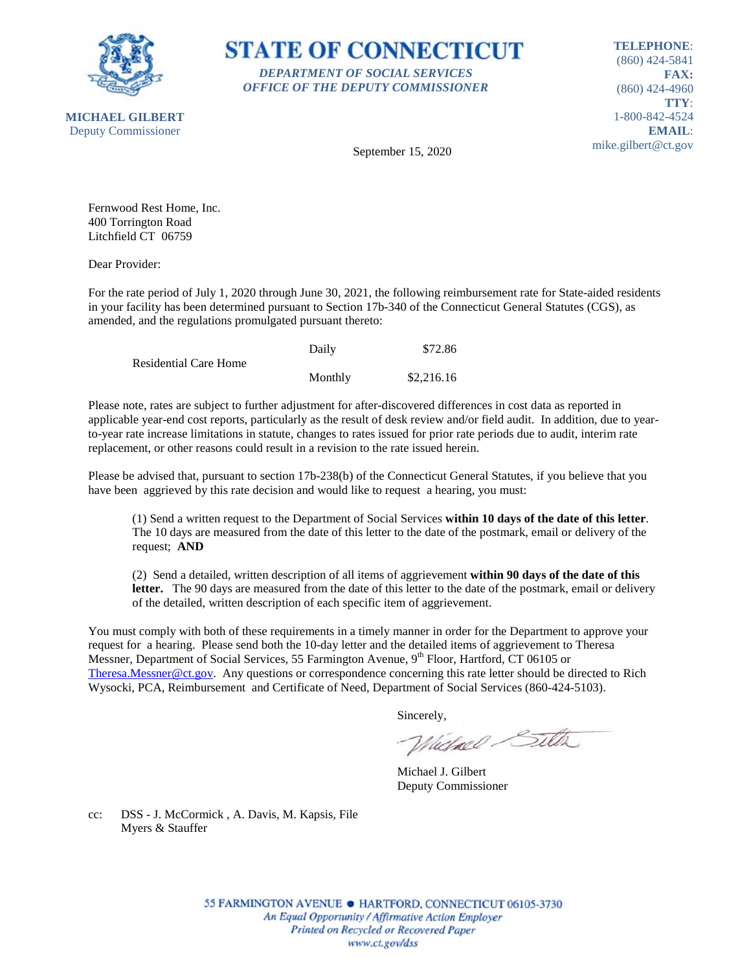

**STATE OF CONNECTICUT** *DEPARTMENT OF SOCIAL SERVICES OFFICE OF THE DEPUTY COMMISSIONER*

**TELEPHONE**: (860) 424-5841 **FAX:** (860) 424-4960 **TTY**: 1-800-842-4524 **EMAIL**: mike.gilbert@ct.gov

September 15, 2020

Fernwood Rest Home, Inc. 400 Torrington Road Litchfield CT 06759

Dear Provider:

For the rate period of July 1, 2020 through June 30, 2021, the following reimbursement rate for State-aided residents in your facility has been determined pursuant to Section 17b-340 of the Connecticut General Statutes (CGS), as amended, and the regulations promulgated pursuant thereto:

|                              | Daily   | \$72.86    |
|------------------------------|---------|------------|
| <b>Residential Care Home</b> |         |            |
|                              | Monthly | \$2,216.16 |

Please note, rates are subject to further adjustment for after-discovered differences in cost data as reported in applicable year-end cost reports, particularly as the result of desk review and/or field audit. In addition, due to yearto-year rate increase limitations in statute, changes to rates issued for prior rate periods due to audit, interim rate replacement, or other reasons could result in a revision to the rate issued herein.

Please be advised that, pursuant to section 17b-238(b) of the Connecticut General Statutes, if you believe that you have been aggrieved by this rate decision and would like to request a hearing, you must:

(1) Send a written request to the Department of Social Services **within 10 days of the date of this letter**. The 10 days are measured from the date of this letter to the date of the postmark, email or delivery of the request; **AND**

(2) Send a detailed, written description of all items of aggrievement **within 90 days of the date of this letter.** The 90 days are measured from the date of this letter to the date of the postmark, email or delivery of the detailed, written description of each specific item of aggrievement.

You must comply with both of these requirements in a timely manner in order for the Department to approve your request for a hearing. Please send both the 10-day letter and the detailed items of aggrievement to Theresa Messner, Department of Social Services, 55 Farmington Avenue, 9<sup>th</sup> Floor, Hartford, CT 06105 or [Theresa.Messner@ct.gov.](mailto:Theresa.Messner@ct.gov) Any questions or correspondence concerning this rate letter should be directed to Rich Wysocki, PCA, Reimbursement and Certificate of Need, Department of Social Services (860-424-5103).

Sincerely,

Wielnel Silta

Michael J. Gilbert Deputy Commissioner

cc: DSS - J. McCormick , A. Davis, M. Kapsis, File Myers & Stauffer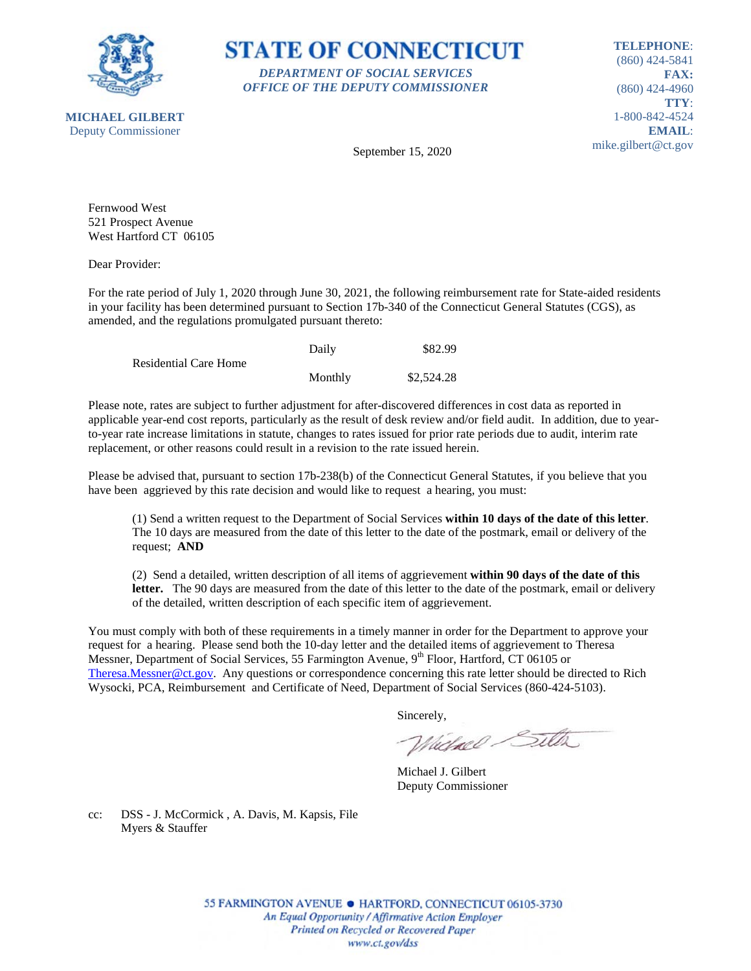

**MICHAEL GILBERT**

## **STATE OF CONNECTICUT** *DEPARTMENT OF SOCIAL SERVICES OFFICE OF THE DEPUTY COMMISSIONER*

**TELEPHONE**: (860) 424-5841 **FAX:** (860) 424-4960 **TTY**: 1-800-842-4524 **EMAIL**: mike.gilbert@ct.gov

Deputy Commissioner

September 15, 2020

Fernwood West 521 Prospect Avenue West Hartford CT 06105

Dear Provider:

For the rate period of July 1, 2020 through June 30, 2021, the following reimbursement rate for State-aided residents in your facility has been determined pursuant to Section 17b-340 of the Connecticut General Statutes (CGS), as amended, and the regulations promulgated pursuant thereto:

|                              | Daily   | \$82.99    |
|------------------------------|---------|------------|
| <b>Residential Care Home</b> |         |            |
|                              | Monthly | \$2,524.28 |

Please note, rates are subject to further adjustment for after-discovered differences in cost data as reported in applicable year-end cost reports, particularly as the result of desk review and/or field audit. In addition, due to yearto-year rate increase limitations in statute, changes to rates issued for prior rate periods due to audit, interim rate replacement, or other reasons could result in a revision to the rate issued herein.

Please be advised that, pursuant to section 17b-238(b) of the Connecticut General Statutes, if you believe that you have been aggrieved by this rate decision and would like to request a hearing, you must:

(1) Send a written request to the Department of Social Services **within 10 days of the date of this letter**. The 10 days are measured from the date of this letter to the date of the postmark, email or delivery of the request; **AND**

(2) Send a detailed, written description of all items of aggrievement **within 90 days of the date of this letter.** The 90 days are measured from the date of this letter to the date of the postmark, email or delivery of the detailed, written description of each specific item of aggrievement.

You must comply with both of these requirements in a timely manner in order for the Department to approve your request for a hearing. Please send both the 10-day letter and the detailed items of aggrievement to Theresa Messner, Department of Social Services, 55 Farmington Avenue, 9<sup>th</sup> Floor, Hartford, CT 06105 or [Theresa.Messner@ct.gov.](mailto:Theresa.Messner@ct.gov) Any questions or correspondence concerning this rate letter should be directed to Rich Wysocki, PCA, Reimbursement and Certificate of Need, Department of Social Services (860-424-5103).

Sincerely,

Wielnel Silta

Michael J. Gilbert Deputy Commissioner

cc: DSS - J. McCormick , A. Davis, M. Kapsis, File Myers & Stauffer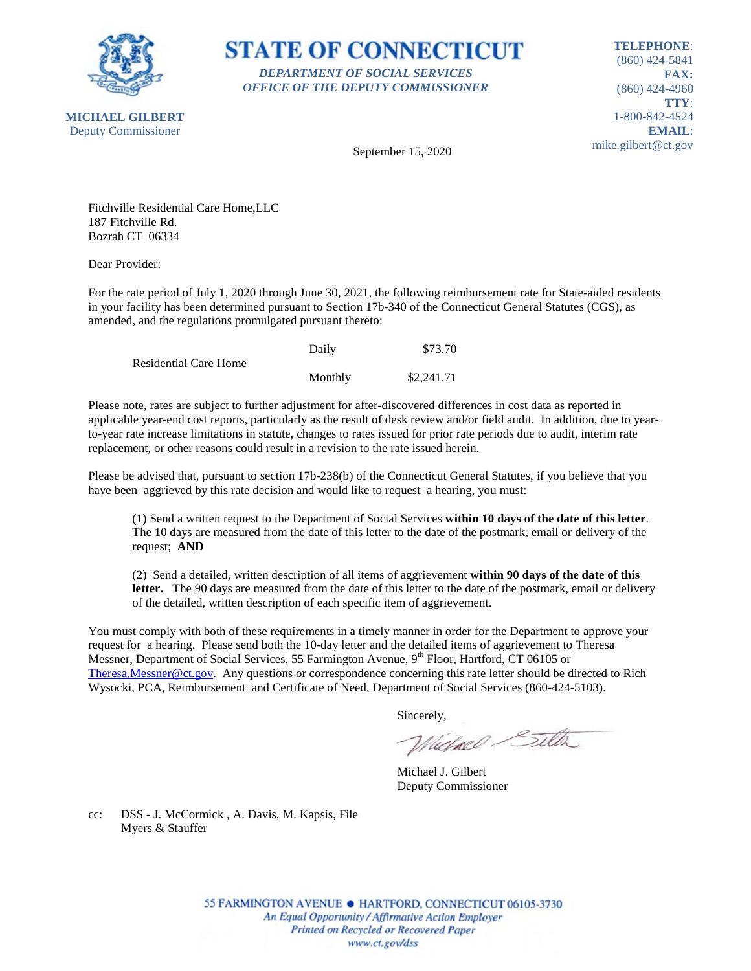

**STATE OF CONNECTICUT** *DEPARTMENT OF SOCIAL SERVICES OFFICE OF THE DEPUTY COMMISSIONER*

**TELEPHONE**: (860) 424-5841 **FAX:** (860) 424-4960 **TTY**: 1-800-842-4524 **EMAIL**: mike.gilbert@ct.gov

September 15, 2020

Fitchville Residential Care Home,LLC 187 Fitchville Rd. Bozrah CT 06334

Dear Provider:

For the rate period of July 1, 2020 through June 30, 2021, the following reimbursement rate for State-aided residents in your facility has been determined pursuant to Section 17b-340 of the Connecticut General Statutes (CGS), as amended, and the regulations promulgated pursuant thereto:

|                              | Daily   | \$73.70    |
|------------------------------|---------|------------|
| <b>Residential Care Home</b> |         |            |
|                              | Monthly | \$2,241.71 |

Please note, rates are subject to further adjustment for after-discovered differences in cost data as reported in applicable year-end cost reports, particularly as the result of desk review and/or field audit. In addition, due to yearto-year rate increase limitations in statute, changes to rates issued for prior rate periods due to audit, interim rate replacement, or other reasons could result in a revision to the rate issued herein.

Please be advised that, pursuant to section 17b-238(b) of the Connecticut General Statutes, if you believe that you have been aggrieved by this rate decision and would like to request a hearing, you must:

(1) Send a written request to the Department of Social Services **within 10 days of the date of this letter**. The 10 days are measured from the date of this letter to the date of the postmark, email or delivery of the request; **AND**

(2) Send a detailed, written description of all items of aggrievement **within 90 days of the date of this letter.** The 90 days are measured from the date of this letter to the date of the postmark, email or delivery of the detailed, written description of each specific item of aggrievement.

You must comply with both of these requirements in a timely manner in order for the Department to approve your request for a hearing. Please send both the 10-day letter and the detailed items of aggrievement to Theresa Messner, Department of Social Services, 55 Farmington Avenue, 9<sup>th</sup> Floor, Hartford, CT 06105 or [Theresa.Messner@ct.gov.](mailto:Theresa.Messner@ct.gov) Any questions or correspondence concerning this rate letter should be directed to Rich Wysocki, PCA, Reimbursement and Certificate of Need, Department of Social Services (860-424-5103).

Sincerely,

Wielnel Silta

Michael J. Gilbert Deputy Commissioner

cc: DSS - J. McCormick , A. Davis, M. Kapsis, File Myers & Stauffer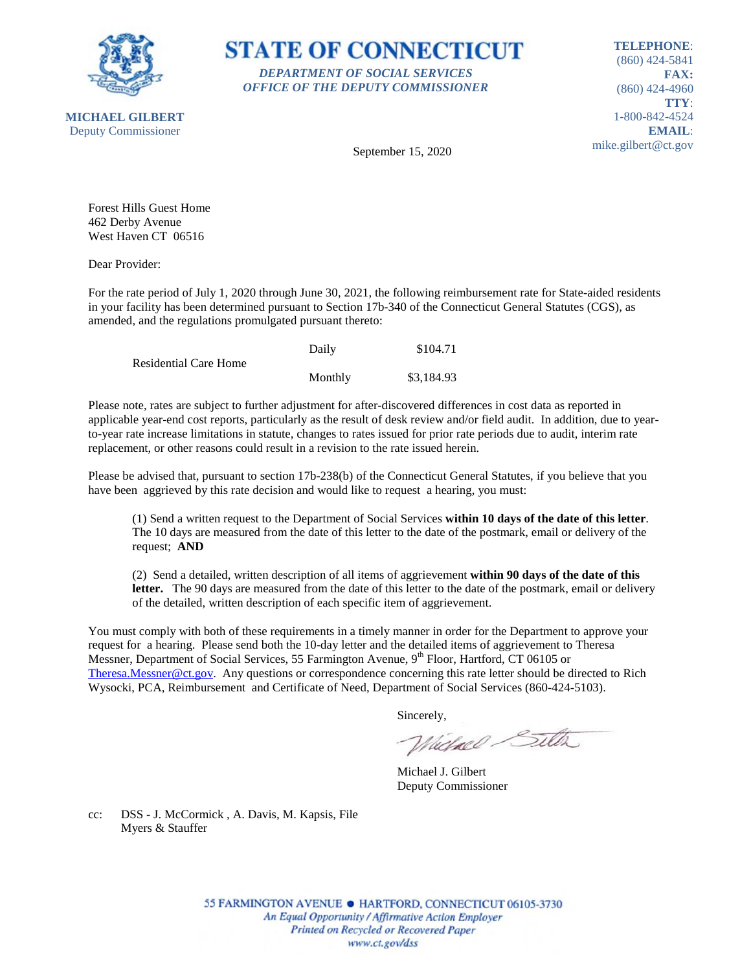



**TELEPHONE**: (860) 424-5841 **FAX:** (860) 424-4960 **TTY**: 1-800-842-4524 **EMAIL**: mike.gilbert@ct.gov

September 15, 2020

Forest Hills Guest Home 462 Derby Avenue West Haven CT 06516

Dear Provider:

For the rate period of July 1, 2020 through June 30, 2021, the following reimbursement rate for State-aided residents in your facility has been determined pursuant to Section 17b-340 of the Connecticut General Statutes (CGS), as amended, and the regulations promulgated pursuant thereto:

|                              | Daily   | \$104.71   |
|------------------------------|---------|------------|
| <b>Residential Care Home</b> |         |            |
|                              | Monthly | \$3,184.93 |

Please note, rates are subject to further adjustment for after-discovered differences in cost data as reported in applicable year-end cost reports, particularly as the result of desk review and/or field audit. In addition, due to yearto-year rate increase limitations in statute, changes to rates issued for prior rate periods due to audit, interim rate replacement, or other reasons could result in a revision to the rate issued herein.

Please be advised that, pursuant to section 17b-238(b) of the Connecticut General Statutes, if you believe that you have been aggrieved by this rate decision and would like to request a hearing, you must:

(1) Send a written request to the Department of Social Services **within 10 days of the date of this letter**. The 10 days are measured from the date of this letter to the date of the postmark, email or delivery of the request; **AND**

(2) Send a detailed, written description of all items of aggrievement **within 90 days of the date of this letter.** The 90 days are measured from the date of this letter to the date of the postmark, email or delivery of the detailed, written description of each specific item of aggrievement.

You must comply with both of these requirements in a timely manner in order for the Department to approve your request for a hearing. Please send both the 10-day letter and the detailed items of aggrievement to Theresa Messner, Department of Social Services, 55 Farmington Avenue, 9<sup>th</sup> Floor, Hartford, CT 06105 or [Theresa.Messner@ct.gov.](mailto:Theresa.Messner@ct.gov) Any questions or correspondence concerning this rate letter should be directed to Rich Wysocki, PCA, Reimbursement and Certificate of Need, Department of Social Services (860-424-5103).

Sincerely,

Wielnel Silta

Michael J. Gilbert Deputy Commissioner

cc: DSS - J. McCormick , A. Davis, M. Kapsis, File Myers & Stauffer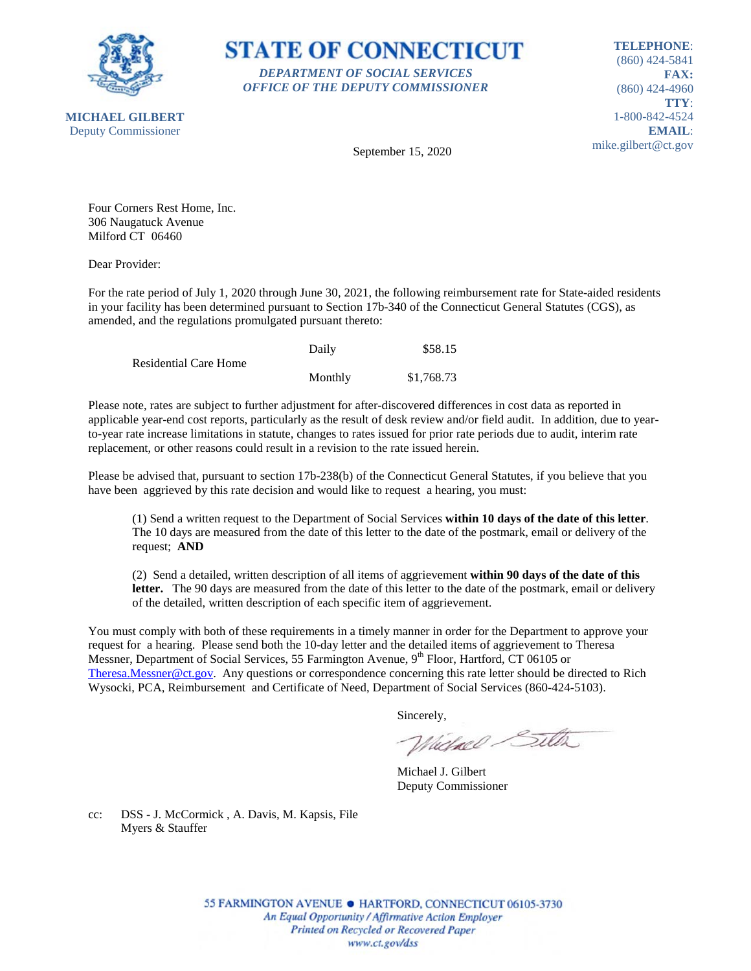

**STATE OF CONNECTICUT** *DEPARTMENT OF SOCIAL SERVICES OFFICE OF THE DEPUTY COMMISSIONER*

**TELEPHONE**: (860) 424-5841 **FAX:** (860) 424-4960 **TTY**: 1-800-842-4524 **EMAIL**: mike.gilbert@ct.gov

**MICHAEL GILBERT** Deputy Commissioner

September 15, 2020

Four Corners Rest Home, Inc. 306 Naugatuck Avenue Milford CT 06460

Dear Provider:

For the rate period of July 1, 2020 through June 30, 2021, the following reimbursement rate for State-aided residents in your facility has been determined pursuant to Section 17b-340 of the Connecticut General Statutes (CGS), as amended, and the regulations promulgated pursuant thereto:

|                              | Daily   | \$58.15    |
|------------------------------|---------|------------|
| <b>Residential Care Home</b> |         |            |
|                              | Monthly | \$1,768.73 |

Please note, rates are subject to further adjustment for after-discovered differences in cost data as reported in applicable year-end cost reports, particularly as the result of desk review and/or field audit. In addition, due to yearto-year rate increase limitations in statute, changes to rates issued for prior rate periods due to audit, interim rate replacement, or other reasons could result in a revision to the rate issued herein.

Please be advised that, pursuant to section 17b-238(b) of the Connecticut General Statutes, if you believe that you have been aggrieved by this rate decision and would like to request a hearing, you must:

(1) Send a written request to the Department of Social Services **within 10 days of the date of this letter**. The 10 days are measured from the date of this letter to the date of the postmark, email or delivery of the request; **AND**

(2) Send a detailed, written description of all items of aggrievement **within 90 days of the date of this letter.** The 90 days are measured from the date of this letter to the date of the postmark, email or delivery of the detailed, written description of each specific item of aggrievement.

You must comply with both of these requirements in a timely manner in order for the Department to approve your request for a hearing. Please send both the 10-day letter and the detailed items of aggrievement to Theresa Messner, Department of Social Services, 55 Farmington Avenue, 9<sup>th</sup> Floor, Hartford, CT 06105 or [Theresa.Messner@ct.gov.](mailto:Theresa.Messner@ct.gov) Any questions or correspondence concerning this rate letter should be directed to Rich Wysocki, PCA, Reimbursement and Certificate of Need, Department of Social Services (860-424-5103).

Sincerely,

Wielnel Silta

Michael J. Gilbert Deputy Commissioner

cc: DSS - J. McCormick , A. Davis, M. Kapsis, File Myers & Stauffer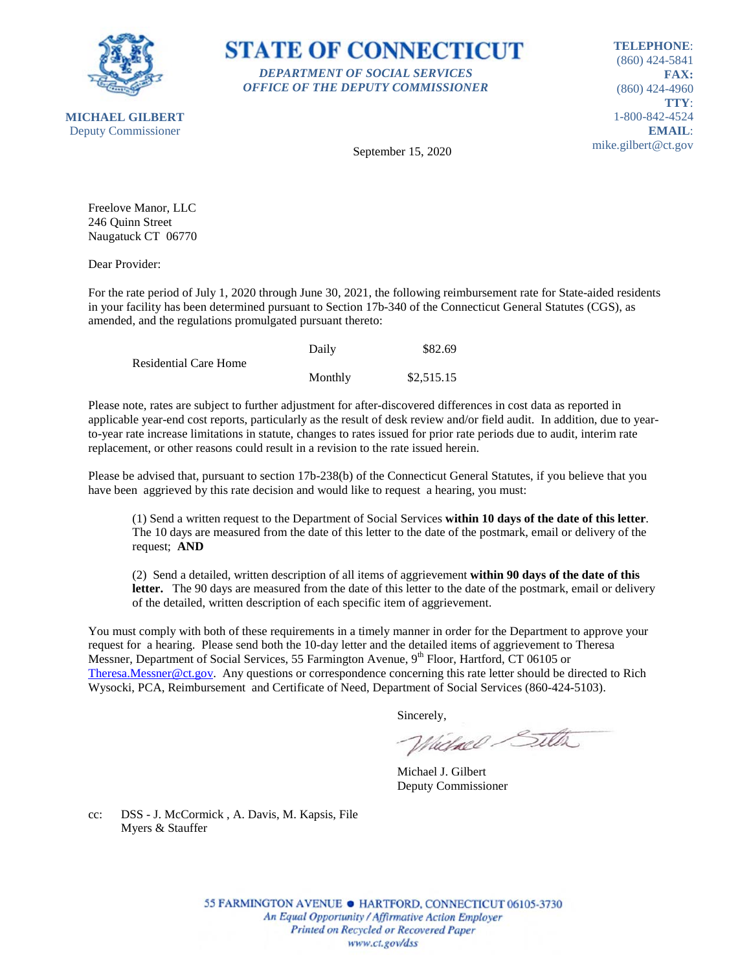



**TELEPHONE**: (860) 424-5841 **FAX:** (860) 424-4960 **TTY**: 1-800-842-4524 **EMAIL**: mike.gilbert@ct.gov

September 15, 2020

Freelove Manor, LLC 246 Quinn Street Naugatuck CT 06770

Dear Provider:

For the rate period of July 1, 2020 through June 30, 2021, the following reimbursement rate for State-aided residents in your facility has been determined pursuant to Section 17b-340 of the Connecticut General Statutes (CGS), as amended, and the regulations promulgated pursuant thereto:

|                       | Daily   | \$82.69    |
|-----------------------|---------|------------|
| Residential Care Home |         |            |
|                       | Monthly | \$2,515.15 |

Please note, rates are subject to further adjustment for after-discovered differences in cost data as reported in applicable year-end cost reports, particularly as the result of desk review and/or field audit. In addition, due to yearto-year rate increase limitations in statute, changes to rates issued for prior rate periods due to audit, interim rate replacement, or other reasons could result in a revision to the rate issued herein.

Please be advised that, pursuant to section 17b-238(b) of the Connecticut General Statutes, if you believe that you have been aggrieved by this rate decision and would like to request a hearing, you must:

(1) Send a written request to the Department of Social Services **within 10 days of the date of this letter**. The 10 days are measured from the date of this letter to the date of the postmark, email or delivery of the request; **AND**

(2) Send a detailed, written description of all items of aggrievement **within 90 days of the date of this letter.** The 90 days are measured from the date of this letter to the date of the postmark, email or delivery of the detailed, written description of each specific item of aggrievement.

You must comply with both of these requirements in a timely manner in order for the Department to approve your request for a hearing. Please send both the 10-day letter and the detailed items of aggrievement to Theresa Messner, Department of Social Services, 55 Farmington Avenue, 9<sup>th</sup> Floor, Hartford, CT 06105 or [Theresa.Messner@ct.gov.](mailto:Theresa.Messner@ct.gov) Any questions or correspondence concerning this rate letter should be directed to Rich Wysocki, PCA, Reimbursement and Certificate of Need, Department of Social Services (860-424-5103).

Sincerely,

Wielnel Silta

Michael J. Gilbert Deputy Commissioner

cc: DSS - J. McCormick , A. Davis, M. Kapsis, File Myers & Stauffer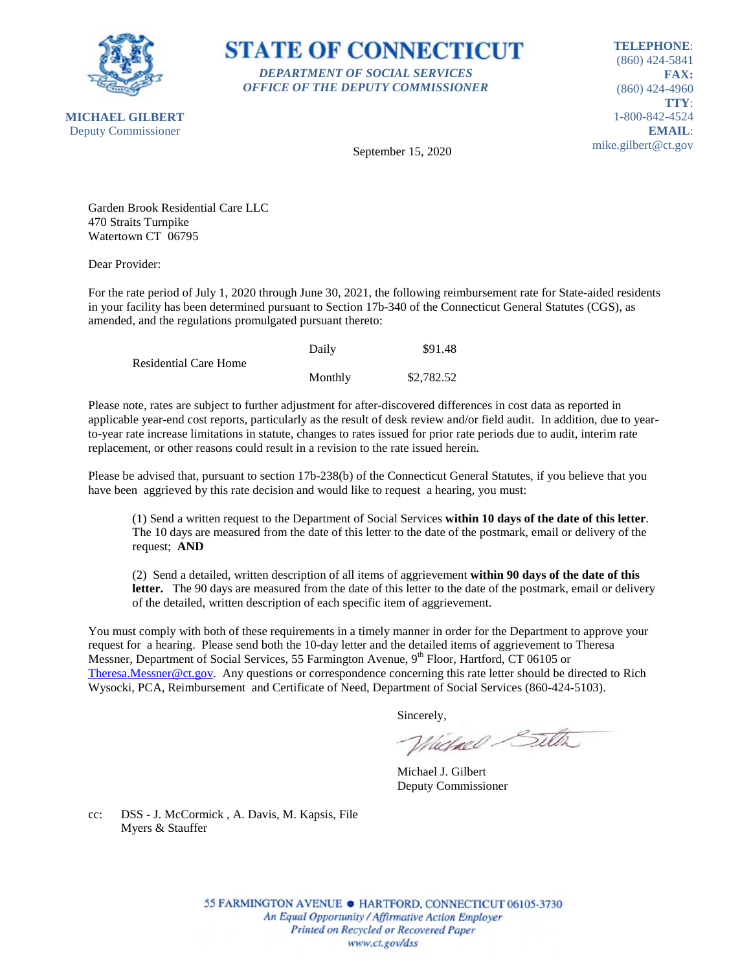

**STATE OF CONNECTICUT** *DEPARTMENT OF SOCIAL SERVICES OFFICE OF THE DEPUTY COMMISSIONER*

**TELEPHONE**: (860) 424-5841 **FAX:** (860) 424-4960 **TTY**: 1-800-842-4524 **EMAIL**: mike.gilbert@ct.gov

**MICHAEL GILBERT** Deputy Commissioner

September 15, 2020

Garden Brook Residential Care LLC 470 Straits Turnpike Watertown CT 06795

Dear Provider:

For the rate period of July 1, 2020 through June 30, 2021, the following reimbursement rate for State-aided residents in your facility has been determined pursuant to Section 17b-340 of the Connecticut General Statutes (CGS), as amended, and the regulations promulgated pursuant thereto:

|                              | Daily   | \$91.48    |
|------------------------------|---------|------------|
| <b>Residential Care Home</b> |         |            |
|                              | Monthly | \$2,782.52 |

Please note, rates are subject to further adjustment for after-discovered differences in cost data as reported in applicable year-end cost reports, particularly as the result of desk review and/or field audit. In addition, due to yearto-year rate increase limitations in statute, changes to rates issued for prior rate periods due to audit, interim rate replacement, or other reasons could result in a revision to the rate issued herein.

Please be advised that, pursuant to section 17b-238(b) of the Connecticut General Statutes, if you believe that you have been aggrieved by this rate decision and would like to request a hearing, you must:

(1) Send a written request to the Department of Social Services **within 10 days of the date of this letter**. The 10 days are measured from the date of this letter to the date of the postmark, email or delivery of the request; **AND**

(2) Send a detailed, written description of all items of aggrievement **within 90 days of the date of this letter.** The 90 days are measured from the date of this letter to the date of the postmark, email or delivery of the detailed, written description of each specific item of aggrievement.

You must comply with both of these requirements in a timely manner in order for the Department to approve your request for a hearing. Please send both the 10-day letter and the detailed items of aggrievement to Theresa Messner, Department of Social Services, 55 Farmington Avenue, 9<sup>th</sup> Floor, Hartford, CT 06105 or [Theresa.Messner@ct.gov.](mailto:Theresa.Messner@ct.gov) Any questions or correspondence concerning this rate letter should be directed to Rich Wysocki, PCA, Reimbursement and Certificate of Need, Department of Social Services (860-424-5103).

Sincerely,

Wielnel Silta

Michael J. Gilbert Deputy Commissioner

cc: DSS - J. McCormick , A. Davis, M. Kapsis, File Myers & Stauffer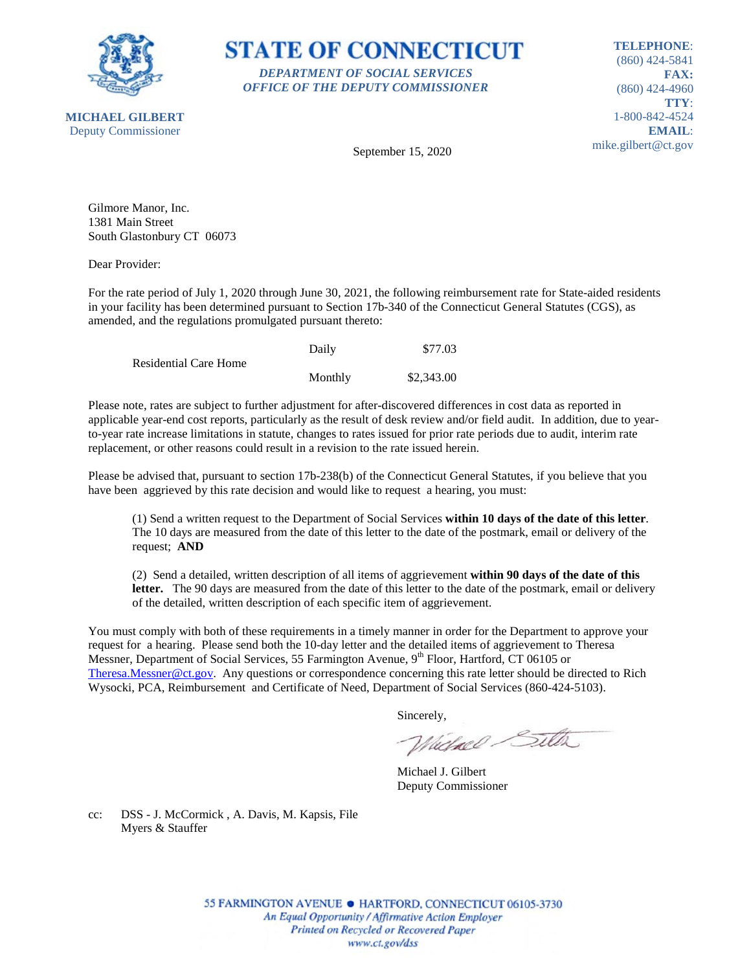

## **STATE OF CONNECTICUT** *DEPARTMENT OF SOCIAL SERVICES OFFICE OF THE DEPUTY COMMISSIONER*

**TELEPHONE**: (860) 424-5841 **FAX:** (860) 424-4960 **TTY**: 1-800-842-4524 **EMAIL**: mike.gilbert@ct.gov

September 15, 2020

Gilmore Manor, Inc. 1381 Main Street South Glastonbury CT 06073

Dear Provider:

For the rate period of July 1, 2020 through June 30, 2021, the following reimbursement rate for State-aided residents in your facility has been determined pursuant to Section 17b-340 of the Connecticut General Statutes (CGS), as amended, and the regulations promulgated pursuant thereto:

|                              | Daily   | \$77.03    |
|------------------------------|---------|------------|
| <b>Residential Care Home</b> |         |            |
|                              | Monthly | \$2,343.00 |

Please note, rates are subject to further adjustment for after-discovered differences in cost data as reported in applicable year-end cost reports, particularly as the result of desk review and/or field audit. In addition, due to yearto-year rate increase limitations in statute, changes to rates issued for prior rate periods due to audit, interim rate replacement, or other reasons could result in a revision to the rate issued herein.

Please be advised that, pursuant to section 17b-238(b) of the Connecticut General Statutes, if you believe that you have been aggrieved by this rate decision and would like to request a hearing, you must:

(1) Send a written request to the Department of Social Services **within 10 days of the date of this letter**. The 10 days are measured from the date of this letter to the date of the postmark, email or delivery of the request; **AND**

(2) Send a detailed, written description of all items of aggrievement **within 90 days of the date of this letter.** The 90 days are measured from the date of this letter to the date of the postmark, email or delivery of the detailed, written description of each specific item of aggrievement.

You must comply with both of these requirements in a timely manner in order for the Department to approve your request for a hearing. Please send both the 10-day letter and the detailed items of aggrievement to Theresa Messner, Department of Social Services, 55 Farmington Avenue, 9<sup>th</sup> Floor, Hartford, CT 06105 or [Theresa.Messner@ct.gov.](mailto:Theresa.Messner@ct.gov) Any questions or correspondence concerning this rate letter should be directed to Rich Wysocki, PCA, Reimbursement and Certificate of Need, Department of Social Services (860-424-5103).

Sincerely,

Wielnel Silta

Michael J. Gilbert Deputy Commissioner

cc: DSS - J. McCormick , A. Davis, M. Kapsis, File Myers & Stauffer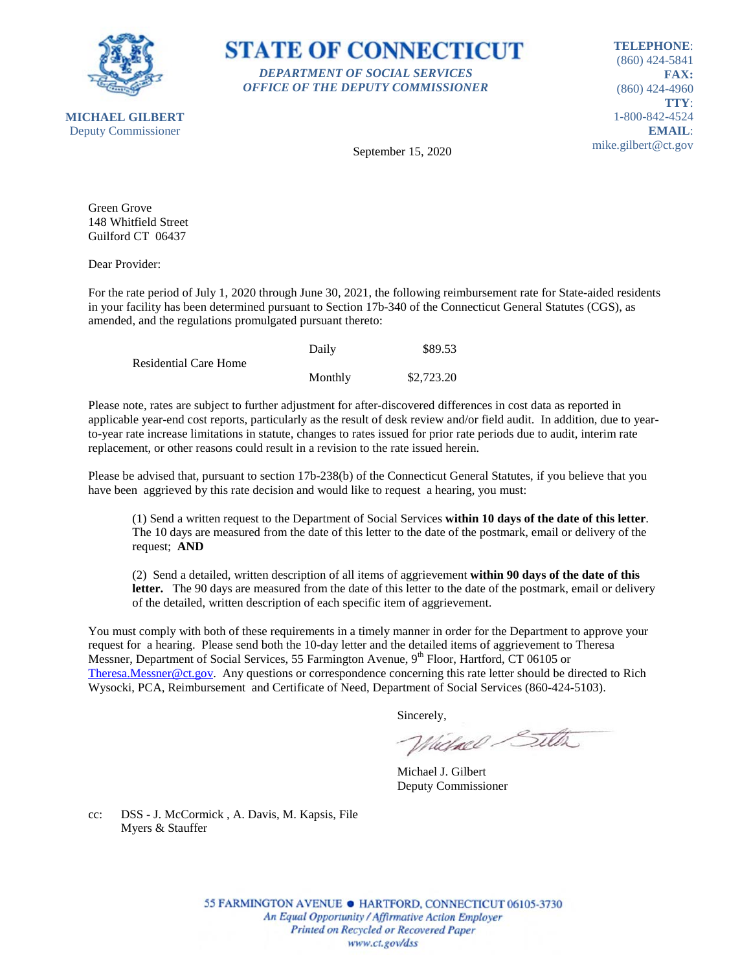

**STATE OF CONNECTICUT** *DEPARTMENT OF SOCIAL SERVICES OFFICE OF THE DEPUTY COMMISSIONER*

**TELEPHONE**: (860) 424-5841 **FAX:** (860) 424-4960 **TTY**: 1-800-842-4524 **EMAIL**: mike.gilbert@ct.gov

September 15, 2020

Green Grove 148 Whitfield Street Guilford CT 06437

Dear Provider:

For the rate period of July 1, 2020 through June 30, 2021, the following reimbursement rate for State-aided residents in your facility has been determined pursuant to Section 17b-340 of the Connecticut General Statutes (CGS), as amended, and the regulations promulgated pursuant thereto:

|                              | Daily   | \$89.53    |
|------------------------------|---------|------------|
| <b>Residential Care Home</b> |         |            |
|                              | Monthly | \$2,723.20 |

Please note, rates are subject to further adjustment for after-discovered differences in cost data as reported in applicable year-end cost reports, particularly as the result of desk review and/or field audit. In addition, due to yearto-year rate increase limitations in statute, changes to rates issued for prior rate periods due to audit, interim rate replacement, or other reasons could result in a revision to the rate issued herein.

Please be advised that, pursuant to section 17b-238(b) of the Connecticut General Statutes, if you believe that you have been aggrieved by this rate decision and would like to request a hearing, you must:

(1) Send a written request to the Department of Social Services **within 10 days of the date of this letter**. The 10 days are measured from the date of this letter to the date of the postmark, email or delivery of the request; **AND**

(2) Send a detailed, written description of all items of aggrievement **within 90 days of the date of this letter.** The 90 days are measured from the date of this letter to the date of the postmark, email or delivery of the detailed, written description of each specific item of aggrievement.

You must comply with both of these requirements in a timely manner in order for the Department to approve your request for a hearing. Please send both the 10-day letter and the detailed items of aggrievement to Theresa Messner, Department of Social Services, 55 Farmington Avenue, 9<sup>th</sup> Floor, Hartford, CT 06105 or [Theresa.Messner@ct.gov.](mailto:Theresa.Messner@ct.gov) Any questions or correspondence concerning this rate letter should be directed to Rich Wysocki, PCA, Reimbursement and Certificate of Need, Department of Social Services (860-424-5103).

Sincerely,

Wielnel Silta

Michael J. Gilbert Deputy Commissioner

cc: DSS - J. McCormick , A. Davis, M. Kapsis, File Myers & Stauffer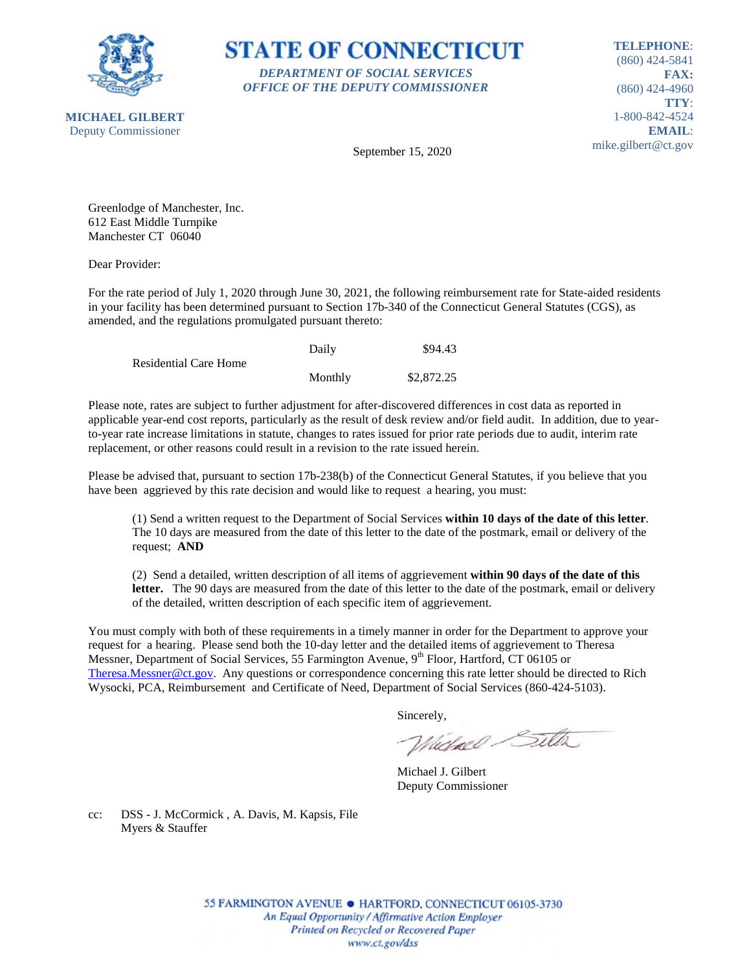

**STATE OF CONNECTICUT** *DEPARTMENT OF SOCIAL SERVICES OFFICE OF THE DEPUTY COMMISSIONER*

**TELEPHONE**: (860) 424-5841 **FAX:** (860) 424-4960 **TTY**: 1-800-842-4524 **EMAIL**: mike.gilbert@ct.gov

September 15, 2020

Greenlodge of Manchester, Inc. 612 East Middle Turnpike Manchester CT 06040

Dear Provider:

For the rate period of July 1, 2020 through June 30, 2021, the following reimbursement rate for State-aided residents in your facility has been determined pursuant to Section 17b-340 of the Connecticut General Statutes (CGS), as amended, and the regulations promulgated pursuant thereto:

|                              | Daily   | \$94.43    |
|------------------------------|---------|------------|
| <b>Residential Care Home</b> |         |            |
|                              | Monthly | \$2,872.25 |

Please note, rates are subject to further adjustment for after-discovered differences in cost data as reported in applicable year-end cost reports, particularly as the result of desk review and/or field audit. In addition, due to yearto-year rate increase limitations in statute, changes to rates issued for prior rate periods due to audit, interim rate replacement, or other reasons could result in a revision to the rate issued herein.

Please be advised that, pursuant to section 17b-238(b) of the Connecticut General Statutes, if you believe that you have been aggrieved by this rate decision and would like to request a hearing, you must:

(1) Send a written request to the Department of Social Services **within 10 days of the date of this letter**. The 10 days are measured from the date of this letter to the date of the postmark, email or delivery of the request; **AND**

(2) Send a detailed, written description of all items of aggrievement **within 90 days of the date of this letter.** The 90 days are measured from the date of this letter to the date of the postmark, email or delivery of the detailed, written description of each specific item of aggrievement.

You must comply with both of these requirements in a timely manner in order for the Department to approve your request for a hearing. Please send both the 10-day letter and the detailed items of aggrievement to Theresa Messner, Department of Social Services, 55 Farmington Avenue, 9<sup>th</sup> Floor, Hartford, CT 06105 or [Theresa.Messner@ct.gov.](mailto:Theresa.Messner@ct.gov) Any questions or correspondence concerning this rate letter should be directed to Rich Wysocki, PCA, Reimbursement and Certificate of Need, Department of Social Services (860-424-5103).

Sincerely,

Wielnel Silta

Michael J. Gilbert Deputy Commissioner

cc: DSS - J. McCormick , A. Davis, M. Kapsis, File Myers & Stauffer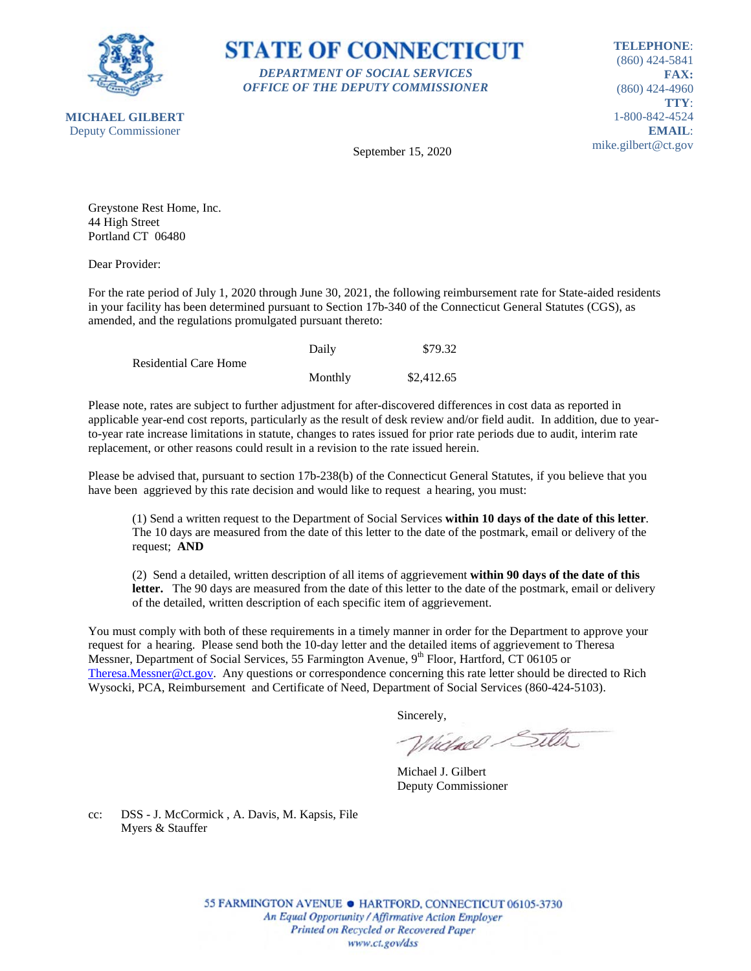

**STATE OF CONNECTICUT** *DEPARTMENT OF SOCIAL SERVICES OFFICE OF THE DEPUTY COMMISSIONER*

**TELEPHONE**: (860) 424-5841 **FAX:** (860) 424-4960 **TTY**: 1-800-842-4524 **EMAIL**: mike.gilbert@ct.gov

September 15, 2020

Greystone Rest Home, Inc. 44 High Street Portland CT 06480

Dear Provider:

For the rate period of July 1, 2020 through June 30, 2021, the following reimbursement rate for State-aided residents in your facility has been determined pursuant to Section 17b-340 of the Connecticut General Statutes (CGS), as amended, and the regulations promulgated pursuant thereto:

|                              | Daily   | \$79.32    |
|------------------------------|---------|------------|
| <b>Residential Care Home</b> |         |            |
|                              | Monthly | \$2,412.65 |

Please note, rates are subject to further adjustment for after-discovered differences in cost data as reported in applicable year-end cost reports, particularly as the result of desk review and/or field audit. In addition, due to yearto-year rate increase limitations in statute, changes to rates issued for prior rate periods due to audit, interim rate replacement, or other reasons could result in a revision to the rate issued herein.

Please be advised that, pursuant to section 17b-238(b) of the Connecticut General Statutes, if you believe that you have been aggrieved by this rate decision and would like to request a hearing, you must:

(1) Send a written request to the Department of Social Services **within 10 days of the date of this letter**. The 10 days are measured from the date of this letter to the date of the postmark, email or delivery of the request; **AND**

(2) Send a detailed, written description of all items of aggrievement **within 90 days of the date of this letter.** The 90 days are measured from the date of this letter to the date of the postmark, email or delivery of the detailed, written description of each specific item of aggrievement.

You must comply with both of these requirements in a timely manner in order for the Department to approve your request for a hearing. Please send both the 10-day letter and the detailed items of aggrievement to Theresa Messner, Department of Social Services, 55 Farmington Avenue, 9<sup>th</sup> Floor, Hartford, CT 06105 or [Theresa.Messner@ct.gov.](mailto:Theresa.Messner@ct.gov) Any questions or correspondence concerning this rate letter should be directed to Rich Wysocki, PCA, Reimbursement and Certificate of Need, Department of Social Services (860-424-5103).

Sincerely,

Wielnel Silta

Michael J. Gilbert Deputy Commissioner

cc: DSS - J. McCormick , A. Davis, M. Kapsis, File Myers & Stauffer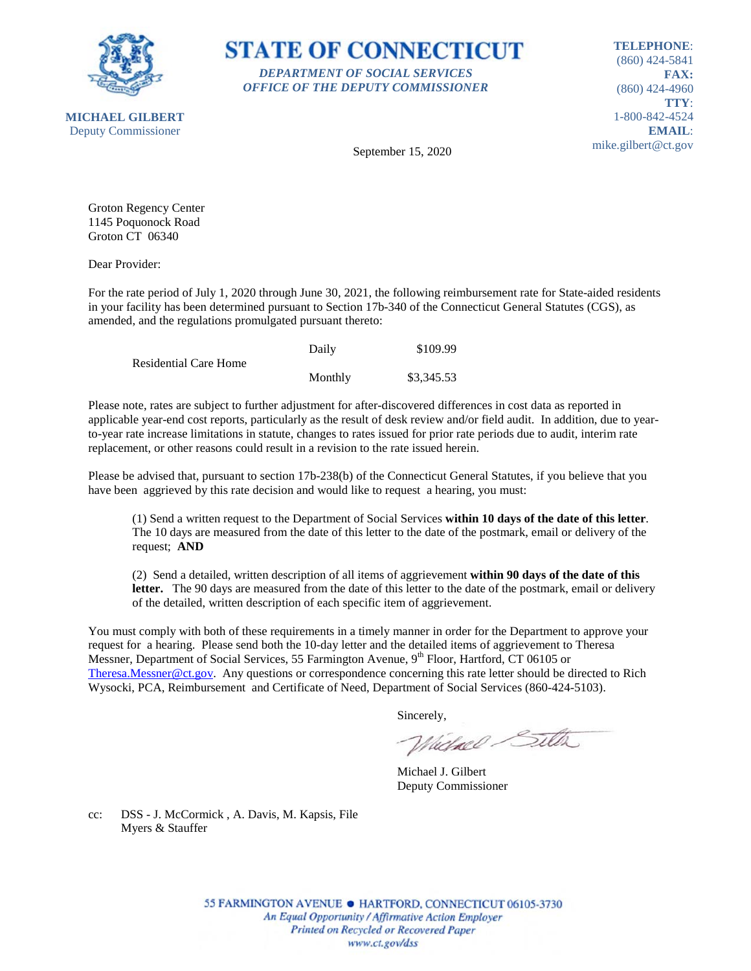



**TELEPHONE**: (860) 424-5841 **FAX:** (860) 424-4960 **TTY**: 1-800-842-4524 **EMAIL**: mike.gilbert@ct.gov

September 15, 2020

Groton Regency Center 1145 Poquonock Road Groton CT 06340

Dear Provider:

For the rate period of July 1, 2020 through June 30, 2021, the following reimbursement rate for State-aided residents in your facility has been determined pursuant to Section 17b-340 of the Connecticut General Statutes (CGS), as amended, and the regulations promulgated pursuant thereto:

|                       | Daily   | \$109.99   |
|-----------------------|---------|------------|
| Residential Care Home |         |            |
|                       | Monthly | \$3,345.53 |

Please note, rates are subject to further adjustment for after-discovered differences in cost data as reported in applicable year-end cost reports, particularly as the result of desk review and/or field audit. In addition, due to yearto-year rate increase limitations in statute, changes to rates issued for prior rate periods due to audit, interim rate replacement, or other reasons could result in a revision to the rate issued herein.

Please be advised that, pursuant to section 17b-238(b) of the Connecticut General Statutes, if you believe that you have been aggrieved by this rate decision and would like to request a hearing, you must:

(1) Send a written request to the Department of Social Services **within 10 days of the date of this letter**. The 10 days are measured from the date of this letter to the date of the postmark, email or delivery of the request; **AND**

(2) Send a detailed, written description of all items of aggrievement **within 90 days of the date of this letter.** The 90 days are measured from the date of this letter to the date of the postmark, email or delivery of the detailed, written description of each specific item of aggrievement.

You must comply with both of these requirements in a timely manner in order for the Department to approve your request for a hearing. Please send both the 10-day letter and the detailed items of aggrievement to Theresa Messner, Department of Social Services, 55 Farmington Avenue, 9<sup>th</sup> Floor, Hartford, CT 06105 or [Theresa.Messner@ct.gov.](mailto:Theresa.Messner@ct.gov) Any questions or correspondence concerning this rate letter should be directed to Rich Wysocki, PCA, Reimbursement and Certificate of Need, Department of Social Services (860-424-5103).

Sincerely,

Wielnel Silta

Michael J. Gilbert Deputy Commissioner

cc: DSS - J. McCormick , A. Davis, M. Kapsis, File Myers & Stauffer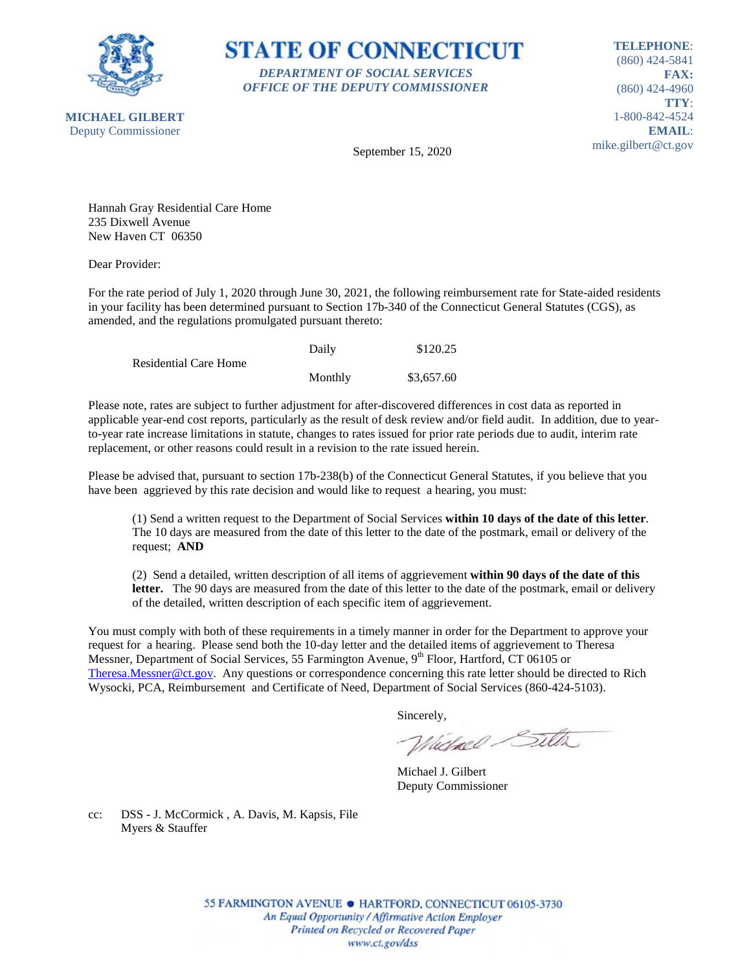

**STATE OF CONNECTICUT** *DEPARTMENT OF SOCIAL SERVICES OFFICE OF THE DEPUTY COMMISSIONER*

**TELEPHONE**: (860) 424-5841 **FAX:** (860) 424-4960 **TTY**: 1-800-842-4524 **EMAIL**: mike.gilbert@ct.gov

September 15, 2020

Hannah Gray Residential Care Home 235 Dixwell Avenue New Haven CT 06350

Dear Provider:

For the rate period of July 1, 2020 through June 30, 2021, the following reimbursement rate for State-aided residents in your facility has been determined pursuant to Section 17b-340 of the Connecticut General Statutes (CGS), as amended, and the regulations promulgated pursuant thereto:

|                              | Daily   | \$120.25   |
|------------------------------|---------|------------|
| <b>Residential Care Home</b> |         |            |
|                              | Monthly | \$3,657.60 |

Please note, rates are subject to further adjustment for after-discovered differences in cost data as reported in applicable year-end cost reports, particularly as the result of desk review and/or field audit. In addition, due to yearto-year rate increase limitations in statute, changes to rates issued for prior rate periods due to audit, interim rate replacement, or other reasons could result in a revision to the rate issued herein.

Please be advised that, pursuant to section 17b-238(b) of the Connecticut General Statutes, if you believe that you have been aggrieved by this rate decision and would like to request a hearing, you must:

(1) Send a written request to the Department of Social Services **within 10 days of the date of this letter**. The 10 days are measured from the date of this letter to the date of the postmark, email or delivery of the request; **AND**

(2) Send a detailed, written description of all items of aggrievement **within 90 days of the date of this letter.** The 90 days are measured from the date of this letter to the date of the postmark, email or delivery of the detailed, written description of each specific item of aggrievement.

You must comply with both of these requirements in a timely manner in order for the Department to approve your request for a hearing. Please send both the 10-day letter and the detailed items of aggrievement to Theresa Messner, Department of Social Services, 55 Farmington Avenue, 9<sup>th</sup> Floor, Hartford, CT 06105 or [Theresa.Messner@ct.gov.](mailto:Theresa.Messner@ct.gov) Any questions or correspondence concerning this rate letter should be directed to Rich Wysocki, PCA, Reimbursement and Certificate of Need, Department of Social Services (860-424-5103).

Sincerely,

Wielnel Silta

Michael J. Gilbert Deputy Commissioner

cc: DSS - J. McCormick , A. Davis, M. Kapsis, File Myers & Stauffer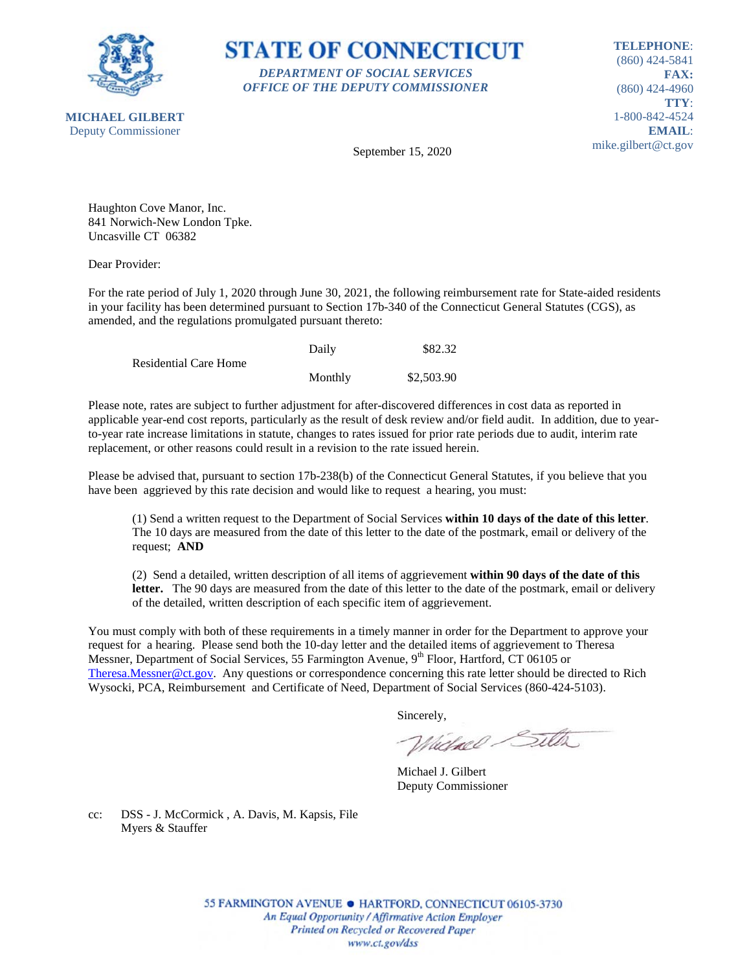

**STATE OF CONNECTICUT** *DEPARTMENT OF SOCIAL SERVICES OFFICE OF THE DEPUTY COMMISSIONER*

**TELEPHONE**: (860) 424-5841 **FAX:** (860) 424-4960 **TTY**: 1-800-842-4524 **EMAIL**: mike.gilbert@ct.gov

September 15, 2020

Haughton Cove Manor, Inc. 841 Norwich-New London Tpke. Uncasville CT 06382

Dear Provider:

For the rate period of July 1, 2020 through June 30, 2021, the following reimbursement rate for State-aided residents in your facility has been determined pursuant to Section 17b-340 of the Connecticut General Statutes (CGS), as amended, and the regulations promulgated pursuant thereto:

|                              | Daily   | \$82.32    |
|------------------------------|---------|------------|
| <b>Residential Care Home</b> |         |            |
|                              | Monthly | \$2,503.90 |

Please note, rates are subject to further adjustment for after-discovered differences in cost data as reported in applicable year-end cost reports, particularly as the result of desk review and/or field audit. In addition, due to yearto-year rate increase limitations in statute, changes to rates issued for prior rate periods due to audit, interim rate replacement, or other reasons could result in a revision to the rate issued herein.

Please be advised that, pursuant to section 17b-238(b) of the Connecticut General Statutes, if you believe that you have been aggrieved by this rate decision and would like to request a hearing, you must:

(1) Send a written request to the Department of Social Services **within 10 days of the date of this letter**. The 10 days are measured from the date of this letter to the date of the postmark, email or delivery of the request; **AND**

(2) Send a detailed, written description of all items of aggrievement **within 90 days of the date of this letter.** The 90 days are measured from the date of this letter to the date of the postmark, email or delivery of the detailed, written description of each specific item of aggrievement.

You must comply with both of these requirements in a timely manner in order for the Department to approve your request for a hearing. Please send both the 10-day letter and the detailed items of aggrievement to Theresa Messner, Department of Social Services, 55 Farmington Avenue, 9<sup>th</sup> Floor, Hartford, CT 06105 or [Theresa.Messner@ct.gov.](mailto:Theresa.Messner@ct.gov) Any questions or correspondence concerning this rate letter should be directed to Rich Wysocki, PCA, Reimbursement and Certificate of Need, Department of Social Services (860-424-5103).

Sincerely,

Wielnel Silta

Michael J. Gilbert Deputy Commissioner

cc: DSS - J. McCormick , A. Davis, M. Kapsis, File Myers & Stauffer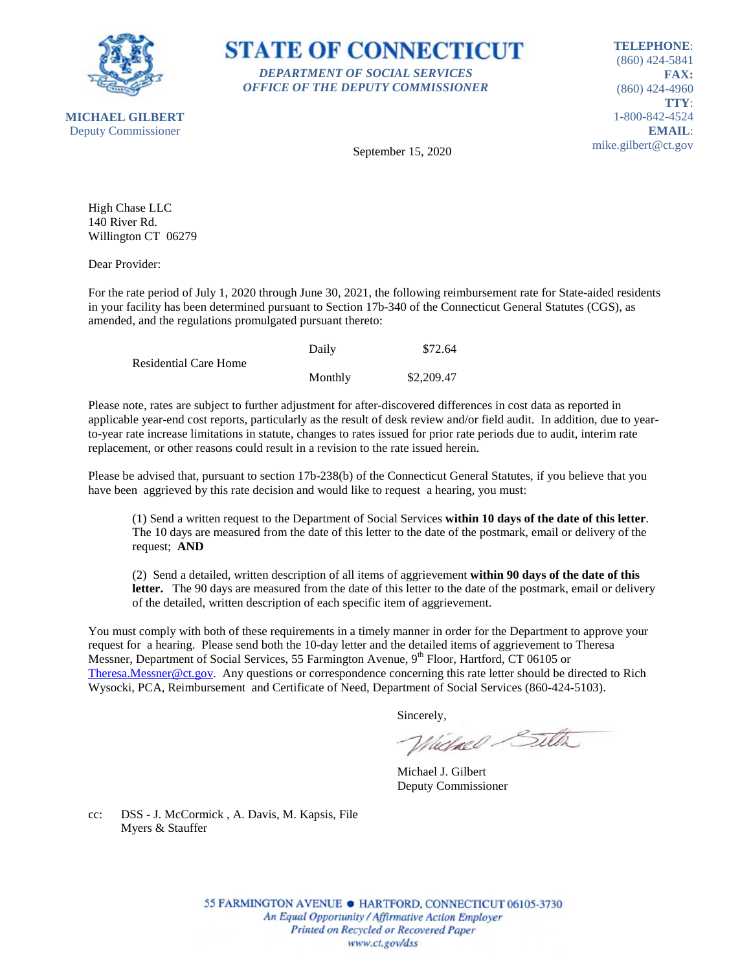

**STATE OF CONNECTICUT** *DEPARTMENT OF SOCIAL SERVICES OFFICE OF THE DEPUTY COMMISSIONER*

**TELEPHONE**: (860) 424-5841 **FAX:** (860) 424-4960 **TTY**: 1-800-842-4524 **EMAIL**: mike.gilbert@ct.gov

**MICHAEL GILBERT** Deputy Commissioner

September 15, 2020

High Chase LLC 140 River Rd. Willington CT 06279

Dear Provider:

For the rate period of July 1, 2020 through June 30, 2021, the following reimbursement rate for State-aided residents in your facility has been determined pursuant to Section 17b-340 of the Connecticut General Statutes (CGS), as amended, and the regulations promulgated pursuant thereto:

|                              | Daily   | \$72.64    |
|------------------------------|---------|------------|
| <b>Residential Care Home</b> |         |            |
|                              | Monthly | \$2,209.47 |

Please note, rates are subject to further adjustment for after-discovered differences in cost data as reported in applicable year-end cost reports, particularly as the result of desk review and/or field audit. In addition, due to yearto-year rate increase limitations in statute, changes to rates issued for prior rate periods due to audit, interim rate replacement, or other reasons could result in a revision to the rate issued herein.

Please be advised that, pursuant to section 17b-238(b) of the Connecticut General Statutes, if you believe that you have been aggrieved by this rate decision and would like to request a hearing, you must:

(1) Send a written request to the Department of Social Services **within 10 days of the date of this letter**. The 10 days are measured from the date of this letter to the date of the postmark, email or delivery of the request; **AND**

(2) Send a detailed, written description of all items of aggrievement **within 90 days of the date of this letter.** The 90 days are measured from the date of this letter to the date of the postmark, email or delivery of the detailed, written description of each specific item of aggrievement.

You must comply with both of these requirements in a timely manner in order for the Department to approve your request for a hearing. Please send both the 10-day letter and the detailed items of aggrievement to Theresa Messner, Department of Social Services, 55 Farmington Avenue, 9<sup>th</sup> Floor, Hartford, CT 06105 or [Theresa.Messner@ct.gov.](mailto:Theresa.Messner@ct.gov) Any questions or correspondence concerning this rate letter should be directed to Rich Wysocki, PCA, Reimbursement and Certificate of Need, Department of Social Services (860-424-5103).

Sincerely,

Wielnel Silta

Michael J. Gilbert Deputy Commissioner

cc: DSS - J. McCormick , A. Davis, M. Kapsis, File Myers & Stauffer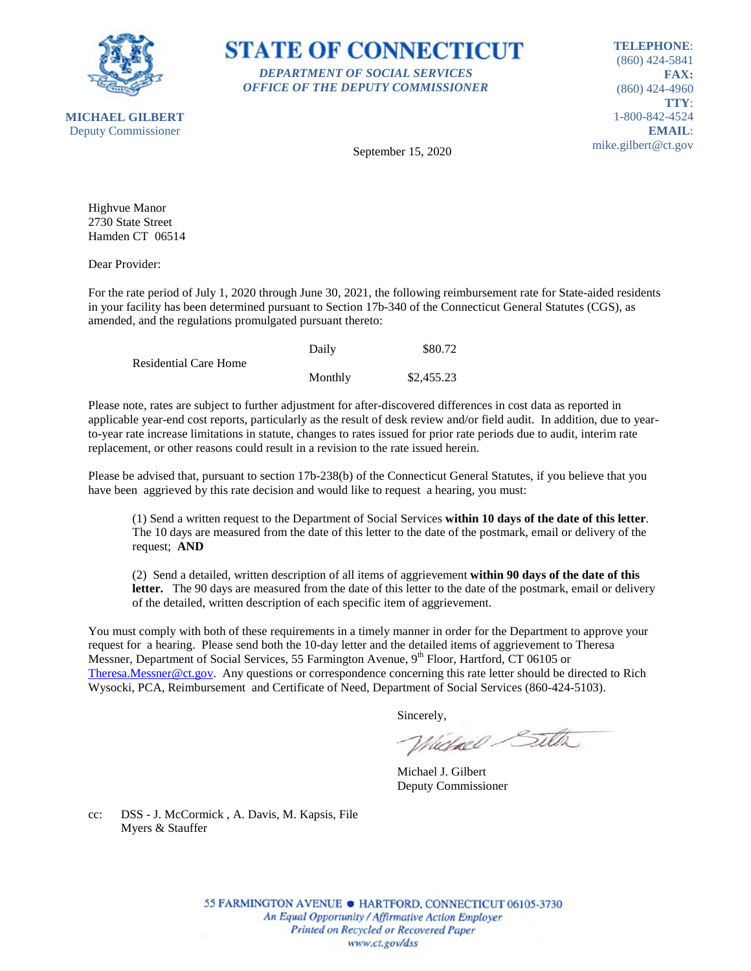



**TELEPHONE**: (860) 424-5841 **FAX:** (860) 424-4960 **TTY**: 1-800-842-4524 **EMAIL**: mike.gilbert@ct.gov

September 15, 2020

Highvue Manor 2730 State Street Hamden CT 06514

Dear Provider:

For the rate period of July 1, 2020 through June 30, 2021, the following reimbursement rate for State-aided residents in your facility has been determined pursuant to Section 17b-340 of the Connecticut General Statutes (CGS), as amended, and the regulations promulgated pursuant thereto:

|                              | Daily   | \$80.72    |
|------------------------------|---------|------------|
| <b>Residential Care Home</b> |         |            |
|                              | Monthly | \$2,455.23 |

Please note, rates are subject to further adjustment for after-discovered differences in cost data as reported in applicable year-end cost reports, particularly as the result of desk review and/or field audit. In addition, due to yearto-year rate increase limitations in statute, changes to rates issued for prior rate periods due to audit, interim rate replacement, or other reasons could result in a revision to the rate issued herein.

Please be advised that, pursuant to section 17b-238(b) of the Connecticut General Statutes, if you believe that you have been aggrieved by this rate decision and would like to request a hearing, you must:

(1) Send a written request to the Department of Social Services **within 10 days of the date of this letter**. The 10 days are measured from the date of this letter to the date of the postmark, email or delivery of the request; **AND**

(2) Send a detailed, written description of all items of aggrievement **within 90 days of the date of this letter.** The 90 days are measured from the date of this letter to the date of the postmark, email or delivery of the detailed, written description of each specific item of aggrievement.

You must comply with both of these requirements in a timely manner in order for the Department to approve your request for a hearing. Please send both the 10-day letter and the detailed items of aggrievement to Theresa Messner, Department of Social Services, 55 Farmington Avenue, 9<sup>th</sup> Floor, Hartford, CT 06105 or [Theresa.Messner@ct.gov.](mailto:Theresa.Messner@ct.gov) Any questions or correspondence concerning this rate letter should be directed to Rich Wysocki, PCA, Reimbursement and Certificate of Need, Department of Social Services (860-424-5103).

Sincerely,

Wielnel Silta

Michael J. Gilbert Deputy Commissioner

cc: DSS - J. McCormick , A. Davis, M. Kapsis, File Myers & Stauffer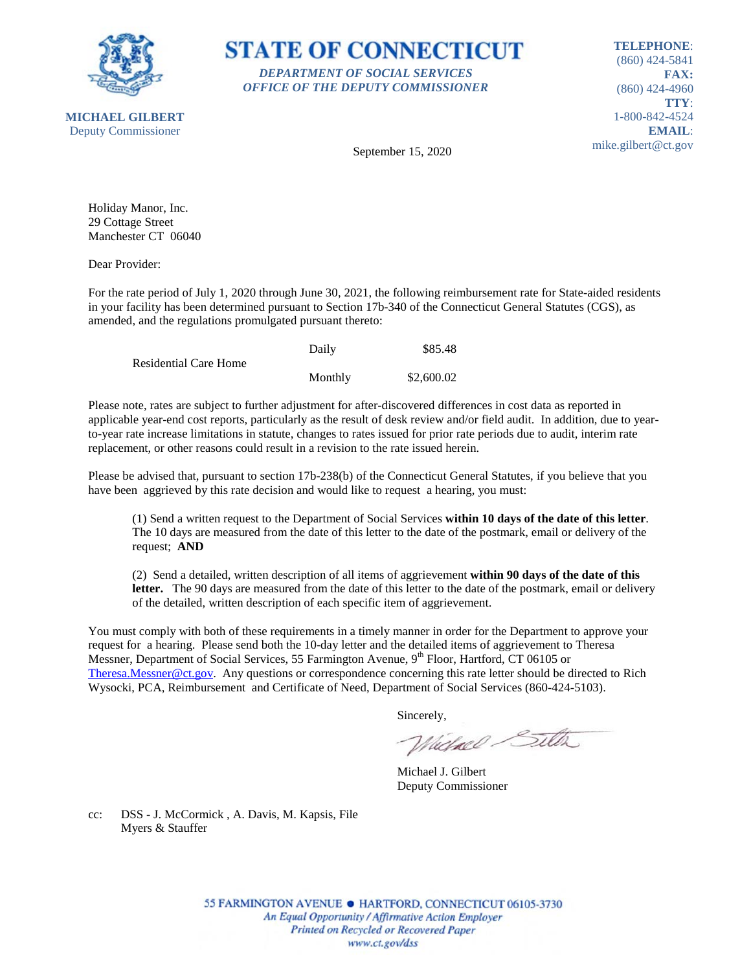



**TELEPHONE**: (860) 424-5841 **FAX:** (860) 424-4960 **TTY**: 1-800-842-4524 **EMAIL**: mike.gilbert@ct.gov

September 15, 2020

Holiday Manor, Inc. 29 Cottage Street Manchester CT 06040

Dear Provider:

For the rate period of July 1, 2020 through June 30, 2021, the following reimbursement rate for State-aided residents in your facility has been determined pursuant to Section 17b-340 of the Connecticut General Statutes (CGS), as amended, and the regulations promulgated pursuant thereto:

|                              | Daily   | \$85.48    |
|------------------------------|---------|------------|
| <b>Residential Care Home</b> |         |            |
|                              | Monthly | \$2,600.02 |

Please note, rates are subject to further adjustment for after-discovered differences in cost data as reported in applicable year-end cost reports, particularly as the result of desk review and/or field audit. In addition, due to yearto-year rate increase limitations in statute, changes to rates issued for prior rate periods due to audit, interim rate replacement, or other reasons could result in a revision to the rate issued herein.

Please be advised that, pursuant to section 17b-238(b) of the Connecticut General Statutes, if you believe that you have been aggrieved by this rate decision and would like to request a hearing, you must:

(1) Send a written request to the Department of Social Services **within 10 days of the date of this letter**. The 10 days are measured from the date of this letter to the date of the postmark, email or delivery of the request; **AND**

(2) Send a detailed, written description of all items of aggrievement **within 90 days of the date of this letter.** The 90 days are measured from the date of this letter to the date of the postmark, email or delivery of the detailed, written description of each specific item of aggrievement.

You must comply with both of these requirements in a timely manner in order for the Department to approve your request for a hearing. Please send both the 10-day letter and the detailed items of aggrievement to Theresa Messner, Department of Social Services, 55 Farmington Avenue, 9<sup>th</sup> Floor, Hartford, CT 06105 or [Theresa.Messner@ct.gov.](mailto:Theresa.Messner@ct.gov) Any questions or correspondence concerning this rate letter should be directed to Rich Wysocki, PCA, Reimbursement and Certificate of Need, Department of Social Services (860-424-5103).

Sincerely,

Wielnel Silta

Michael J. Gilbert Deputy Commissioner

cc: DSS - J. McCormick , A. Davis, M. Kapsis, File Myers & Stauffer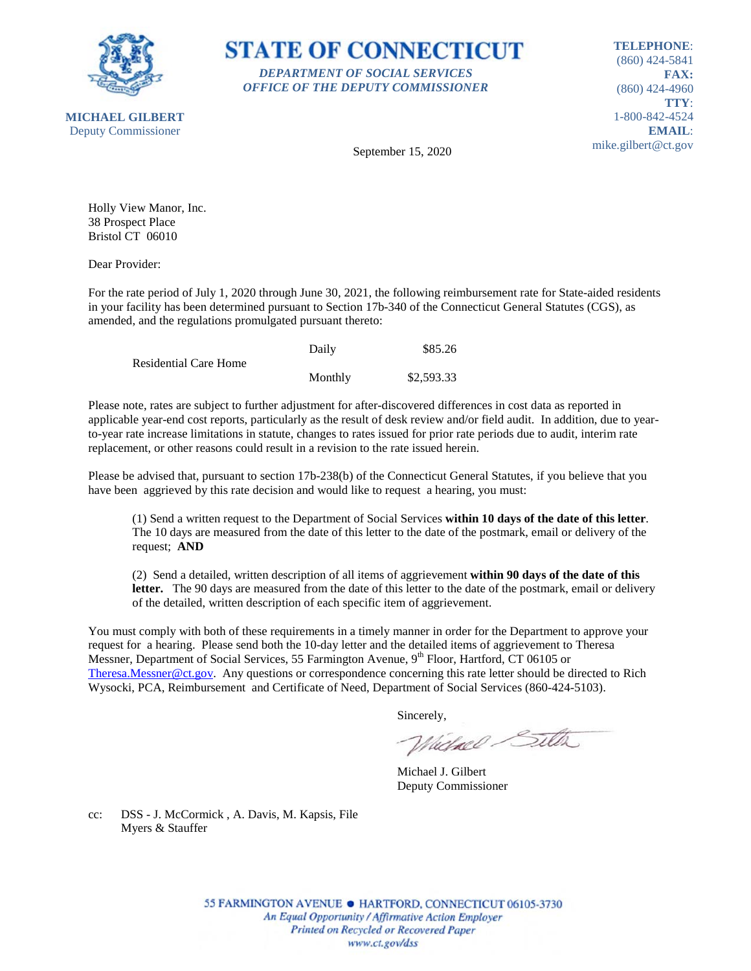



**TELEPHONE**: (860) 424-5841 **FAX:** (860) 424-4960 **TTY**: 1-800-842-4524 **EMAIL**: mike.gilbert@ct.gov

September 15, 2020

Holly View Manor, Inc. 38 Prospect Place Bristol CT 06010

Dear Provider:

For the rate period of July 1, 2020 through June 30, 2021, the following reimbursement rate for State-aided residents in your facility has been determined pursuant to Section 17b-340 of the Connecticut General Statutes (CGS), as amended, and the regulations promulgated pursuant thereto:

|                              | Daily   | \$85.26    |
|------------------------------|---------|------------|
| <b>Residential Care Home</b> |         |            |
|                              | Monthly | \$2,593.33 |

Please note, rates are subject to further adjustment for after-discovered differences in cost data as reported in applicable year-end cost reports, particularly as the result of desk review and/or field audit. In addition, due to yearto-year rate increase limitations in statute, changes to rates issued for prior rate periods due to audit, interim rate replacement, or other reasons could result in a revision to the rate issued herein.

Please be advised that, pursuant to section 17b-238(b) of the Connecticut General Statutes, if you believe that you have been aggrieved by this rate decision and would like to request a hearing, you must:

(1) Send a written request to the Department of Social Services **within 10 days of the date of this letter**. The 10 days are measured from the date of this letter to the date of the postmark, email or delivery of the request; **AND**

(2) Send a detailed, written description of all items of aggrievement **within 90 days of the date of this letter.** The 90 days are measured from the date of this letter to the date of the postmark, email or delivery of the detailed, written description of each specific item of aggrievement.

You must comply with both of these requirements in a timely manner in order for the Department to approve your request for a hearing. Please send both the 10-day letter and the detailed items of aggrievement to Theresa Messner, Department of Social Services, 55 Farmington Avenue, 9<sup>th</sup> Floor, Hartford, CT 06105 or [Theresa.Messner@ct.gov.](mailto:Theresa.Messner@ct.gov) Any questions or correspondence concerning this rate letter should be directed to Rich Wysocki, PCA, Reimbursement and Certificate of Need, Department of Social Services (860-424-5103).

Sincerely,

Wielnel Silta

Michael J. Gilbert Deputy Commissioner

cc: DSS - J. McCormick , A. Davis, M. Kapsis, File Myers & Stauffer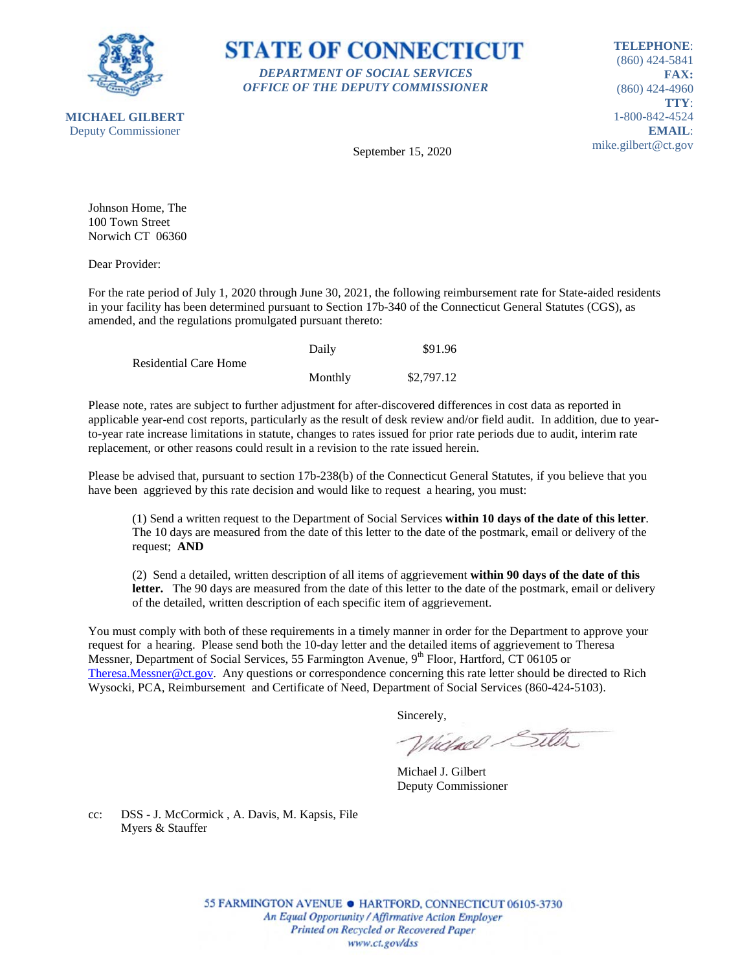



**TELEPHONE**: (860) 424-5841 **FAX:** (860) 424-4960 **TTY**: 1-800-842-4524 **EMAIL**: mike.gilbert@ct.gov

September 15, 2020

Johnson Home, The 100 Town Street Norwich CT 06360

Dear Provider:

For the rate period of July 1, 2020 through June 30, 2021, the following reimbursement rate for State-aided residents in your facility has been determined pursuant to Section 17b-340 of the Connecticut General Statutes (CGS), as amended, and the regulations promulgated pursuant thereto:

|                              | Daily   | \$91.96    |
|------------------------------|---------|------------|
| <b>Residential Care Home</b> |         |            |
|                              | Monthly | \$2,797.12 |

Please note, rates are subject to further adjustment for after-discovered differences in cost data as reported in applicable year-end cost reports, particularly as the result of desk review and/or field audit. In addition, due to yearto-year rate increase limitations in statute, changes to rates issued for prior rate periods due to audit, interim rate replacement, or other reasons could result in a revision to the rate issued herein.

Please be advised that, pursuant to section 17b-238(b) of the Connecticut General Statutes, if you believe that you have been aggrieved by this rate decision and would like to request a hearing, you must:

(1) Send a written request to the Department of Social Services **within 10 days of the date of this letter**. The 10 days are measured from the date of this letter to the date of the postmark, email or delivery of the request; **AND**

(2) Send a detailed, written description of all items of aggrievement **within 90 days of the date of this letter.** The 90 days are measured from the date of this letter to the date of the postmark, email or delivery of the detailed, written description of each specific item of aggrievement.

You must comply with both of these requirements in a timely manner in order for the Department to approve your request for a hearing. Please send both the 10-day letter and the detailed items of aggrievement to Theresa Messner, Department of Social Services, 55 Farmington Avenue, 9<sup>th</sup> Floor, Hartford, CT 06105 or [Theresa.Messner@ct.gov.](mailto:Theresa.Messner@ct.gov) Any questions or correspondence concerning this rate letter should be directed to Rich Wysocki, PCA, Reimbursement and Certificate of Need, Department of Social Services (860-424-5103).

Sincerely,

Wielnel Silta

Michael J. Gilbert Deputy Commissioner

cc: DSS - J. McCormick , A. Davis, M. Kapsis, File Myers & Stauffer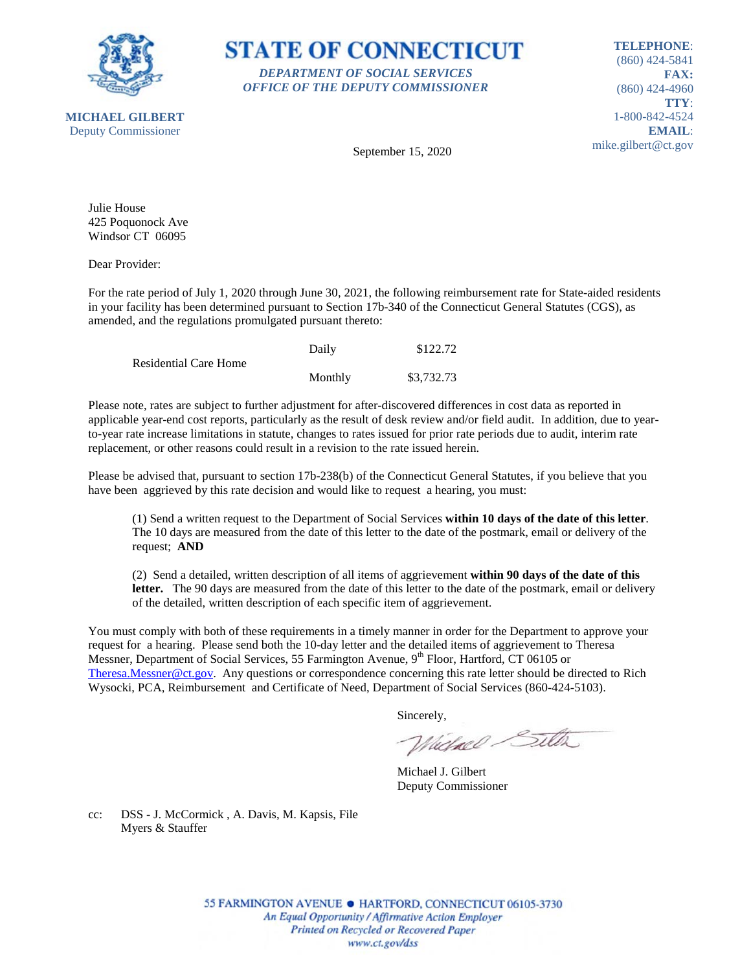

**STATE OF CONNECTICUT** *DEPARTMENT OF SOCIAL SERVICES OFFICE OF THE DEPUTY COMMISSIONER*

**TELEPHONE**: (860) 424-5841 **FAX:** (860) 424-4960 **TTY**: 1-800-842-4524 **EMAIL**: mike.gilbert@ct.gov

September 15, 2020

Julie House 425 Poquonock Ave Windsor CT 06095

Dear Provider:

For the rate period of July 1, 2020 through June 30, 2021, the following reimbursement rate for State-aided residents in your facility has been determined pursuant to Section 17b-340 of the Connecticut General Statutes (CGS), as amended, and the regulations promulgated pursuant thereto:

|                       | Daily   | \$122.72   |
|-----------------------|---------|------------|
| Residential Care Home |         |            |
|                       | Monthly | \$3,732.73 |

Please note, rates are subject to further adjustment for after-discovered differences in cost data as reported in applicable year-end cost reports, particularly as the result of desk review and/or field audit. In addition, due to yearto-year rate increase limitations in statute, changes to rates issued for prior rate periods due to audit, interim rate replacement, or other reasons could result in a revision to the rate issued herein.

Please be advised that, pursuant to section 17b-238(b) of the Connecticut General Statutes, if you believe that you have been aggrieved by this rate decision and would like to request a hearing, you must:

(1) Send a written request to the Department of Social Services **within 10 days of the date of this letter**. The 10 days are measured from the date of this letter to the date of the postmark, email or delivery of the request; **AND**

(2) Send a detailed, written description of all items of aggrievement **within 90 days of the date of this letter.** The 90 days are measured from the date of this letter to the date of the postmark, email or delivery of the detailed, written description of each specific item of aggrievement.

You must comply with both of these requirements in a timely manner in order for the Department to approve your request for a hearing. Please send both the 10-day letter and the detailed items of aggrievement to Theresa Messner, Department of Social Services, 55 Farmington Avenue, 9<sup>th</sup> Floor, Hartford, CT 06105 or [Theresa.Messner@ct.gov.](mailto:Theresa.Messner@ct.gov) Any questions or correspondence concerning this rate letter should be directed to Rich Wysocki, PCA, Reimbursement and Certificate of Need, Department of Social Services (860-424-5103).

Sincerely,

Wielnel Silta

Michael J. Gilbert Deputy Commissioner

cc: DSS - J. McCormick , A. Davis, M. Kapsis, File Myers & Stauffer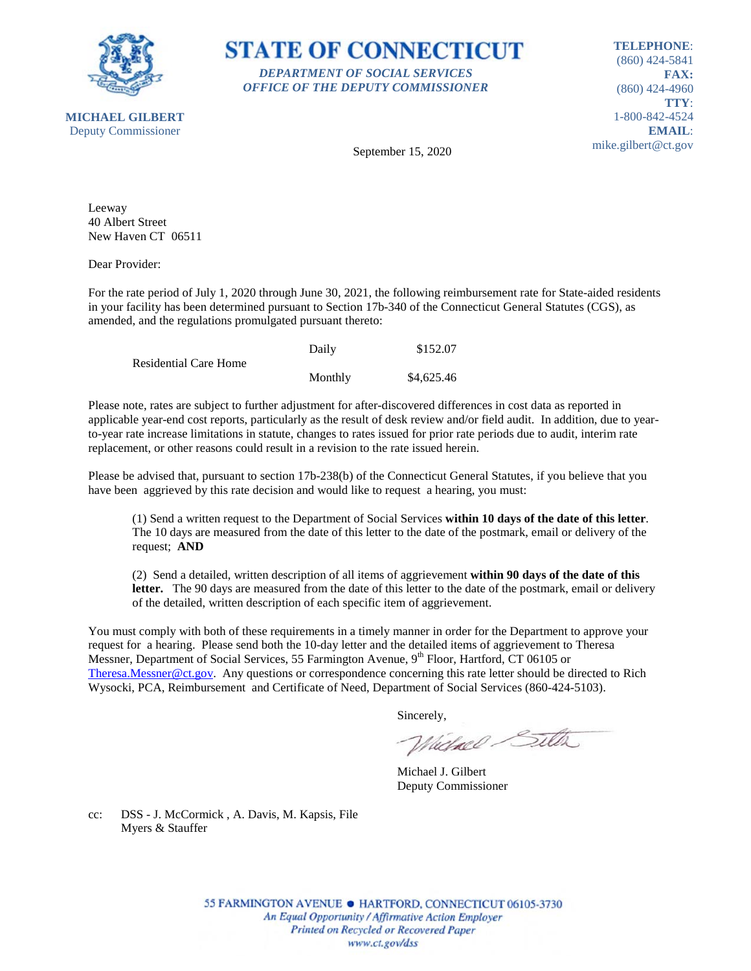

**STATE OF CONNECTICUT** *DEPARTMENT OF SOCIAL SERVICES OFFICE OF THE DEPUTY COMMISSIONER*

**TELEPHONE**: (860) 424-5841 **FAX:** (860) 424-4960 **TTY**: 1-800-842-4524 **EMAIL**: mike.gilbert@ct.gov

September 15, 2020

Leeway 40 Albert Street New Haven CT 06511

Dear Provider:

For the rate period of July 1, 2020 through June 30, 2021, the following reimbursement rate for State-aided residents in your facility has been determined pursuant to Section 17b-340 of the Connecticut General Statutes (CGS), as amended, and the regulations promulgated pursuant thereto:

|                              | Daily   | \$152.07   |
|------------------------------|---------|------------|
| <b>Residential Care Home</b> |         |            |
|                              | Monthly | \$4,625.46 |

Please note, rates are subject to further adjustment for after-discovered differences in cost data as reported in applicable year-end cost reports, particularly as the result of desk review and/or field audit. In addition, due to yearto-year rate increase limitations in statute, changes to rates issued for prior rate periods due to audit, interim rate replacement, or other reasons could result in a revision to the rate issued herein.

Please be advised that, pursuant to section 17b-238(b) of the Connecticut General Statutes, if you believe that you have been aggrieved by this rate decision and would like to request a hearing, you must:

(1) Send a written request to the Department of Social Services **within 10 days of the date of this letter**. The 10 days are measured from the date of this letter to the date of the postmark, email or delivery of the request; **AND**

(2) Send a detailed, written description of all items of aggrievement **within 90 days of the date of this letter.** The 90 days are measured from the date of this letter to the date of the postmark, email or delivery of the detailed, written description of each specific item of aggrievement.

You must comply with both of these requirements in a timely manner in order for the Department to approve your request for a hearing. Please send both the 10-day letter and the detailed items of aggrievement to Theresa Messner, Department of Social Services, 55 Farmington Avenue, 9<sup>th</sup> Floor, Hartford, CT 06105 or [Theresa.Messner@ct.gov.](mailto:Theresa.Messner@ct.gov) Any questions or correspondence concerning this rate letter should be directed to Rich Wysocki, PCA, Reimbursement and Certificate of Need, Department of Social Services (860-424-5103).

Sincerely,

Wielnel Silta

Michael J. Gilbert Deputy Commissioner

cc: DSS - J. McCormick , A. Davis, M. Kapsis, File Myers & Stauffer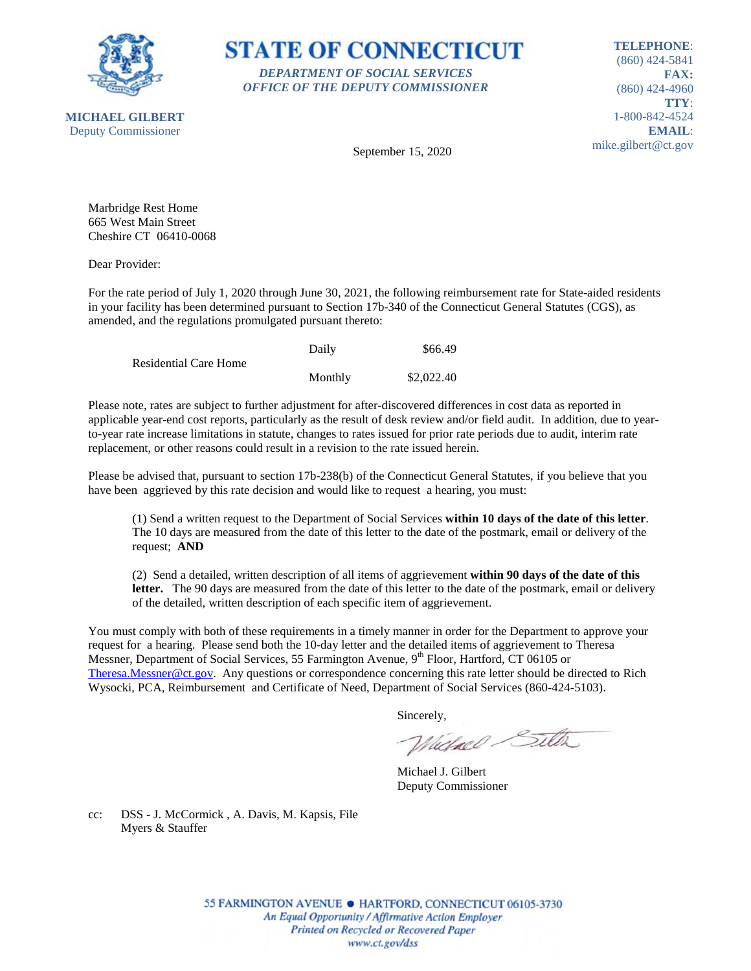

**STATE OF CONNECTICUT** *DEPARTMENT OF SOCIAL SERVICES OFFICE OF THE DEPUTY COMMISSIONER*

**TELEPHONE**: (860) 424-5841 **FAX:** (860) 424-4960 **TTY**: 1-800-842-4524 **EMAIL**: mike.gilbert@ct.gov

September 15, 2020

Marbridge Rest Home 665 West Main Street Cheshire CT 06410-0068

Dear Provider:

For the rate period of July 1, 2020 through June 30, 2021, the following reimbursement rate for State-aided residents in your facility has been determined pursuant to Section 17b-340 of the Connecticut General Statutes (CGS), as amended, and the regulations promulgated pursuant thereto:

|                       | Daily   | \$66.49    |
|-----------------------|---------|------------|
| Residential Care Home |         |            |
|                       | Monthly | \$2,022.40 |

Please note, rates are subject to further adjustment for after-discovered differences in cost data as reported in applicable year-end cost reports, particularly as the result of desk review and/or field audit. In addition, due to yearto-year rate increase limitations in statute, changes to rates issued for prior rate periods due to audit, interim rate replacement, or other reasons could result in a revision to the rate issued herein.

Please be advised that, pursuant to section 17b-238(b) of the Connecticut General Statutes, if you believe that you have been aggrieved by this rate decision and would like to request a hearing, you must:

(1) Send a written request to the Department of Social Services **within 10 days of the date of this letter**. The 10 days are measured from the date of this letter to the date of the postmark, email or delivery of the request; **AND**

(2) Send a detailed, written description of all items of aggrievement **within 90 days of the date of this letter.** The 90 days are measured from the date of this letter to the date of the postmark, email or delivery of the detailed, written description of each specific item of aggrievement.

You must comply with both of these requirements in a timely manner in order for the Department to approve your request for a hearing. Please send both the 10-day letter and the detailed items of aggrievement to Theresa Messner, Department of Social Services, 55 Farmington Avenue, 9<sup>th</sup> Floor, Hartford, CT 06105 or [Theresa.Messner@ct.gov.](mailto:Theresa.Messner@ct.gov) Any questions or correspondence concerning this rate letter should be directed to Rich Wysocki, PCA, Reimbursement and Certificate of Need, Department of Social Services (860-424-5103).

Sincerely,

Wielnel Silta

Michael J. Gilbert Deputy Commissioner

cc: DSS - J. McCormick , A. Davis, M. Kapsis, File Myers & Stauffer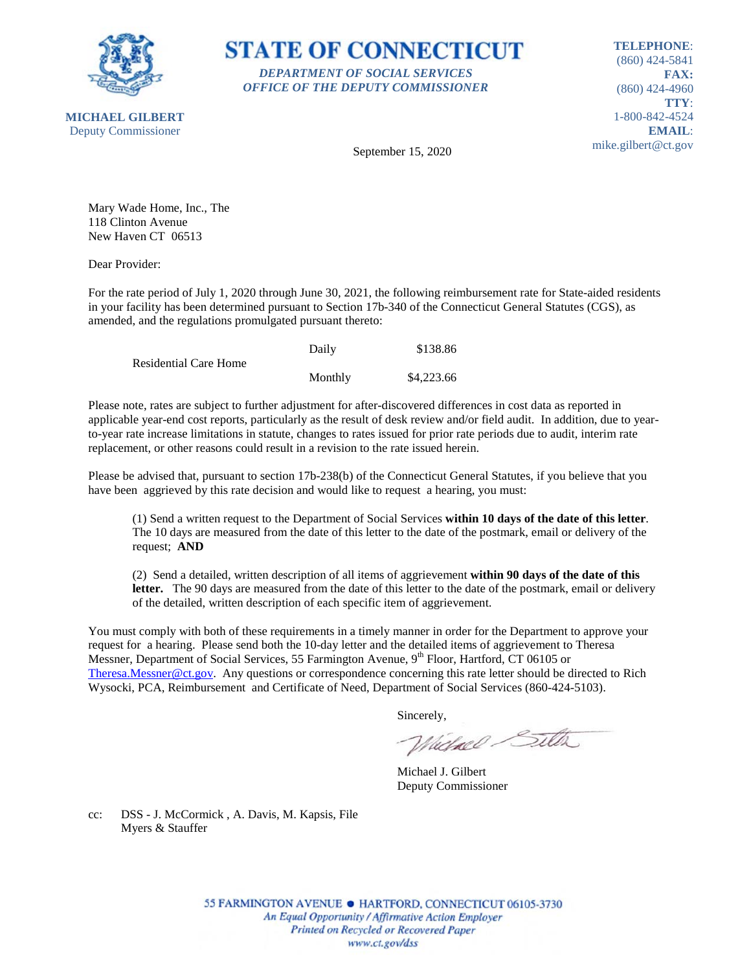



**TELEPHONE**: (860) 424-5841 **FAX:** (860) 424-4960 **TTY**: 1-800-842-4524 **EMAIL**: mike.gilbert@ct.gov

September 15, 2020

Mary Wade Home, Inc., The 118 Clinton Avenue New Haven CT 06513

Dear Provider:

For the rate period of July 1, 2020 through June 30, 2021, the following reimbursement rate for State-aided residents in your facility has been determined pursuant to Section 17b-340 of the Connecticut General Statutes (CGS), as amended, and the regulations promulgated pursuant thereto:

|                              | Daily   | \$138.86   |
|------------------------------|---------|------------|
| <b>Residential Care Home</b> |         |            |
|                              | Monthly | \$4,223.66 |

Please note, rates are subject to further adjustment for after-discovered differences in cost data as reported in applicable year-end cost reports, particularly as the result of desk review and/or field audit. In addition, due to yearto-year rate increase limitations in statute, changes to rates issued for prior rate periods due to audit, interim rate replacement, or other reasons could result in a revision to the rate issued herein.

Please be advised that, pursuant to section 17b-238(b) of the Connecticut General Statutes, if you believe that you have been aggrieved by this rate decision and would like to request a hearing, you must:

(1) Send a written request to the Department of Social Services **within 10 days of the date of this letter**. The 10 days are measured from the date of this letter to the date of the postmark, email or delivery of the request; **AND**

(2) Send a detailed, written description of all items of aggrievement **within 90 days of the date of this letter.** The 90 days are measured from the date of this letter to the date of the postmark, email or delivery of the detailed, written description of each specific item of aggrievement.

You must comply with both of these requirements in a timely manner in order for the Department to approve your request for a hearing. Please send both the 10-day letter and the detailed items of aggrievement to Theresa Messner, Department of Social Services, 55 Farmington Avenue, 9<sup>th</sup> Floor, Hartford, CT 06105 or [Theresa.Messner@ct.gov.](mailto:Theresa.Messner@ct.gov) Any questions or correspondence concerning this rate letter should be directed to Rich Wysocki, PCA, Reimbursement and Certificate of Need, Department of Social Services (860-424-5103).

Sincerely,

Wielnel Silta

Michael J. Gilbert Deputy Commissioner

cc: DSS - J. McCormick , A. Davis, M. Kapsis, File Myers & Stauffer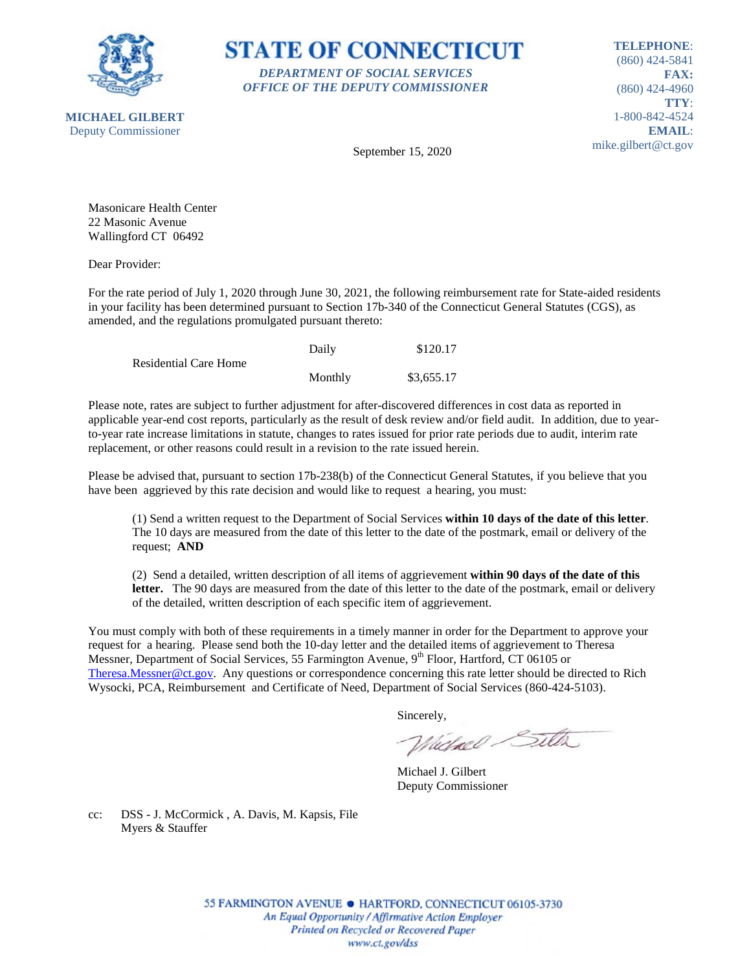



**TELEPHONE**: (860) 424-5841 **FAX:** (860) 424-4960 **TTY**: 1-800-842-4524 **EMAIL**: mike.gilbert@ct.gov

September 15, 2020

Masonicare Health Center 22 Masonic Avenue Wallingford CT 06492

Dear Provider:

For the rate period of July 1, 2020 through June 30, 2021, the following reimbursement rate for State-aided residents in your facility has been determined pursuant to Section 17b-340 of the Connecticut General Statutes (CGS), as amended, and the regulations promulgated pursuant thereto:

|                              | Daily   | \$120.17   |
|------------------------------|---------|------------|
| <b>Residential Care Home</b> |         |            |
|                              | Monthly | \$3,655.17 |

Please note, rates are subject to further adjustment for after-discovered differences in cost data as reported in applicable year-end cost reports, particularly as the result of desk review and/or field audit. In addition, due to yearto-year rate increase limitations in statute, changes to rates issued for prior rate periods due to audit, interim rate replacement, or other reasons could result in a revision to the rate issued herein.

Please be advised that, pursuant to section 17b-238(b) of the Connecticut General Statutes, if you believe that you have been aggrieved by this rate decision and would like to request a hearing, you must:

(1) Send a written request to the Department of Social Services **within 10 days of the date of this letter**. The 10 days are measured from the date of this letter to the date of the postmark, email or delivery of the request; **AND**

(2) Send a detailed, written description of all items of aggrievement **within 90 days of the date of this letter.** The 90 days are measured from the date of this letter to the date of the postmark, email or delivery of the detailed, written description of each specific item of aggrievement.

You must comply with both of these requirements in a timely manner in order for the Department to approve your request for a hearing. Please send both the 10-day letter and the detailed items of aggrievement to Theresa Messner, Department of Social Services, 55 Farmington Avenue, 9<sup>th</sup> Floor, Hartford, CT 06105 or [Theresa.Messner@ct.gov.](mailto:Theresa.Messner@ct.gov) Any questions or correspondence concerning this rate letter should be directed to Rich Wysocki, PCA, Reimbursement and Certificate of Need, Department of Social Services (860-424-5103).

Sincerely,

Wielnel Silta

Michael J. Gilbert Deputy Commissioner

cc: DSS - J. McCormick , A. Davis, M. Kapsis, File Myers & Stauffer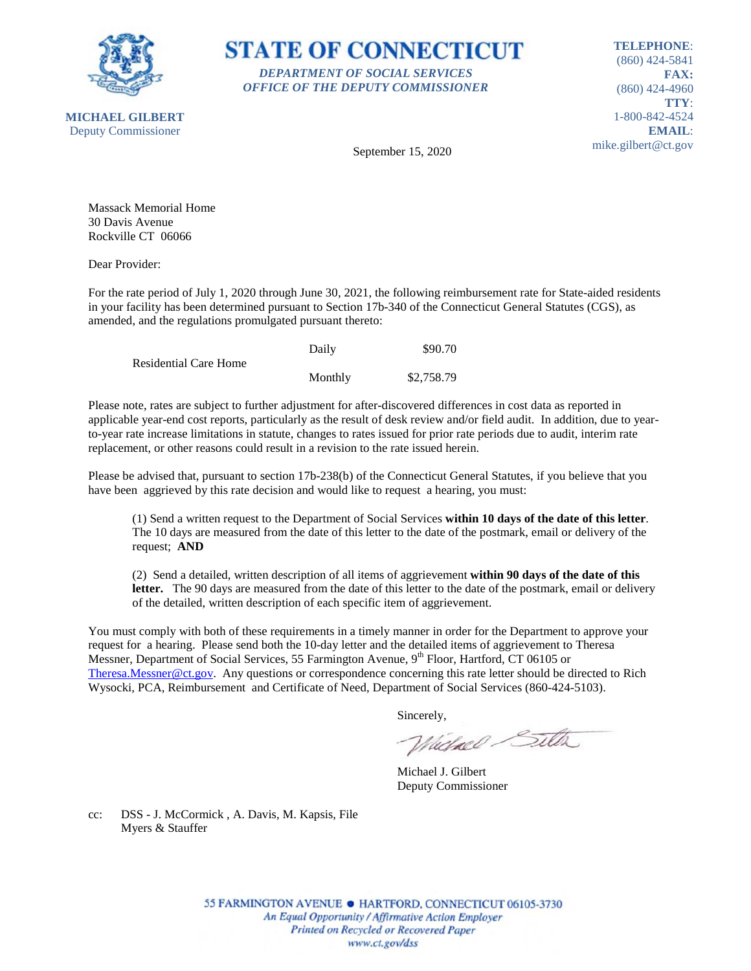



**TELEPHONE**: (860) 424-5841 **FAX:** (860) 424-4960 **TTY**: 1-800-842-4524 **EMAIL**: mike.gilbert@ct.gov

September 15, 2020

Massack Memorial Home 30 Davis Avenue Rockville CT 06066

Dear Provider:

For the rate period of July 1, 2020 through June 30, 2021, the following reimbursement rate for State-aided residents in your facility has been determined pursuant to Section 17b-340 of the Connecticut General Statutes (CGS), as amended, and the regulations promulgated pursuant thereto:

|                       | Daily   | \$90.70    |
|-----------------------|---------|------------|
| Residential Care Home |         |            |
|                       | Monthly | \$2,758.79 |

Please note, rates are subject to further adjustment for after-discovered differences in cost data as reported in applicable year-end cost reports, particularly as the result of desk review and/or field audit. In addition, due to yearto-year rate increase limitations in statute, changes to rates issued for prior rate periods due to audit, interim rate replacement, or other reasons could result in a revision to the rate issued herein.

Please be advised that, pursuant to section 17b-238(b) of the Connecticut General Statutes, if you believe that you have been aggrieved by this rate decision and would like to request a hearing, you must:

(1) Send a written request to the Department of Social Services **within 10 days of the date of this letter**. The 10 days are measured from the date of this letter to the date of the postmark, email or delivery of the request; **AND**

(2) Send a detailed, written description of all items of aggrievement **within 90 days of the date of this letter.** The 90 days are measured from the date of this letter to the date of the postmark, email or delivery of the detailed, written description of each specific item of aggrievement.

You must comply with both of these requirements in a timely manner in order for the Department to approve your request for a hearing. Please send both the 10-day letter and the detailed items of aggrievement to Theresa Messner, Department of Social Services, 55 Farmington Avenue, 9<sup>th</sup> Floor, Hartford, CT 06105 or [Theresa.Messner@ct.gov.](mailto:Theresa.Messner@ct.gov) Any questions or correspondence concerning this rate letter should be directed to Rich Wysocki, PCA, Reimbursement and Certificate of Need, Department of Social Services (860-424-5103).

Sincerely,

Wielnel Silta

Michael J. Gilbert Deputy Commissioner

cc: DSS - J. McCormick , A. Davis, M. Kapsis, File Myers & Stauffer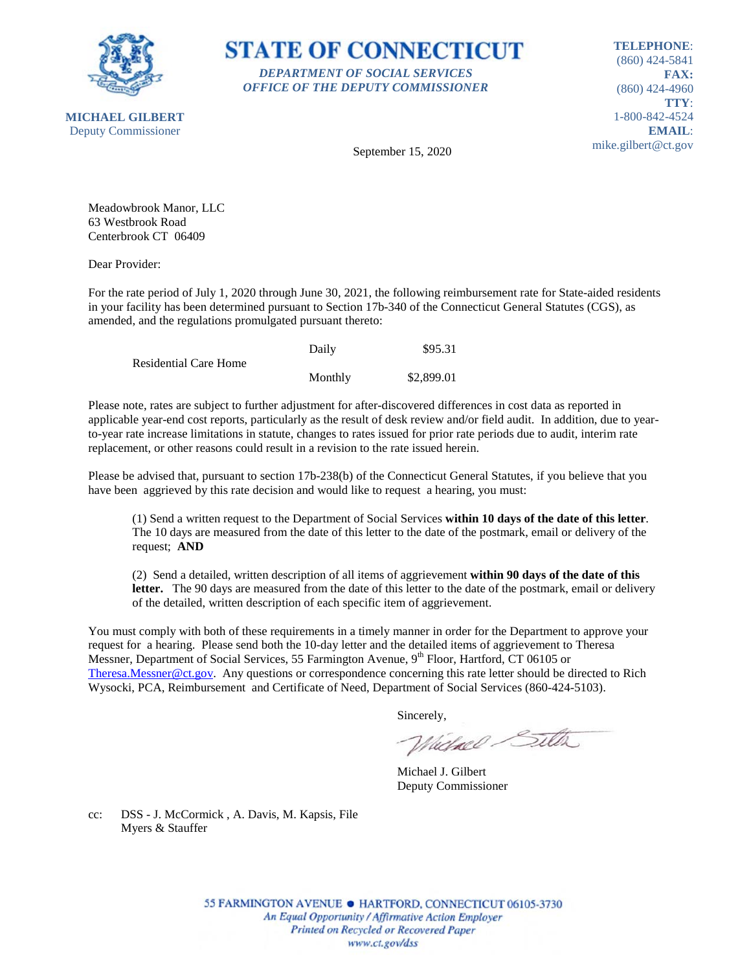

**STATE OF CONNECTICUT** *DEPARTMENT OF SOCIAL SERVICES OFFICE OF THE DEPUTY COMMISSIONER*

**TELEPHONE**: (860) 424-5841 **FAX:** (860) 424-4960 **TTY**: 1-800-842-4524 **EMAIL**: mike.gilbert@ct.gov

September 15, 2020

Meadowbrook Manor, LLC 63 Westbrook Road Centerbrook CT 06409

Dear Provider:

For the rate period of July 1, 2020 through June 30, 2021, the following reimbursement rate for State-aided residents in your facility has been determined pursuant to Section 17b-340 of the Connecticut General Statutes (CGS), as amended, and the regulations promulgated pursuant thereto:

|                       | Daily   | \$95.31    |
|-----------------------|---------|------------|
| Residential Care Home |         |            |
|                       | Monthly | \$2,899.01 |

Please note, rates are subject to further adjustment for after-discovered differences in cost data as reported in applicable year-end cost reports, particularly as the result of desk review and/or field audit. In addition, due to yearto-year rate increase limitations in statute, changes to rates issued for prior rate periods due to audit, interim rate replacement, or other reasons could result in a revision to the rate issued herein.

Please be advised that, pursuant to section 17b-238(b) of the Connecticut General Statutes, if you believe that you have been aggrieved by this rate decision and would like to request a hearing, you must:

(1) Send a written request to the Department of Social Services **within 10 days of the date of this letter**. The 10 days are measured from the date of this letter to the date of the postmark, email or delivery of the request; **AND**

(2) Send a detailed, written description of all items of aggrievement **within 90 days of the date of this letter.** The 90 days are measured from the date of this letter to the date of the postmark, email or delivery of the detailed, written description of each specific item of aggrievement.

You must comply with both of these requirements in a timely manner in order for the Department to approve your request for a hearing. Please send both the 10-day letter and the detailed items of aggrievement to Theresa Messner, Department of Social Services, 55 Farmington Avenue, 9<sup>th</sup> Floor, Hartford, CT 06105 or [Theresa.Messner@ct.gov.](mailto:Theresa.Messner@ct.gov) Any questions or correspondence concerning this rate letter should be directed to Rich Wysocki, PCA, Reimbursement and Certificate of Need, Department of Social Services (860-424-5103).

Sincerely,

Wielnel Silta

Michael J. Gilbert Deputy Commissioner

cc: DSS - J. McCormick , A. Davis, M. Kapsis, File Myers & Stauffer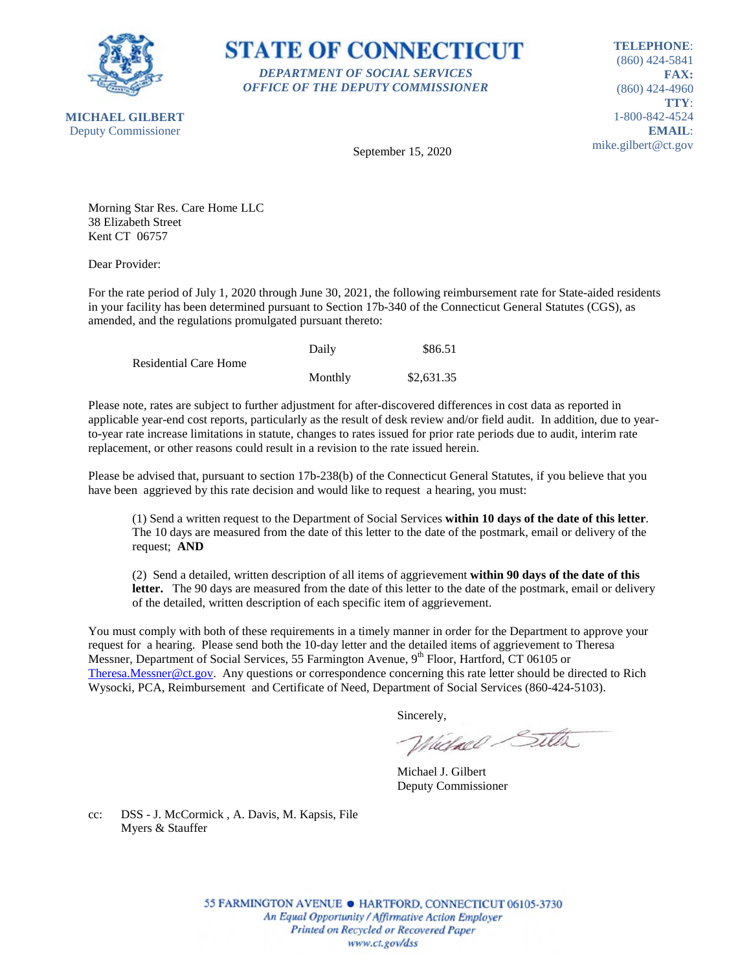

**STATE OF CONNECTICUT** *DEPARTMENT OF SOCIAL SERVICES OFFICE OF THE DEPUTY COMMISSIONER*

**TELEPHONE**: (860) 424-5841 **FAX:** (860) 424-4960 **TTY**: 1-800-842-4524 **EMAIL**: mike.gilbert@ct.gov

September 15, 2020

Morning Star Res. Care Home LLC 38 Elizabeth Street Kent CT 06757

Dear Provider:

For the rate period of July 1, 2020 through June 30, 2021, the following reimbursement rate for State-aided residents in your facility has been determined pursuant to Section 17b-340 of the Connecticut General Statutes (CGS), as amended, and the regulations promulgated pursuant thereto:

|                              | Daily   | \$86.51    |
|------------------------------|---------|------------|
| <b>Residential Care Home</b> |         |            |
|                              | Monthly | \$2,631.35 |

Please note, rates are subject to further adjustment for after-discovered differences in cost data as reported in applicable year-end cost reports, particularly as the result of desk review and/or field audit. In addition, due to yearto-year rate increase limitations in statute, changes to rates issued for prior rate periods due to audit, interim rate replacement, or other reasons could result in a revision to the rate issued herein.

Please be advised that, pursuant to section 17b-238(b) of the Connecticut General Statutes, if you believe that you have been aggrieved by this rate decision and would like to request a hearing, you must:

(1) Send a written request to the Department of Social Services **within 10 days of the date of this letter**. The 10 days are measured from the date of this letter to the date of the postmark, email or delivery of the request; **AND**

(2) Send a detailed, written description of all items of aggrievement **within 90 days of the date of this letter.** The 90 days are measured from the date of this letter to the date of the postmark, email or delivery of the detailed, written description of each specific item of aggrievement.

You must comply with both of these requirements in a timely manner in order for the Department to approve your request for a hearing. Please send both the 10-day letter and the detailed items of aggrievement to Theresa Messner, Department of Social Services, 55 Farmington Avenue, 9<sup>th</sup> Floor, Hartford, CT 06105 or [Theresa.Messner@ct.gov.](mailto:Theresa.Messner@ct.gov) Any questions or correspondence concerning this rate letter should be directed to Rich Wysocki, PCA, Reimbursement and Certificate of Need, Department of Social Services (860-424-5103).

Sincerely,

Wielnel Silta

Michael J. Gilbert Deputy Commissioner

cc: DSS - J. McCormick , A. Davis, M. Kapsis, File Myers & Stauffer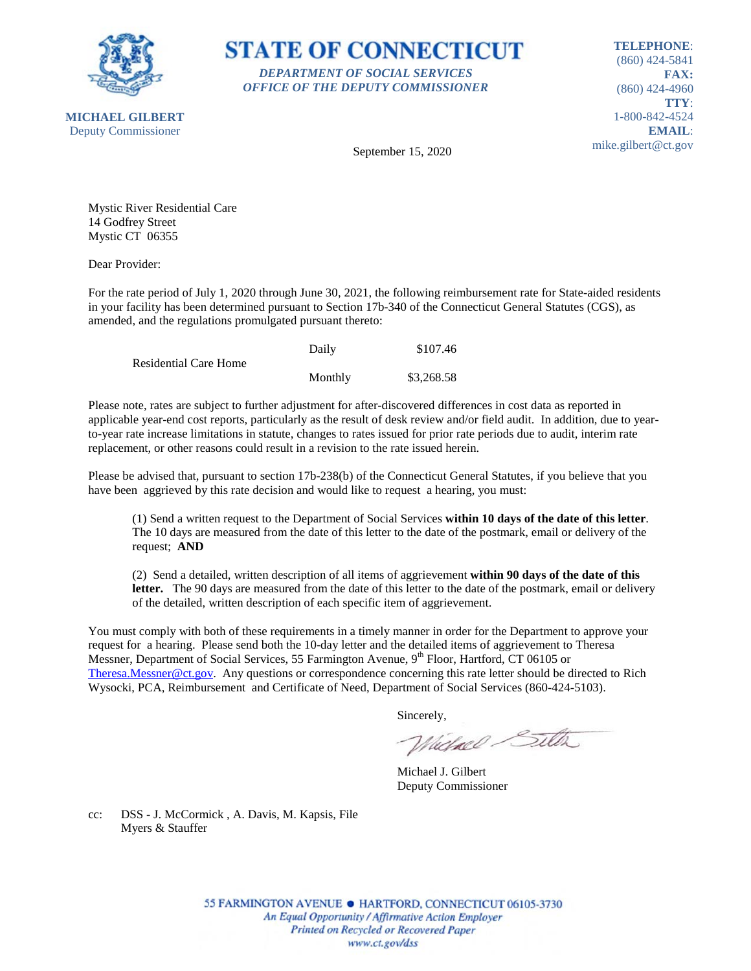

**STATE OF CONNECTICUT** *DEPARTMENT OF SOCIAL SERVICES OFFICE OF THE DEPUTY COMMISSIONER*

**TELEPHONE**: (860) 424-5841 **FAX:** (860) 424-4960 **TTY**: 1-800-842-4524 **EMAIL**: mike.gilbert@ct.gov

September 15, 2020

Mystic River Residential Care 14 Godfrey Street Mystic CT 06355

Dear Provider:

For the rate period of July 1, 2020 through June 30, 2021, the following reimbursement rate for State-aided residents in your facility has been determined pursuant to Section 17b-340 of the Connecticut General Statutes (CGS), as amended, and the regulations promulgated pursuant thereto:

|                              | Daily   | \$107.46   |
|------------------------------|---------|------------|
| <b>Residential Care Home</b> |         |            |
|                              | Monthly | \$3,268.58 |

Please note, rates are subject to further adjustment for after-discovered differences in cost data as reported in applicable year-end cost reports, particularly as the result of desk review and/or field audit. In addition, due to yearto-year rate increase limitations in statute, changes to rates issued for prior rate periods due to audit, interim rate replacement, or other reasons could result in a revision to the rate issued herein.

Please be advised that, pursuant to section 17b-238(b) of the Connecticut General Statutes, if you believe that you have been aggrieved by this rate decision and would like to request a hearing, you must:

(1) Send a written request to the Department of Social Services **within 10 days of the date of this letter**. The 10 days are measured from the date of this letter to the date of the postmark, email or delivery of the request; **AND**

(2) Send a detailed, written description of all items of aggrievement **within 90 days of the date of this letter.** The 90 days are measured from the date of this letter to the date of the postmark, email or delivery of the detailed, written description of each specific item of aggrievement.

You must comply with both of these requirements in a timely manner in order for the Department to approve your request for a hearing. Please send both the 10-day letter and the detailed items of aggrievement to Theresa Messner, Department of Social Services, 55 Farmington Avenue, 9<sup>th</sup> Floor, Hartford, CT 06105 or [Theresa.Messner@ct.gov.](mailto:Theresa.Messner@ct.gov) Any questions or correspondence concerning this rate letter should be directed to Rich Wysocki, PCA, Reimbursement and Certificate of Need, Department of Social Services (860-424-5103).

Sincerely,

Wielnel Silta

Michael J. Gilbert Deputy Commissioner

cc: DSS - J. McCormick , A. Davis, M. Kapsis, File Myers & Stauffer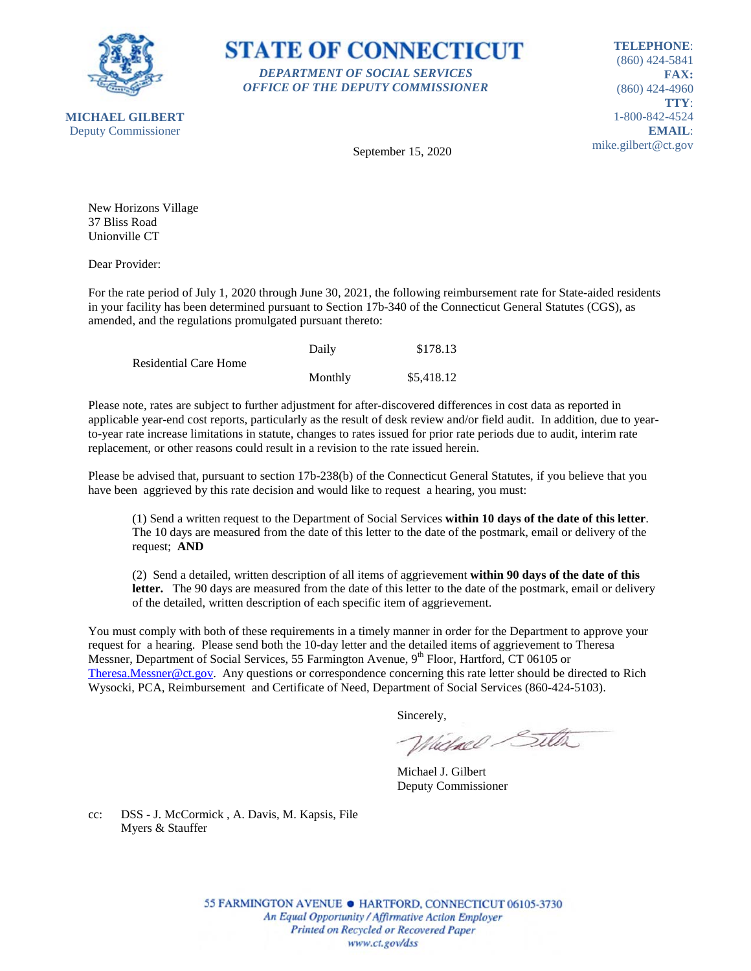



**TELEPHONE**: (860) 424-5841 **FAX:** (860) 424-4960 **TTY**: 1-800-842-4524 **EMAIL**: mike.gilbert@ct.gov

September 15, 2020

New Horizons Village 37 Bliss Road Unionville CT

Dear Provider:

For the rate period of July 1, 2020 through June 30, 2021, the following reimbursement rate for State-aided residents in your facility has been determined pursuant to Section 17b-340 of the Connecticut General Statutes (CGS), as amended, and the regulations promulgated pursuant thereto:

|                              | Daily   | \$178.13   |
|------------------------------|---------|------------|
| <b>Residential Care Home</b> |         |            |
|                              | Monthly | \$5,418.12 |

Please note, rates are subject to further adjustment for after-discovered differences in cost data as reported in applicable year-end cost reports, particularly as the result of desk review and/or field audit. In addition, due to yearto-year rate increase limitations in statute, changes to rates issued for prior rate periods due to audit, interim rate replacement, or other reasons could result in a revision to the rate issued herein.

Please be advised that, pursuant to section 17b-238(b) of the Connecticut General Statutes, if you believe that you have been aggrieved by this rate decision and would like to request a hearing, you must:

(1) Send a written request to the Department of Social Services **within 10 days of the date of this letter**. The 10 days are measured from the date of this letter to the date of the postmark, email or delivery of the request; **AND**

(2) Send a detailed, written description of all items of aggrievement **within 90 days of the date of this letter.** The 90 days are measured from the date of this letter to the date of the postmark, email or delivery of the detailed, written description of each specific item of aggrievement.

You must comply with both of these requirements in a timely manner in order for the Department to approve your request for a hearing. Please send both the 10-day letter and the detailed items of aggrievement to Theresa Messner, Department of Social Services, 55 Farmington Avenue, 9<sup>th</sup> Floor, Hartford, CT 06105 or [Theresa.Messner@ct.gov.](mailto:Theresa.Messner@ct.gov) Any questions or correspondence concerning this rate letter should be directed to Rich Wysocki, PCA, Reimbursement and Certificate of Need, Department of Social Services (860-424-5103).

Sincerely,

Wielnel Silta

Michael J. Gilbert Deputy Commissioner

cc: DSS - J. McCormick , A. Davis, M. Kapsis, File Myers & Stauffer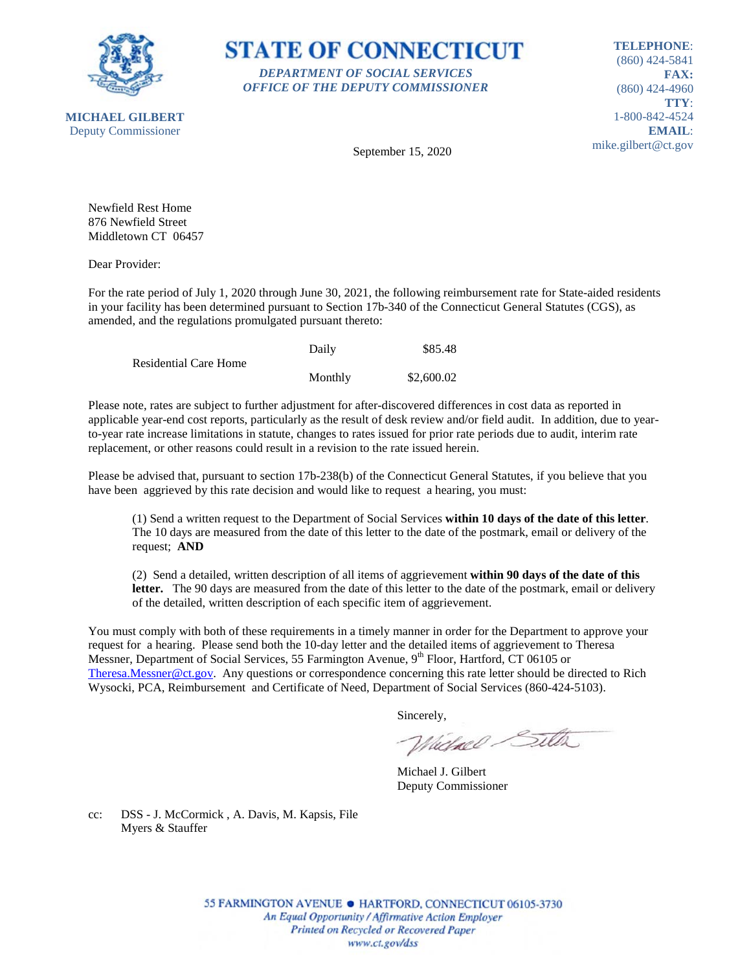



**TELEPHONE**: (860) 424-5841 **FAX:** (860) 424-4960 **TTY**: 1-800-842-4524 **EMAIL**: mike.gilbert@ct.gov

**MICHAEL GILBERT** Deputy Commissioner

September 15, 2020

Newfield Rest Home 876 Newfield Street Middletown CT 06457

Dear Provider:

For the rate period of July 1, 2020 through June 30, 2021, the following reimbursement rate for State-aided residents in your facility has been determined pursuant to Section 17b-340 of the Connecticut General Statutes (CGS), as amended, and the regulations promulgated pursuant thereto:

|                              | Daily   | \$85.48    |
|------------------------------|---------|------------|
| <b>Residential Care Home</b> |         |            |
|                              | Monthly | \$2,600.02 |

Please note, rates are subject to further adjustment for after-discovered differences in cost data as reported in applicable year-end cost reports, particularly as the result of desk review and/or field audit. In addition, due to yearto-year rate increase limitations in statute, changes to rates issued for prior rate periods due to audit, interim rate replacement, or other reasons could result in a revision to the rate issued herein.

Please be advised that, pursuant to section 17b-238(b) of the Connecticut General Statutes, if you believe that you have been aggrieved by this rate decision and would like to request a hearing, you must:

(1) Send a written request to the Department of Social Services **within 10 days of the date of this letter**. The 10 days are measured from the date of this letter to the date of the postmark, email or delivery of the request; **AND**

(2) Send a detailed, written description of all items of aggrievement **within 90 days of the date of this letter.** The 90 days are measured from the date of this letter to the date of the postmark, email or delivery of the detailed, written description of each specific item of aggrievement.

You must comply with both of these requirements in a timely manner in order for the Department to approve your request for a hearing. Please send both the 10-day letter and the detailed items of aggrievement to Theresa Messner, Department of Social Services, 55 Farmington Avenue, 9<sup>th</sup> Floor, Hartford, CT 06105 or [Theresa.Messner@ct.gov.](mailto:Theresa.Messner@ct.gov) Any questions or correspondence concerning this rate letter should be directed to Rich Wysocki, PCA, Reimbursement and Certificate of Need, Department of Social Services (860-424-5103).

Sincerely,

Wielnel Silta

Michael J. Gilbert Deputy Commissioner

cc: DSS - J. McCormick , A. Davis, M. Kapsis, File Myers & Stauffer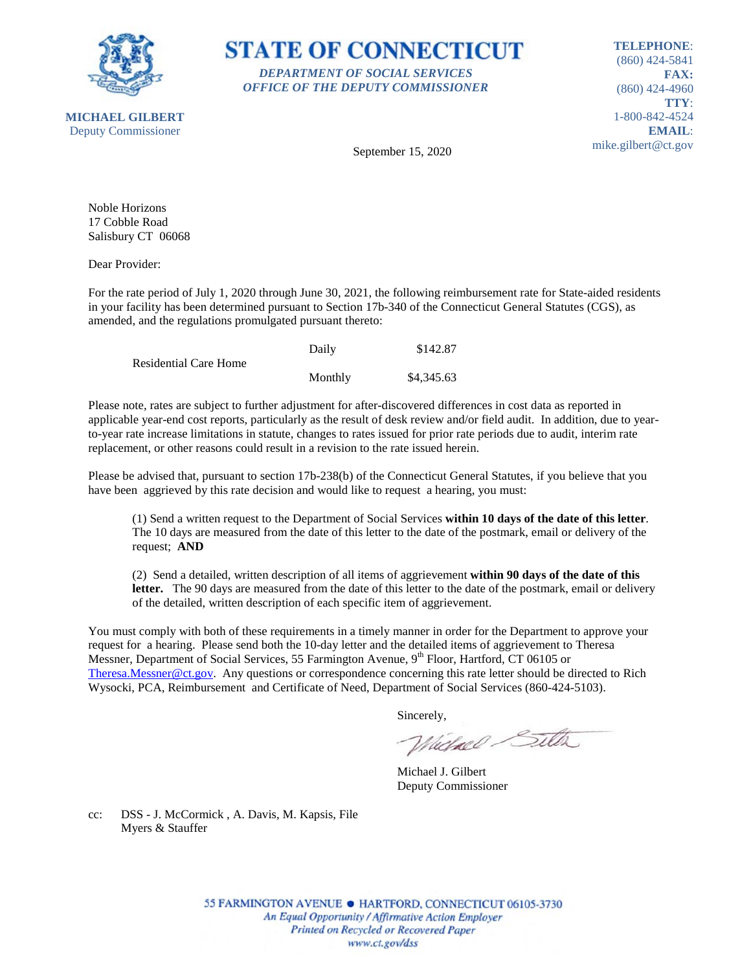

**STATE OF CONNECTICUT** *DEPARTMENT OF SOCIAL SERVICES OFFICE OF THE DEPUTY COMMISSIONER*

**TELEPHONE**: (860) 424-5841 **FAX:** (860) 424-4960 **TTY**: 1-800-842-4524 **EMAIL**: mike.gilbert@ct.gov

September 15, 2020

Noble Horizons 17 Cobble Road Salisbury CT 06068

Dear Provider:

For the rate period of July 1, 2020 through June 30, 2021, the following reimbursement rate for State-aided residents in your facility has been determined pursuant to Section 17b-340 of the Connecticut General Statutes (CGS), as amended, and the regulations promulgated pursuant thereto:

|                       | Daily   | \$142.87   |
|-----------------------|---------|------------|
| Residential Care Home |         |            |
|                       | Monthly | \$4,345.63 |

Please note, rates are subject to further adjustment for after-discovered differences in cost data as reported in applicable year-end cost reports, particularly as the result of desk review and/or field audit. In addition, due to yearto-year rate increase limitations in statute, changes to rates issued for prior rate periods due to audit, interim rate replacement, or other reasons could result in a revision to the rate issued herein.

Please be advised that, pursuant to section 17b-238(b) of the Connecticut General Statutes, if you believe that you have been aggrieved by this rate decision and would like to request a hearing, you must:

(1) Send a written request to the Department of Social Services **within 10 days of the date of this letter**. The 10 days are measured from the date of this letter to the date of the postmark, email or delivery of the request; **AND**

(2) Send a detailed, written description of all items of aggrievement **within 90 days of the date of this letter.** The 90 days are measured from the date of this letter to the date of the postmark, email or delivery of the detailed, written description of each specific item of aggrievement.

You must comply with both of these requirements in a timely manner in order for the Department to approve your request for a hearing. Please send both the 10-day letter and the detailed items of aggrievement to Theresa Messner, Department of Social Services, 55 Farmington Avenue, 9<sup>th</sup> Floor, Hartford, CT 06105 or [Theresa.Messner@ct.gov.](mailto:Theresa.Messner@ct.gov) Any questions or correspondence concerning this rate letter should be directed to Rich Wysocki, PCA, Reimbursement and Certificate of Need, Department of Social Services (860-424-5103).

Sincerely,

Wielnel Silta

Michael J. Gilbert Deputy Commissioner

cc: DSS - J. McCormick , A. Davis, M. Kapsis, File Myers & Stauffer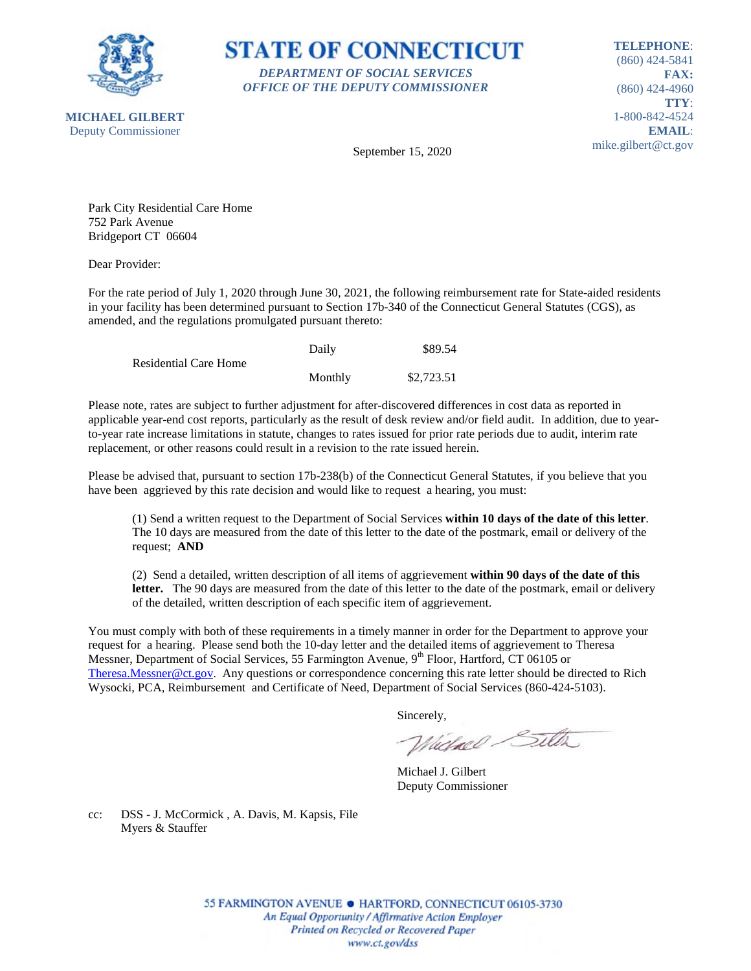

**STATE OF CONNECTICUT** *DEPARTMENT OF SOCIAL SERVICES OFFICE OF THE DEPUTY COMMISSIONER*

**TELEPHONE**: (860) 424-5841 **FAX:** (860) 424-4960 **TTY**: 1-800-842-4524 **EMAIL**: mike.gilbert@ct.gov

September 15, 2020

Park City Residential Care Home 752 Park Avenue Bridgeport CT 06604

Dear Provider:

For the rate period of July 1, 2020 through June 30, 2021, the following reimbursement rate for State-aided residents in your facility has been determined pursuant to Section 17b-340 of the Connecticut General Statutes (CGS), as amended, and the regulations promulgated pursuant thereto:

|                              | Daily   | \$89.54    |
|------------------------------|---------|------------|
| <b>Residential Care Home</b> |         |            |
|                              | Monthly | \$2,723.51 |

Please note, rates are subject to further adjustment for after-discovered differences in cost data as reported in applicable year-end cost reports, particularly as the result of desk review and/or field audit. In addition, due to yearto-year rate increase limitations in statute, changes to rates issued for prior rate periods due to audit, interim rate replacement, or other reasons could result in a revision to the rate issued herein.

Please be advised that, pursuant to section 17b-238(b) of the Connecticut General Statutes, if you believe that you have been aggrieved by this rate decision and would like to request a hearing, you must:

(1) Send a written request to the Department of Social Services **within 10 days of the date of this letter**. The 10 days are measured from the date of this letter to the date of the postmark, email or delivery of the request; **AND**

(2) Send a detailed, written description of all items of aggrievement **within 90 days of the date of this letter.** The 90 days are measured from the date of this letter to the date of the postmark, email or delivery of the detailed, written description of each specific item of aggrievement.

You must comply with both of these requirements in a timely manner in order for the Department to approve your request for a hearing. Please send both the 10-day letter and the detailed items of aggrievement to Theresa Messner, Department of Social Services, 55 Farmington Avenue, 9<sup>th</sup> Floor, Hartford, CT 06105 or [Theresa.Messner@ct.gov.](mailto:Theresa.Messner@ct.gov) Any questions or correspondence concerning this rate letter should be directed to Rich Wysocki, PCA, Reimbursement and Certificate of Need, Department of Social Services (860-424-5103).

Sincerely,

Wielnel Silta

Michael J. Gilbert Deputy Commissioner

cc: DSS - J. McCormick , A. Davis, M. Kapsis, File Myers & Stauffer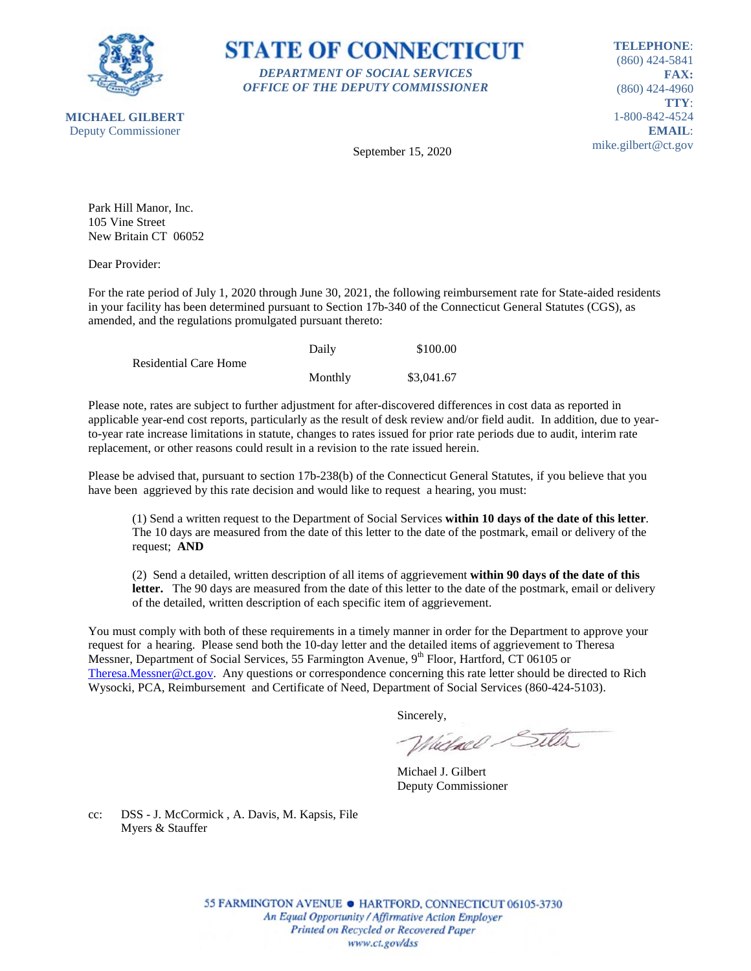



**TELEPHONE**: (860) 424-5841 **FAX:** (860) 424-4960 **TTY**: 1-800-842-4524 **EMAIL**: mike.gilbert@ct.gov

September 15, 2020

Park Hill Manor, Inc. 105 Vine Street New Britain CT 06052

Dear Provider:

For the rate period of July 1, 2020 through June 30, 2021, the following reimbursement rate for State-aided residents in your facility has been determined pursuant to Section 17b-340 of the Connecticut General Statutes (CGS), as amended, and the regulations promulgated pursuant thereto:

|                              | Daily   | \$100.00   |
|------------------------------|---------|------------|
| <b>Residential Care Home</b> |         |            |
|                              | Monthly | \$3,041.67 |

Please note, rates are subject to further adjustment for after-discovered differences in cost data as reported in applicable year-end cost reports, particularly as the result of desk review and/or field audit. In addition, due to yearto-year rate increase limitations in statute, changes to rates issued for prior rate periods due to audit, interim rate replacement, or other reasons could result in a revision to the rate issued herein.

Please be advised that, pursuant to section 17b-238(b) of the Connecticut General Statutes, if you believe that you have been aggrieved by this rate decision and would like to request a hearing, you must:

(1) Send a written request to the Department of Social Services **within 10 days of the date of this letter**. The 10 days are measured from the date of this letter to the date of the postmark, email or delivery of the request; **AND**

(2) Send a detailed, written description of all items of aggrievement **within 90 days of the date of this letter.** The 90 days are measured from the date of this letter to the date of the postmark, email or delivery of the detailed, written description of each specific item of aggrievement.

You must comply with both of these requirements in a timely manner in order for the Department to approve your request for a hearing. Please send both the 10-day letter and the detailed items of aggrievement to Theresa Messner, Department of Social Services, 55 Farmington Avenue, 9<sup>th</sup> Floor, Hartford, CT 06105 or [Theresa.Messner@ct.gov.](mailto:Theresa.Messner@ct.gov) Any questions or correspondence concerning this rate letter should be directed to Rich Wysocki, PCA, Reimbursement and Certificate of Need, Department of Social Services (860-424-5103).

Sincerely,

Wielnel Silta

Michael J. Gilbert Deputy Commissioner

cc: DSS - J. McCormick , A. Davis, M. Kapsis, File Myers & Stauffer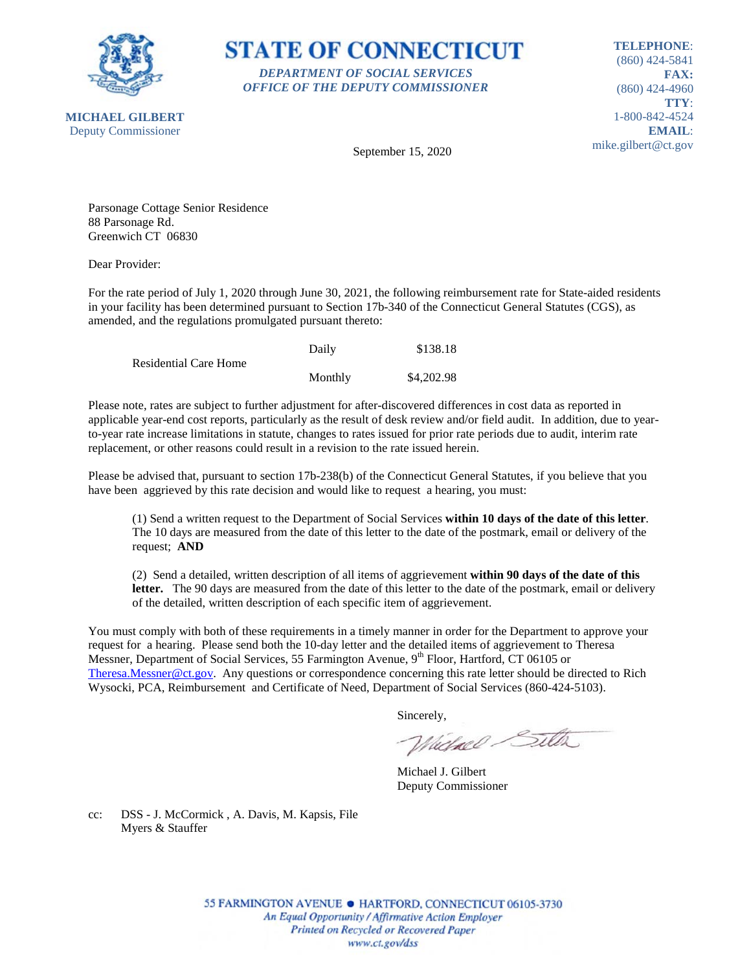

**STATE OF CONNECTICUT** *DEPARTMENT OF SOCIAL SERVICES OFFICE OF THE DEPUTY COMMISSIONER*

**TELEPHONE**: (860) 424-5841 **FAX:** (860) 424-4960 **TTY**: 1-800-842-4524 **EMAIL**: mike.gilbert@ct.gov

September 15, 2020

Parsonage Cottage Senior Residence 88 Parsonage Rd. Greenwich CT 06830

Dear Provider:

For the rate period of July 1, 2020 through June 30, 2021, the following reimbursement rate for State-aided residents in your facility has been determined pursuant to Section 17b-340 of the Connecticut General Statutes (CGS), as amended, and the regulations promulgated pursuant thereto:

|                              | Daily   | \$138.18   |
|------------------------------|---------|------------|
| <b>Residential Care Home</b> |         |            |
|                              | Monthly | \$4,202.98 |

Please note, rates are subject to further adjustment for after-discovered differences in cost data as reported in applicable year-end cost reports, particularly as the result of desk review and/or field audit. In addition, due to yearto-year rate increase limitations in statute, changes to rates issued for prior rate periods due to audit, interim rate replacement, or other reasons could result in a revision to the rate issued herein.

Please be advised that, pursuant to section 17b-238(b) of the Connecticut General Statutes, if you believe that you have been aggrieved by this rate decision and would like to request a hearing, you must:

(1) Send a written request to the Department of Social Services **within 10 days of the date of this letter**. The 10 days are measured from the date of this letter to the date of the postmark, email or delivery of the request; **AND**

(2) Send a detailed, written description of all items of aggrievement **within 90 days of the date of this letter.** The 90 days are measured from the date of this letter to the date of the postmark, email or delivery of the detailed, written description of each specific item of aggrievement.

You must comply with both of these requirements in a timely manner in order for the Department to approve your request for a hearing. Please send both the 10-day letter and the detailed items of aggrievement to Theresa Messner, Department of Social Services, 55 Farmington Avenue, 9<sup>th</sup> Floor, Hartford, CT 06105 or [Theresa.Messner@ct.gov.](mailto:Theresa.Messner@ct.gov) Any questions or correspondence concerning this rate letter should be directed to Rich Wysocki, PCA, Reimbursement and Certificate of Need, Department of Social Services (860-424-5103).

Sincerely,

Wielace Sitter

Michael J. Gilbert Deputy Commissioner

cc: DSS - J. McCormick , A. Davis, M. Kapsis, File Myers & Stauffer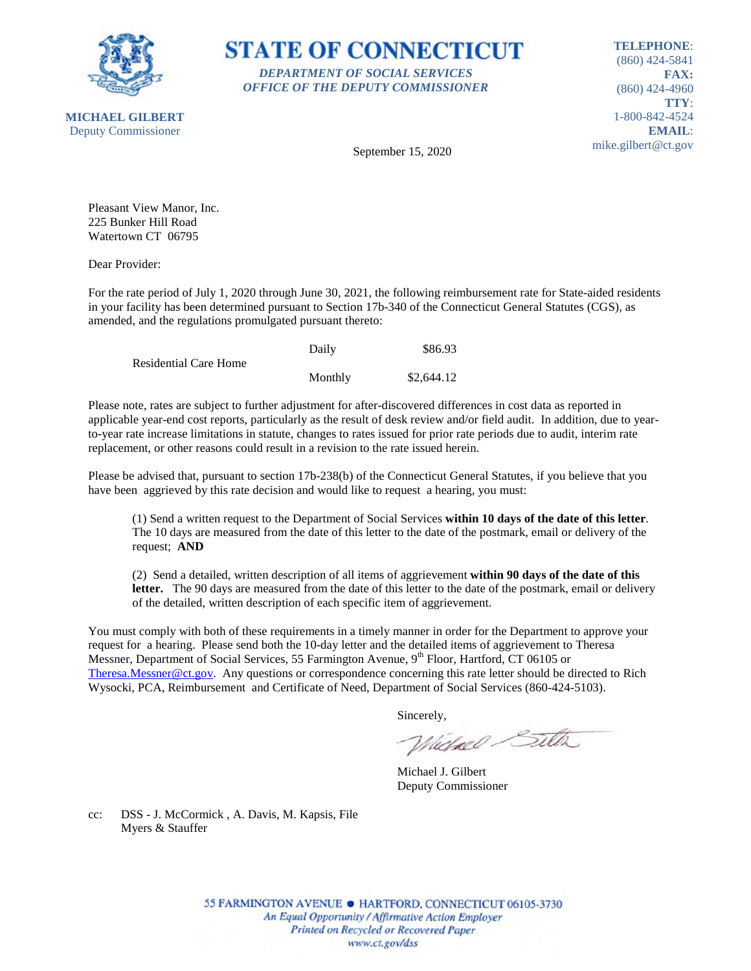



**TELEPHONE**: (860) 424-5841 **FAX:** (860) 424-4960 **TTY**: 1-800-842-4524 **EMAIL**: mike.gilbert@ct.gov

September 15, 2020

Pleasant View Manor, Inc. 225 Bunker Hill Road Watertown CT 06795

Dear Provider:

For the rate period of July 1, 2020 through June 30, 2021, the following reimbursement rate for State-aided residents in your facility has been determined pursuant to Section 17b-340 of the Connecticut General Statutes (CGS), as amended, and the regulations promulgated pursuant thereto:

|                              | Daily   | \$86.93    |
|------------------------------|---------|------------|
| <b>Residential Care Home</b> |         |            |
|                              | Monthly | \$2,644.12 |

Please note, rates are subject to further adjustment for after-discovered differences in cost data as reported in applicable year-end cost reports, particularly as the result of desk review and/or field audit. In addition, due to yearto-year rate increase limitations in statute, changes to rates issued for prior rate periods due to audit, interim rate replacement, or other reasons could result in a revision to the rate issued herein.

Please be advised that, pursuant to section 17b-238(b) of the Connecticut General Statutes, if you believe that you have been aggrieved by this rate decision and would like to request a hearing, you must:

(1) Send a written request to the Department of Social Services **within 10 days of the date of this letter**. The 10 days are measured from the date of this letter to the date of the postmark, email or delivery of the request; **AND**

(2) Send a detailed, written description of all items of aggrievement **within 90 days of the date of this letter.** The 90 days are measured from the date of this letter to the date of the postmark, email or delivery of the detailed, written description of each specific item of aggrievement.

You must comply with both of these requirements in a timely manner in order for the Department to approve your request for a hearing. Please send both the 10-day letter and the detailed items of aggrievement to Theresa Messner, Department of Social Services, 55 Farmington Avenue, 9<sup>th</sup> Floor, Hartford, CT 06105 or [Theresa.Messner@ct.gov.](mailto:Theresa.Messner@ct.gov) Any questions or correspondence concerning this rate letter should be directed to Rich Wysocki, PCA, Reimbursement and Certificate of Need, Department of Social Services (860-424-5103).

Sincerely,

Wielnel Silta

Michael J. Gilbert Deputy Commissioner

cc: DSS - J. McCormick , A. Davis, M. Kapsis, File Myers & Stauffer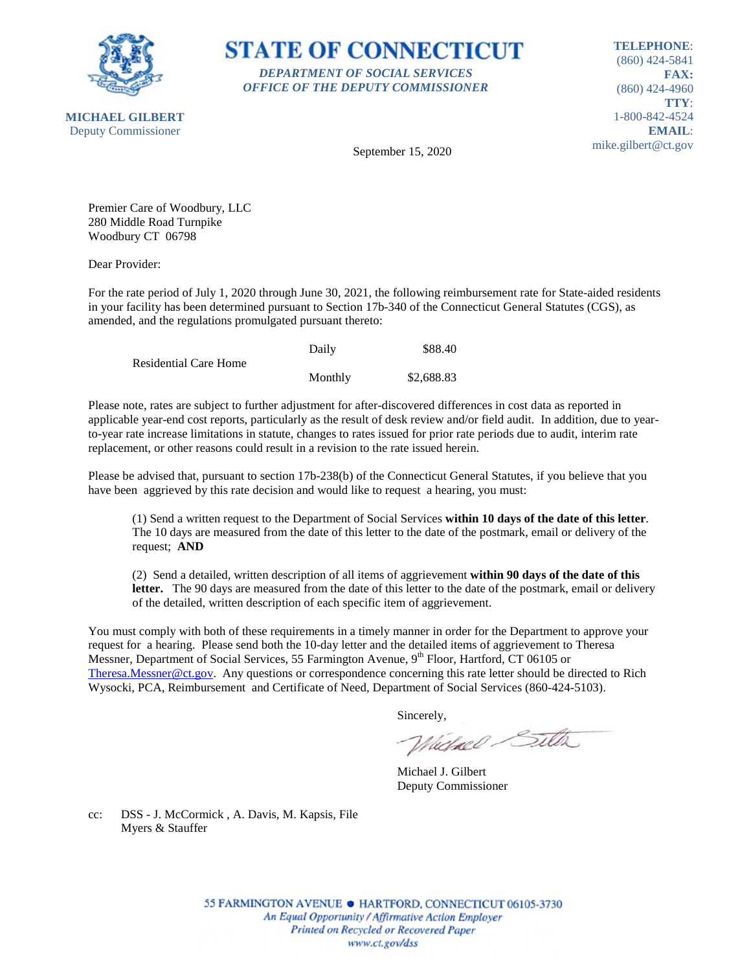

**STATE OF CONNECTICUT** *DEPARTMENT OF SOCIAL SERVICES OFFICE OF THE DEPUTY COMMISSIONER*

**TELEPHONE**: (860) 424-5841 **FAX:** (860) 424-4960 **TTY**: 1-800-842-4524 **EMAIL**: mike.gilbert@ct.gov

September 15, 2020

Premier Care of Woodbury, LLC 280 Middle Road Turnpike Woodbury CT 06798

Dear Provider:

For the rate period of July 1, 2020 through June 30, 2021, the following reimbursement rate for State-aided residents in your facility has been determined pursuant to Section 17b-340 of the Connecticut General Statutes (CGS), as amended, and the regulations promulgated pursuant thereto:

|                              | Daily   | \$88.40    |
|------------------------------|---------|------------|
| <b>Residential Care Home</b> |         |            |
|                              | Monthly | \$2,688.83 |

Please note, rates are subject to further adjustment for after-discovered differences in cost data as reported in applicable year-end cost reports, particularly as the result of desk review and/or field audit. In addition, due to yearto-year rate increase limitations in statute, changes to rates issued for prior rate periods due to audit, interim rate replacement, or other reasons could result in a revision to the rate issued herein.

Please be advised that, pursuant to section 17b-238(b) of the Connecticut General Statutes, if you believe that you have been aggrieved by this rate decision and would like to request a hearing, you must:

(1) Send a written request to the Department of Social Services **within 10 days of the date of this letter**. The 10 days are measured from the date of this letter to the date of the postmark, email or delivery of the request; **AND**

(2) Send a detailed, written description of all items of aggrievement **within 90 days of the date of this letter.** The 90 days are measured from the date of this letter to the date of the postmark, email or delivery of the detailed, written description of each specific item of aggrievement.

You must comply with both of these requirements in a timely manner in order for the Department to approve your request for a hearing. Please send both the 10-day letter and the detailed items of aggrievement to Theresa Messner, Department of Social Services, 55 Farmington Avenue, 9<sup>th</sup> Floor, Hartford, CT 06105 or [Theresa.Messner@ct.gov.](mailto:Theresa.Messner@ct.gov) Any questions or correspondence concerning this rate letter should be directed to Rich Wysocki, PCA, Reimbursement and Certificate of Need, Department of Social Services (860-424-5103).

Sincerely,

Wielnel Silta

Michael J. Gilbert Deputy Commissioner

cc: DSS - J. McCormick , A. Davis, M. Kapsis, File Myers & Stauffer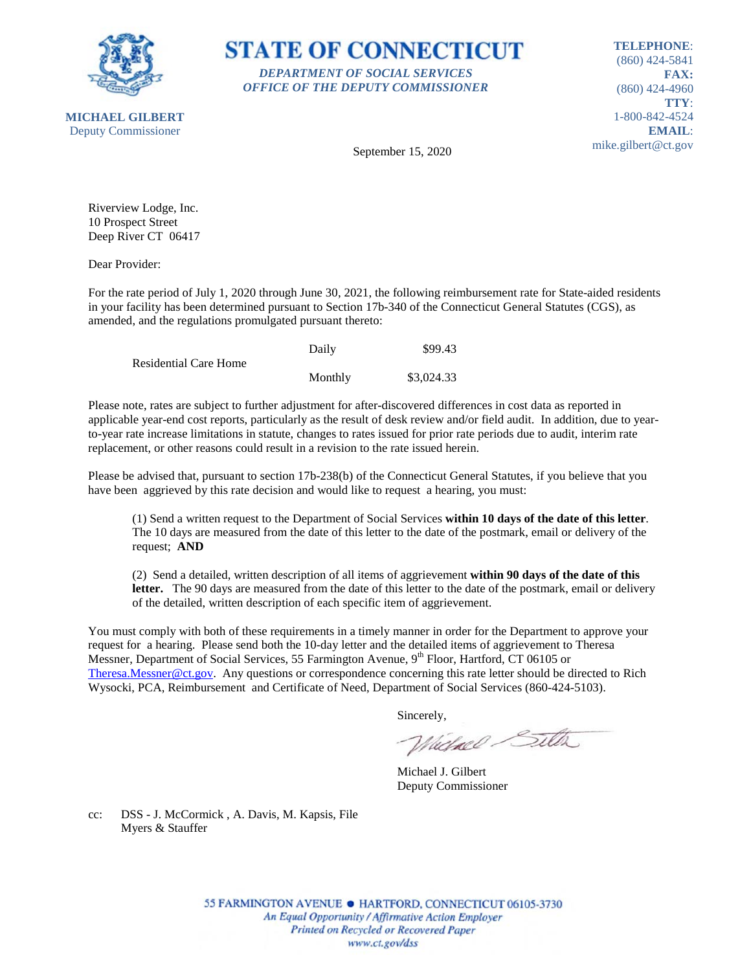



**TELEPHONE**: (860) 424-5841 **FAX:** (860) 424-4960 **TTY**: 1-800-842-4524 **EMAIL**: mike.gilbert@ct.gov

September 15, 2020

Riverview Lodge, Inc. 10 Prospect Street Deep River CT 06417

Dear Provider:

For the rate period of July 1, 2020 through June 30, 2021, the following reimbursement rate for State-aided residents in your facility has been determined pursuant to Section 17b-340 of the Connecticut General Statutes (CGS), as amended, and the regulations promulgated pursuant thereto:

|                              | Daily   | \$99.43    |
|------------------------------|---------|------------|
| <b>Residential Care Home</b> |         |            |
|                              | Monthly | \$3,024.33 |

Please note, rates are subject to further adjustment for after-discovered differences in cost data as reported in applicable year-end cost reports, particularly as the result of desk review and/or field audit. In addition, due to yearto-year rate increase limitations in statute, changes to rates issued for prior rate periods due to audit, interim rate replacement, or other reasons could result in a revision to the rate issued herein.

Please be advised that, pursuant to section 17b-238(b) of the Connecticut General Statutes, if you believe that you have been aggrieved by this rate decision and would like to request a hearing, you must:

(1) Send a written request to the Department of Social Services **within 10 days of the date of this letter**. The 10 days are measured from the date of this letter to the date of the postmark, email or delivery of the request; **AND**

(2) Send a detailed, written description of all items of aggrievement **within 90 days of the date of this letter.** The 90 days are measured from the date of this letter to the date of the postmark, email or delivery of the detailed, written description of each specific item of aggrievement.

You must comply with both of these requirements in a timely manner in order for the Department to approve your request for a hearing. Please send both the 10-day letter and the detailed items of aggrievement to Theresa Messner, Department of Social Services, 55 Farmington Avenue, 9<sup>th</sup> Floor, Hartford, CT 06105 or [Theresa.Messner@ct.gov.](mailto:Theresa.Messner@ct.gov) Any questions or correspondence concerning this rate letter should be directed to Rich Wysocki, PCA, Reimbursement and Certificate of Need, Department of Social Services (860-424-5103).

Sincerely,

Wielnel Silta

Michael J. Gilbert Deputy Commissioner

cc: DSS - J. McCormick , A. Davis, M. Kapsis, File Myers & Stauffer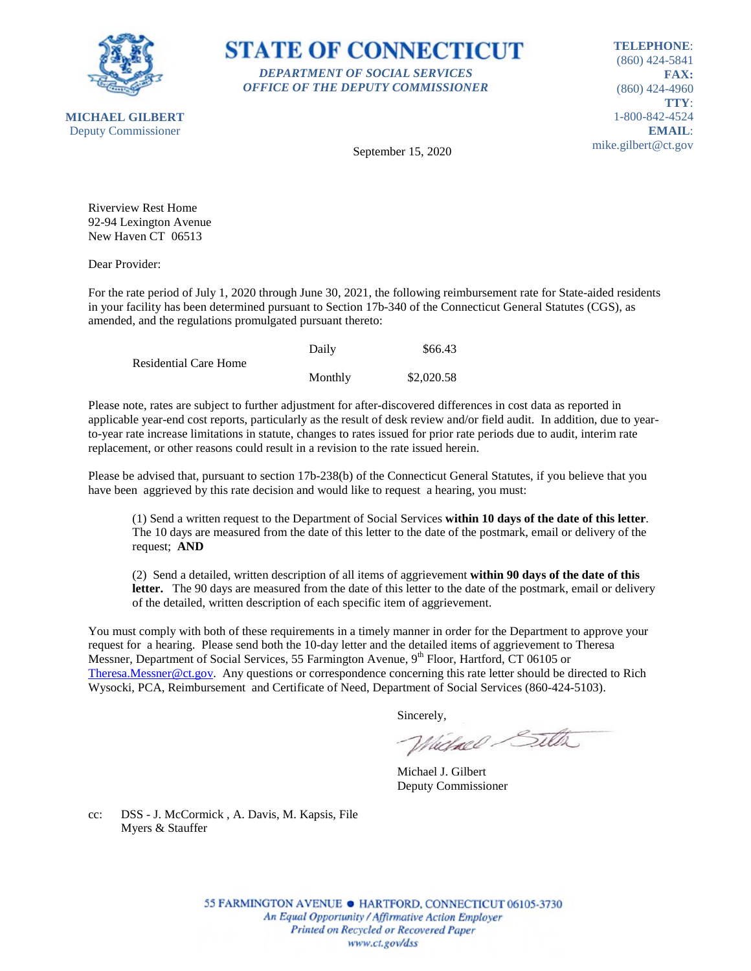



**TELEPHONE**: (860) 424-5841 **FAX:** (860) 424-4960 **TTY**: 1-800-842-4524 **EMAIL**: mike.gilbert@ct.gov

September 15, 2020

Riverview Rest Home 92-94 Lexington Avenue New Haven CT 06513

Dear Provider:

For the rate period of July 1, 2020 through June 30, 2021, the following reimbursement rate for State-aided residents in your facility has been determined pursuant to Section 17b-340 of the Connecticut General Statutes (CGS), as amended, and the regulations promulgated pursuant thereto:

|                              | Daily   | \$66.43    |
|------------------------------|---------|------------|
| <b>Residential Care Home</b> |         |            |
|                              | Monthly | \$2,020.58 |

Please note, rates are subject to further adjustment for after-discovered differences in cost data as reported in applicable year-end cost reports, particularly as the result of desk review and/or field audit. In addition, due to yearto-year rate increase limitations in statute, changes to rates issued for prior rate periods due to audit, interim rate replacement, or other reasons could result in a revision to the rate issued herein.

Please be advised that, pursuant to section 17b-238(b) of the Connecticut General Statutes, if you believe that you have been aggrieved by this rate decision and would like to request a hearing, you must:

(1) Send a written request to the Department of Social Services **within 10 days of the date of this letter**. The 10 days are measured from the date of this letter to the date of the postmark, email or delivery of the request; **AND**

(2) Send a detailed, written description of all items of aggrievement **within 90 days of the date of this letter.** The 90 days are measured from the date of this letter to the date of the postmark, email or delivery of the detailed, written description of each specific item of aggrievement.

You must comply with both of these requirements in a timely manner in order for the Department to approve your request for a hearing. Please send both the 10-day letter and the detailed items of aggrievement to Theresa Messner, Department of Social Services, 55 Farmington Avenue, 9<sup>th</sup> Floor, Hartford, CT 06105 or [Theresa.Messner@ct.gov.](mailto:Theresa.Messner@ct.gov) Any questions or correspondence concerning this rate letter should be directed to Rich Wysocki, PCA, Reimbursement and Certificate of Need, Department of Social Services (860-424-5103).

Sincerely,

Wielnel Silta

Michael J. Gilbert Deputy Commissioner

cc: DSS - J. McCormick , A. Davis, M. Kapsis, File Myers & Stauffer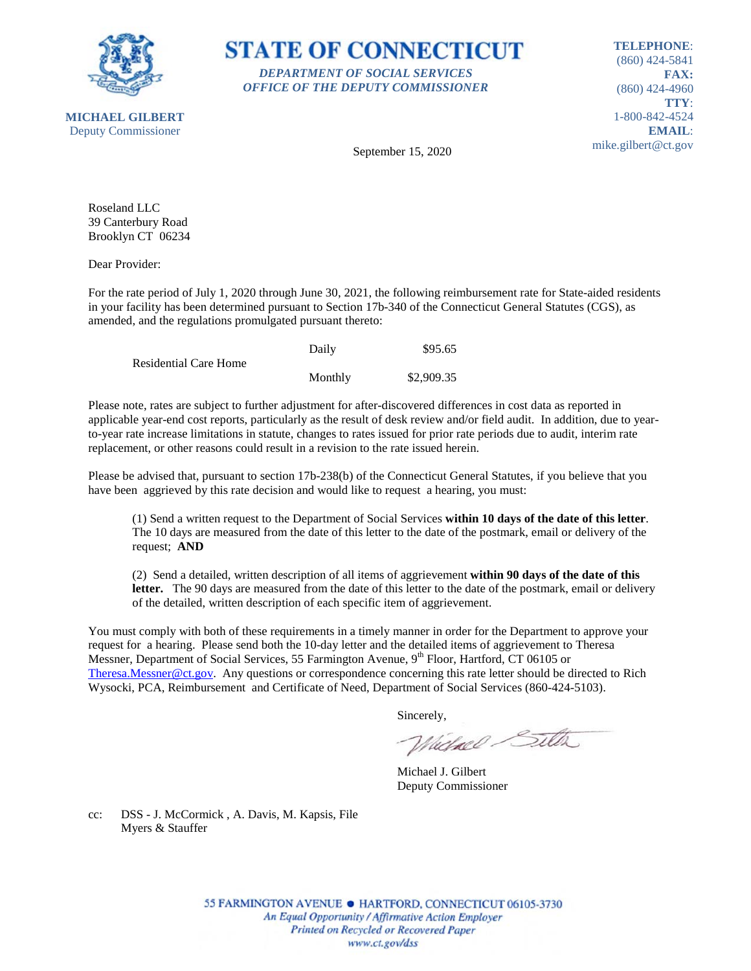



**TELEPHONE**: (860) 424-5841 **FAX:** (860) 424-4960 **TTY**: 1-800-842-4524 **EMAIL**: mike.gilbert@ct.gov

**MICHAEL GILBERT** Deputy Commissioner

September 15, 2020

Roseland LLC 39 Canterbury Road Brooklyn CT 06234

Dear Provider:

For the rate period of July 1, 2020 through June 30, 2021, the following reimbursement rate for State-aided residents in your facility has been determined pursuant to Section 17b-340 of the Connecticut General Statutes (CGS), as amended, and the regulations promulgated pursuant thereto:

|                              | Daily   | \$95.65    |
|------------------------------|---------|------------|
| <b>Residential Care Home</b> |         |            |
|                              | Monthly | \$2,909.35 |

Please note, rates are subject to further adjustment for after-discovered differences in cost data as reported in applicable year-end cost reports, particularly as the result of desk review and/or field audit. In addition, due to yearto-year rate increase limitations in statute, changes to rates issued for prior rate periods due to audit, interim rate replacement, or other reasons could result in a revision to the rate issued herein.

Please be advised that, pursuant to section 17b-238(b) of the Connecticut General Statutes, if you believe that you have been aggrieved by this rate decision and would like to request a hearing, you must:

(1) Send a written request to the Department of Social Services **within 10 days of the date of this letter**. The 10 days are measured from the date of this letter to the date of the postmark, email or delivery of the request; **AND**

(2) Send a detailed, written description of all items of aggrievement **within 90 days of the date of this letter.** The 90 days are measured from the date of this letter to the date of the postmark, email or delivery of the detailed, written description of each specific item of aggrievement.

You must comply with both of these requirements in a timely manner in order for the Department to approve your request for a hearing. Please send both the 10-day letter and the detailed items of aggrievement to Theresa Messner, Department of Social Services, 55 Farmington Avenue, 9<sup>th</sup> Floor, Hartford, CT 06105 or [Theresa.Messner@ct.gov.](mailto:Theresa.Messner@ct.gov) Any questions or correspondence concerning this rate letter should be directed to Rich Wysocki, PCA, Reimbursement and Certificate of Need, Department of Social Services (860-424-5103).

Sincerely,

Wielnel Silta

Michael J. Gilbert Deputy Commissioner

cc: DSS - J. McCormick , A. Davis, M. Kapsis, File Myers & Stauffer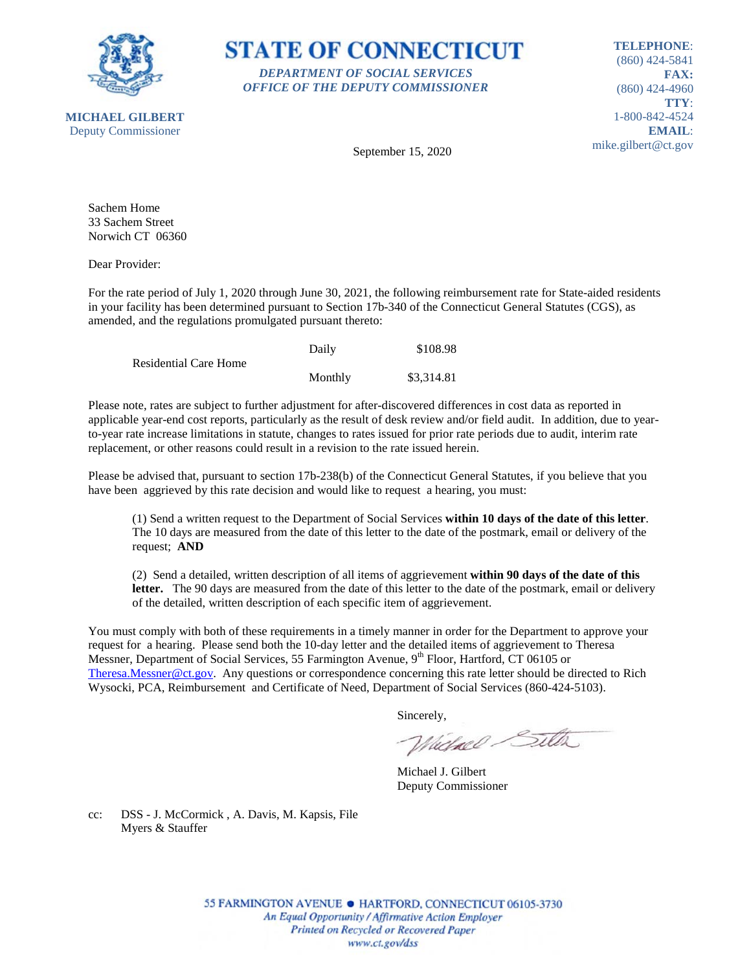

**STATE OF CONNECTICUT** *DEPARTMENT OF SOCIAL SERVICES OFFICE OF THE DEPUTY COMMISSIONER*

**TELEPHONE**: (860) 424-5841 **FAX:** (860) 424-4960 **TTY**: 1-800-842-4524 **EMAIL**: mike.gilbert@ct.gov

September 15, 2020

Sachem Home 33 Sachem Street Norwich CT 06360

Dear Provider:

For the rate period of July 1, 2020 through June 30, 2021, the following reimbursement rate for State-aided residents in your facility has been determined pursuant to Section 17b-340 of the Connecticut General Statutes (CGS), as amended, and the regulations promulgated pursuant thereto:

|                              | Daily   | \$108.98   |
|------------------------------|---------|------------|
| <b>Residential Care Home</b> |         |            |
|                              | Monthly | \$3,314.81 |

Please note, rates are subject to further adjustment for after-discovered differences in cost data as reported in applicable year-end cost reports, particularly as the result of desk review and/or field audit. In addition, due to yearto-year rate increase limitations in statute, changes to rates issued for prior rate periods due to audit, interim rate replacement, or other reasons could result in a revision to the rate issued herein.

Please be advised that, pursuant to section 17b-238(b) of the Connecticut General Statutes, if you believe that you have been aggrieved by this rate decision and would like to request a hearing, you must:

(1) Send a written request to the Department of Social Services **within 10 days of the date of this letter**. The 10 days are measured from the date of this letter to the date of the postmark, email or delivery of the request; **AND**

(2) Send a detailed, written description of all items of aggrievement **within 90 days of the date of this letter.** The 90 days are measured from the date of this letter to the date of the postmark, email or delivery of the detailed, written description of each specific item of aggrievement.

You must comply with both of these requirements in a timely manner in order for the Department to approve your request for a hearing. Please send both the 10-day letter and the detailed items of aggrievement to Theresa Messner, Department of Social Services, 55 Farmington Avenue, 9<sup>th</sup> Floor, Hartford, CT 06105 or [Theresa.Messner@ct.gov.](mailto:Theresa.Messner@ct.gov) Any questions or correspondence concerning this rate letter should be directed to Rich Wysocki, PCA, Reimbursement and Certificate of Need, Department of Social Services (860-424-5103).

Sincerely,

Wielnel Silta

Michael J. Gilbert Deputy Commissioner

cc: DSS - J. McCormick , A. Davis, M. Kapsis, File Myers & Stauffer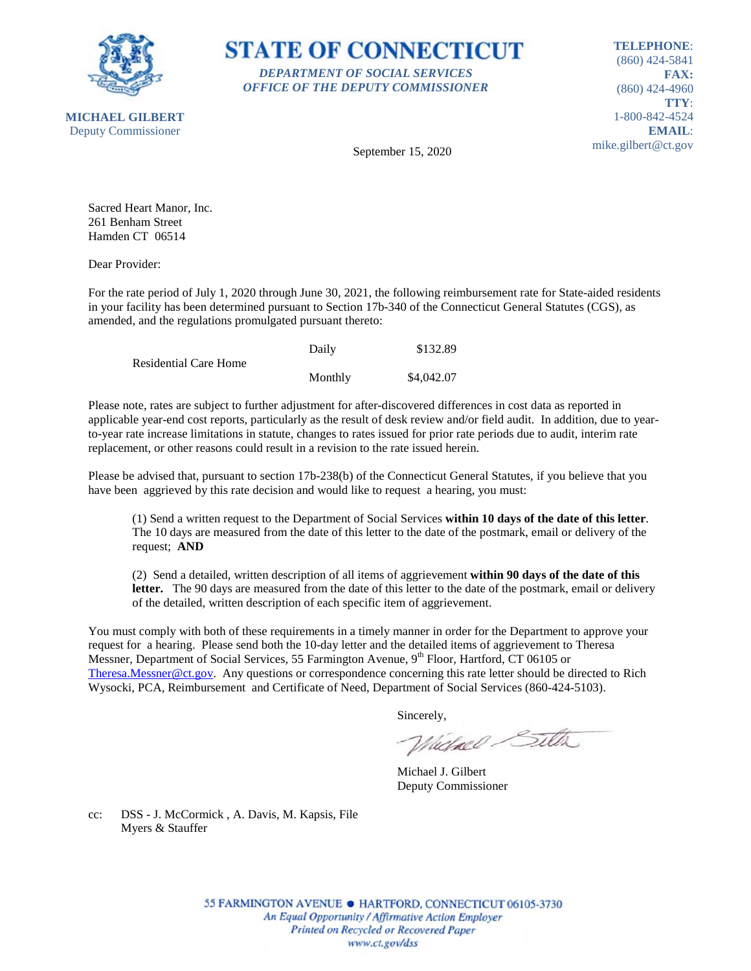



**TELEPHONE**: (860) 424-5841 **FAX:** (860) 424-4960 **TTY**: 1-800-842-4524 **EMAIL**: mike.gilbert@ct.gov

September 15, 2020

Sacred Heart Manor, Inc. 261 Benham Street Hamden CT 06514

Dear Provider:

For the rate period of July 1, 2020 through June 30, 2021, the following reimbursement rate for State-aided residents in your facility has been determined pursuant to Section 17b-340 of the Connecticut General Statutes (CGS), as amended, and the regulations promulgated pursuant thereto:

|                              | Daily   | \$132.89   |
|------------------------------|---------|------------|
| <b>Residential Care Home</b> |         |            |
|                              | Monthly | \$4,042.07 |

Please note, rates are subject to further adjustment for after-discovered differences in cost data as reported in applicable year-end cost reports, particularly as the result of desk review and/or field audit. In addition, due to yearto-year rate increase limitations in statute, changes to rates issued for prior rate periods due to audit, interim rate replacement, or other reasons could result in a revision to the rate issued herein.

Please be advised that, pursuant to section 17b-238(b) of the Connecticut General Statutes, if you believe that you have been aggrieved by this rate decision and would like to request a hearing, you must:

(1) Send a written request to the Department of Social Services **within 10 days of the date of this letter**. The 10 days are measured from the date of this letter to the date of the postmark, email or delivery of the request; **AND**

(2) Send a detailed, written description of all items of aggrievement **within 90 days of the date of this letter.** The 90 days are measured from the date of this letter to the date of the postmark, email or delivery of the detailed, written description of each specific item of aggrievement.

You must comply with both of these requirements in a timely manner in order for the Department to approve your request for a hearing. Please send both the 10-day letter and the detailed items of aggrievement to Theresa Messner, Department of Social Services, 55 Farmington Avenue, 9<sup>th</sup> Floor, Hartford, CT 06105 or [Theresa.Messner@ct.gov.](mailto:Theresa.Messner@ct.gov) Any questions or correspondence concerning this rate letter should be directed to Rich Wysocki, PCA, Reimbursement and Certificate of Need, Department of Social Services (860-424-5103).

Sincerely,

Wielnel Silta

Michael J. Gilbert Deputy Commissioner

cc: DSS - J. McCormick , A. Davis, M. Kapsis, File Myers & Stauffer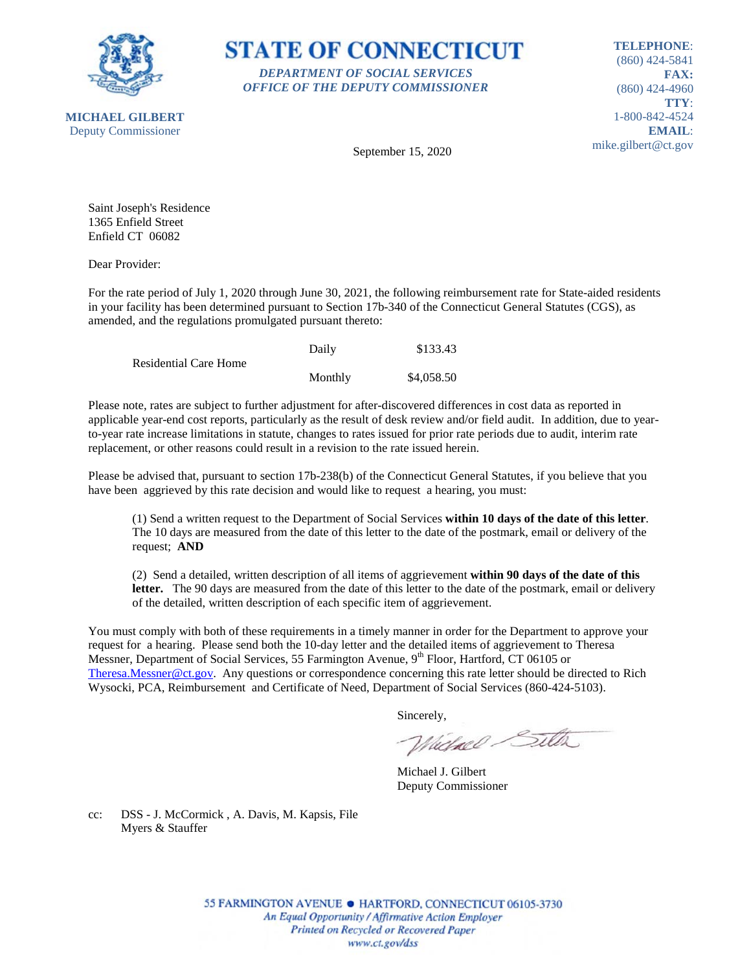



**TELEPHONE**: (860) 424-5841 **FAX:** (860) 424-4960 **TTY**: 1-800-842-4524 **EMAIL**: mike.gilbert@ct.gov

September 15, 2020

Saint Joseph's Residence 1365 Enfield Street Enfield CT 06082

Dear Provider:

For the rate period of July 1, 2020 through June 30, 2021, the following reimbursement rate for State-aided residents in your facility has been determined pursuant to Section 17b-340 of the Connecticut General Statutes (CGS), as amended, and the regulations promulgated pursuant thereto:

|                              | Daily   | \$133.43   |
|------------------------------|---------|------------|
| <b>Residential Care Home</b> |         |            |
|                              | Monthly | \$4,058.50 |

Please note, rates are subject to further adjustment for after-discovered differences in cost data as reported in applicable year-end cost reports, particularly as the result of desk review and/or field audit. In addition, due to yearto-year rate increase limitations in statute, changes to rates issued for prior rate periods due to audit, interim rate replacement, or other reasons could result in a revision to the rate issued herein.

Please be advised that, pursuant to section 17b-238(b) of the Connecticut General Statutes, if you believe that you have been aggrieved by this rate decision and would like to request a hearing, you must:

(1) Send a written request to the Department of Social Services **within 10 days of the date of this letter**. The 10 days are measured from the date of this letter to the date of the postmark, email or delivery of the request; **AND**

(2) Send a detailed, written description of all items of aggrievement **within 90 days of the date of this letter.** The 90 days are measured from the date of this letter to the date of the postmark, email or delivery of the detailed, written description of each specific item of aggrievement.

You must comply with both of these requirements in a timely manner in order for the Department to approve your request for a hearing. Please send both the 10-day letter and the detailed items of aggrievement to Theresa Messner, Department of Social Services, 55 Farmington Avenue, 9<sup>th</sup> Floor, Hartford, CT 06105 or [Theresa.Messner@ct.gov.](mailto:Theresa.Messner@ct.gov) Any questions or correspondence concerning this rate letter should be directed to Rich Wysocki, PCA, Reimbursement and Certificate of Need, Department of Social Services (860-424-5103).

Sincerely,

Wielnel Silta

Michael J. Gilbert Deputy Commissioner

cc: DSS - J. McCormick , A. Davis, M. Kapsis, File Myers & Stauffer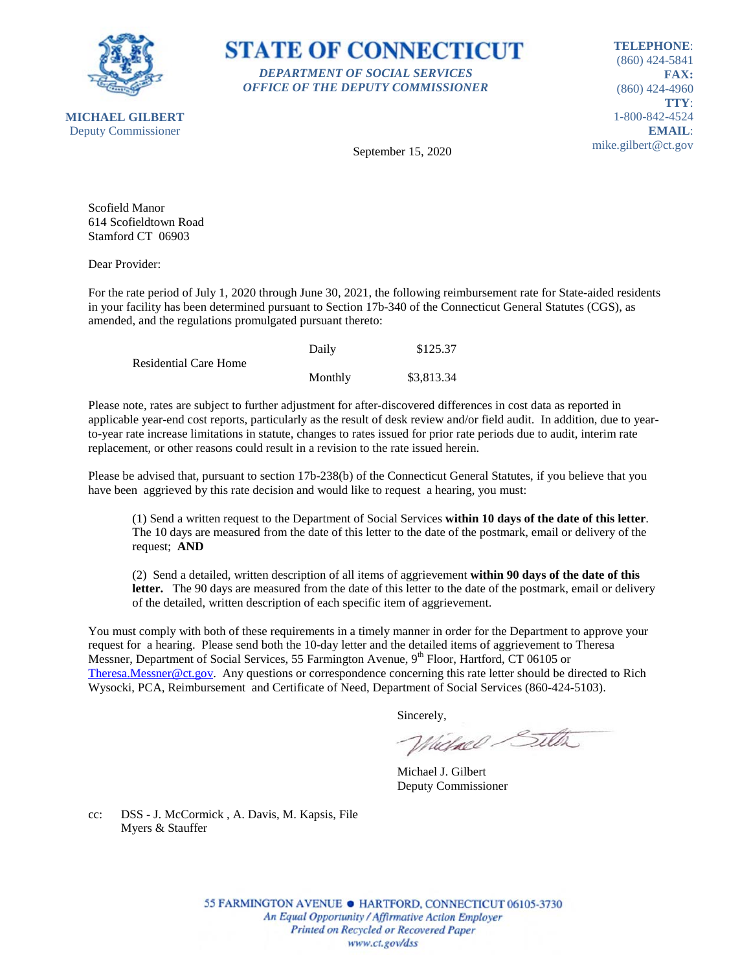

**STATE OF CONNECTICUT** *DEPARTMENT OF SOCIAL SERVICES OFFICE OF THE DEPUTY COMMISSIONER*

**TELEPHONE**: (860) 424-5841 **FAX:** (860) 424-4960 **TTY**: 1-800-842-4524 **EMAIL**: mike.gilbert@ct.gov

**MICHAEL GILBERT** Deputy Commissioner

September 15, 2020

Scofield Manor 614 Scofieldtown Road Stamford CT 06903

Dear Provider:

For the rate period of July 1, 2020 through June 30, 2021, the following reimbursement rate for State-aided residents in your facility has been determined pursuant to Section 17b-340 of the Connecticut General Statutes (CGS), as amended, and the regulations promulgated pursuant thereto:

|                       | Daily   | \$125.37   |
|-----------------------|---------|------------|
| Residential Care Home |         |            |
|                       | Monthly | \$3,813.34 |

Please note, rates are subject to further adjustment for after-discovered differences in cost data as reported in applicable year-end cost reports, particularly as the result of desk review and/or field audit. In addition, due to yearto-year rate increase limitations in statute, changes to rates issued for prior rate periods due to audit, interim rate replacement, or other reasons could result in a revision to the rate issued herein.

Please be advised that, pursuant to section 17b-238(b) of the Connecticut General Statutes, if you believe that you have been aggrieved by this rate decision and would like to request a hearing, you must:

(1) Send a written request to the Department of Social Services **within 10 days of the date of this letter**. The 10 days are measured from the date of this letter to the date of the postmark, email or delivery of the request; **AND**

(2) Send a detailed, written description of all items of aggrievement **within 90 days of the date of this letter.** The 90 days are measured from the date of this letter to the date of the postmark, email or delivery of the detailed, written description of each specific item of aggrievement.

You must comply with both of these requirements in a timely manner in order for the Department to approve your request for a hearing. Please send both the 10-day letter and the detailed items of aggrievement to Theresa Messner, Department of Social Services, 55 Farmington Avenue, 9<sup>th</sup> Floor, Hartford, CT 06105 or [Theresa.Messner@ct.gov.](mailto:Theresa.Messner@ct.gov) Any questions or correspondence concerning this rate letter should be directed to Rich Wysocki, PCA, Reimbursement and Certificate of Need, Department of Social Services (860-424-5103).

Sincerely,

Wielnel Silta

Michael J. Gilbert Deputy Commissioner

cc: DSS - J. McCormick , A. Davis, M. Kapsis, File Myers & Stauffer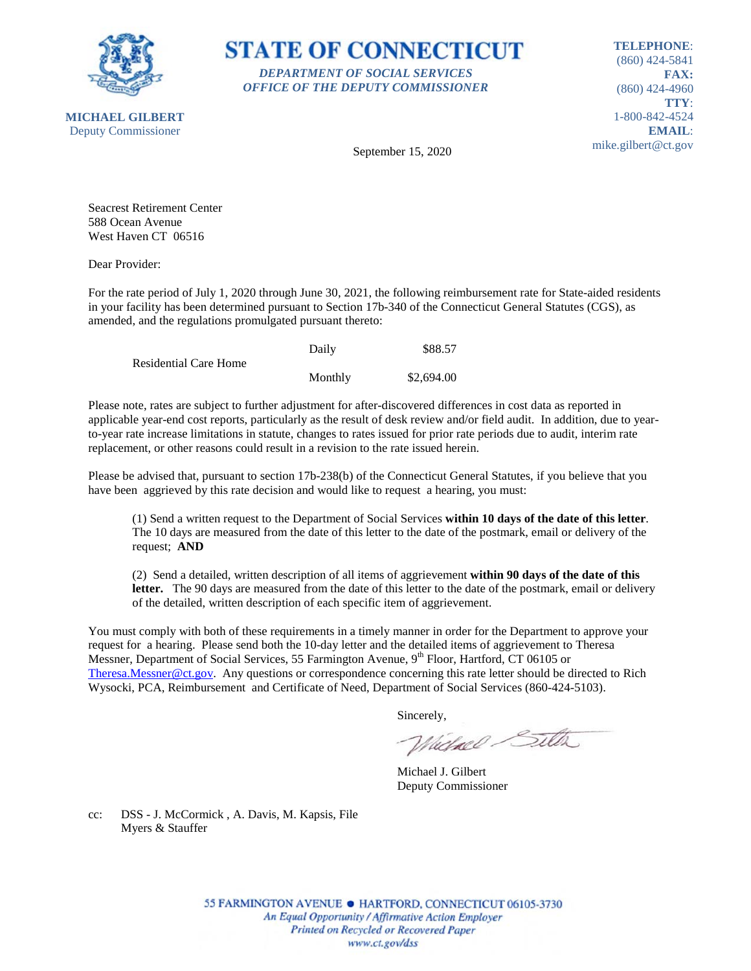



**TELEPHONE**: (860) 424-5841 **FAX:** (860) 424-4960 **TTY**: 1-800-842-4524 **EMAIL**: mike.gilbert@ct.gov

September 15, 2020

Seacrest Retirement Center 588 Ocean Avenue West Haven CT 06516

Dear Provider:

For the rate period of July 1, 2020 through June 30, 2021, the following reimbursement rate for State-aided residents in your facility has been determined pursuant to Section 17b-340 of the Connecticut General Statutes (CGS), as amended, and the regulations promulgated pursuant thereto:

|                              | Daily   | \$88.57    |
|------------------------------|---------|------------|
| <b>Residential Care Home</b> |         |            |
|                              | Monthly | \$2,694.00 |

Please note, rates are subject to further adjustment for after-discovered differences in cost data as reported in applicable year-end cost reports, particularly as the result of desk review and/or field audit. In addition, due to yearto-year rate increase limitations in statute, changes to rates issued for prior rate periods due to audit, interim rate replacement, or other reasons could result in a revision to the rate issued herein.

Please be advised that, pursuant to section 17b-238(b) of the Connecticut General Statutes, if you believe that you have been aggrieved by this rate decision and would like to request a hearing, you must:

(1) Send a written request to the Department of Social Services **within 10 days of the date of this letter**. The 10 days are measured from the date of this letter to the date of the postmark, email or delivery of the request; **AND**

(2) Send a detailed, written description of all items of aggrievement **within 90 days of the date of this letter.** The 90 days are measured from the date of this letter to the date of the postmark, email or delivery of the detailed, written description of each specific item of aggrievement.

You must comply with both of these requirements in a timely manner in order for the Department to approve your request for a hearing. Please send both the 10-day letter and the detailed items of aggrievement to Theresa Messner, Department of Social Services, 55 Farmington Avenue, 9<sup>th</sup> Floor, Hartford, CT 06105 or [Theresa.Messner@ct.gov.](mailto:Theresa.Messner@ct.gov) Any questions or correspondence concerning this rate letter should be directed to Rich Wysocki, PCA, Reimbursement and Certificate of Need, Department of Social Services (860-424-5103).

Sincerely,

Wielnel Silta

Michael J. Gilbert Deputy Commissioner

cc: DSS - J. McCormick , A. Davis, M. Kapsis, File Myers & Stauffer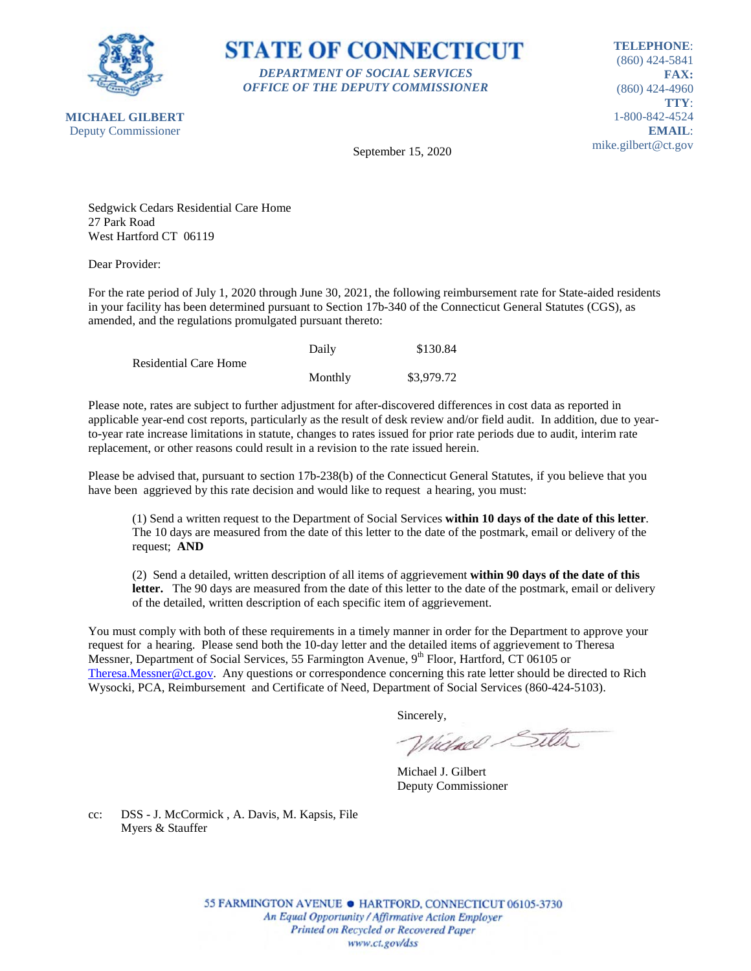

**STATE OF CONNECTICUT** *DEPARTMENT OF SOCIAL SERVICES OFFICE OF THE DEPUTY COMMISSIONER*

**TELEPHONE**: (860) 424-5841 **FAX:** (860) 424-4960 **TTY**: 1-800-842-4524 **EMAIL**: mike.gilbert@ct.gov

September 15, 2020

Sedgwick Cedars Residential Care Home 27 Park Road West Hartford CT 06119

Dear Provider:

For the rate period of July 1, 2020 through June 30, 2021, the following reimbursement rate for State-aided residents in your facility has been determined pursuant to Section 17b-340 of the Connecticut General Statutes (CGS), as amended, and the regulations promulgated pursuant thereto:

|                              | Daily   | \$130.84   |
|------------------------------|---------|------------|
| <b>Residential Care Home</b> |         |            |
|                              | Monthly | \$3,979.72 |

Please note, rates are subject to further adjustment for after-discovered differences in cost data as reported in applicable year-end cost reports, particularly as the result of desk review and/or field audit. In addition, due to yearto-year rate increase limitations in statute, changes to rates issued for prior rate periods due to audit, interim rate replacement, or other reasons could result in a revision to the rate issued herein.

Please be advised that, pursuant to section 17b-238(b) of the Connecticut General Statutes, if you believe that you have been aggrieved by this rate decision and would like to request a hearing, you must:

(1) Send a written request to the Department of Social Services **within 10 days of the date of this letter**. The 10 days are measured from the date of this letter to the date of the postmark, email or delivery of the request; **AND**

(2) Send a detailed, written description of all items of aggrievement **within 90 days of the date of this letter.** The 90 days are measured from the date of this letter to the date of the postmark, email or delivery of the detailed, written description of each specific item of aggrievement.

You must comply with both of these requirements in a timely manner in order for the Department to approve your request for a hearing. Please send both the 10-day letter and the detailed items of aggrievement to Theresa Messner, Department of Social Services, 55 Farmington Avenue, 9<sup>th</sup> Floor, Hartford, CT 06105 or [Theresa.Messner@ct.gov.](mailto:Theresa.Messner@ct.gov) Any questions or correspondence concerning this rate letter should be directed to Rich Wysocki, PCA, Reimbursement and Certificate of Need, Department of Social Services (860-424-5103).

Sincerely,

Wielnel Silta

Michael J. Gilbert Deputy Commissioner

cc: DSS - J. McCormick , A. Davis, M. Kapsis, File Myers & Stauffer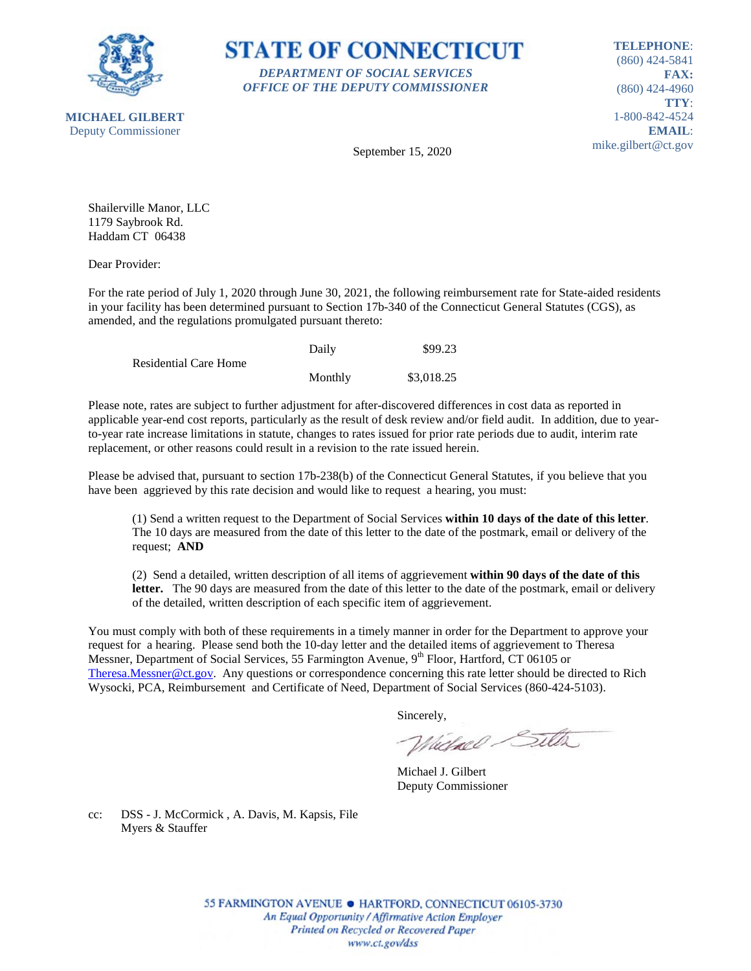



**TELEPHONE**: (860) 424-5841 **FAX:** (860) 424-4960 **TTY**: 1-800-842-4524 **EMAIL**: mike.gilbert@ct.gov

September 15, 2020

Shailerville Manor, LLC 1179 Saybrook Rd. Haddam CT 06438

Dear Provider:

For the rate period of July 1, 2020 through June 30, 2021, the following reimbursement rate for State-aided residents in your facility has been determined pursuant to Section 17b-340 of the Connecticut General Statutes (CGS), as amended, and the regulations promulgated pursuant thereto:

|                       | Daily   | \$99.23    |
|-----------------------|---------|------------|
| Residential Care Home |         |            |
|                       | Monthly | \$3,018.25 |

Please note, rates are subject to further adjustment for after-discovered differences in cost data as reported in applicable year-end cost reports, particularly as the result of desk review and/or field audit. In addition, due to yearto-year rate increase limitations in statute, changes to rates issued for prior rate periods due to audit, interim rate replacement, or other reasons could result in a revision to the rate issued herein.

Please be advised that, pursuant to section 17b-238(b) of the Connecticut General Statutes, if you believe that you have been aggrieved by this rate decision and would like to request a hearing, you must:

(1) Send a written request to the Department of Social Services **within 10 days of the date of this letter**. The 10 days are measured from the date of this letter to the date of the postmark, email or delivery of the request; **AND**

(2) Send a detailed, written description of all items of aggrievement **within 90 days of the date of this letter.** The 90 days are measured from the date of this letter to the date of the postmark, email or delivery of the detailed, written description of each specific item of aggrievement.

You must comply with both of these requirements in a timely manner in order for the Department to approve your request for a hearing. Please send both the 10-day letter and the detailed items of aggrievement to Theresa Messner, Department of Social Services, 55 Farmington Avenue, 9<sup>th</sup> Floor, Hartford, CT 06105 or [Theresa.Messner@ct.gov.](mailto:Theresa.Messner@ct.gov) Any questions or correspondence concerning this rate letter should be directed to Rich Wysocki, PCA, Reimbursement and Certificate of Need, Department of Social Services (860-424-5103).

Sincerely,

Wielnel Silta

Michael J. Gilbert Deputy Commissioner

cc: DSS - J. McCormick , A. Davis, M. Kapsis, File Myers & Stauffer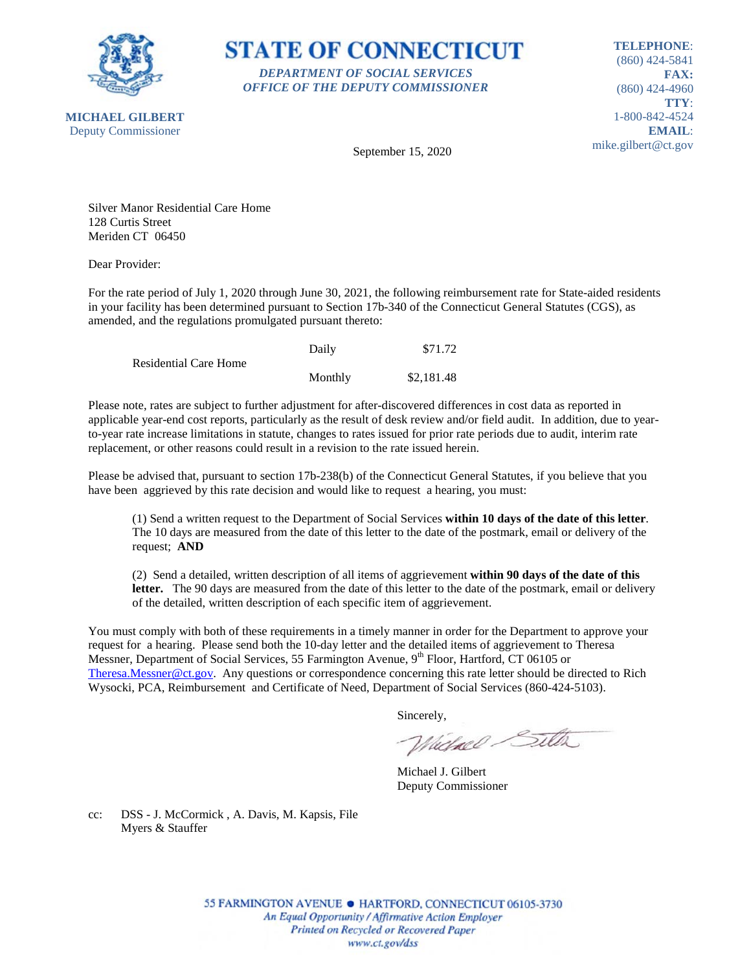

**STATE OF CONNECTICUT** *DEPARTMENT OF SOCIAL SERVICES OFFICE OF THE DEPUTY COMMISSIONER*

**TELEPHONE**: (860) 424-5841 **FAX:** (860) 424-4960 **TTY**: 1-800-842-4524 **EMAIL**: mike.gilbert@ct.gov

September 15, 2020

Silver Manor Residential Care Home 128 Curtis Street Meriden CT 06450

Dear Provider:

For the rate period of July 1, 2020 through June 30, 2021, the following reimbursement rate for State-aided residents in your facility has been determined pursuant to Section 17b-340 of the Connecticut General Statutes (CGS), as amended, and the regulations promulgated pursuant thereto:

|                       | Daily   | \$71.72    |
|-----------------------|---------|------------|
| Residential Care Home |         |            |
|                       | Monthly | \$2,181.48 |

Please note, rates are subject to further adjustment for after-discovered differences in cost data as reported in applicable year-end cost reports, particularly as the result of desk review and/or field audit. In addition, due to yearto-year rate increase limitations in statute, changes to rates issued for prior rate periods due to audit, interim rate replacement, or other reasons could result in a revision to the rate issued herein.

Please be advised that, pursuant to section 17b-238(b) of the Connecticut General Statutes, if you believe that you have been aggrieved by this rate decision and would like to request a hearing, you must:

(1) Send a written request to the Department of Social Services **within 10 days of the date of this letter**. The 10 days are measured from the date of this letter to the date of the postmark, email or delivery of the request; **AND**

(2) Send a detailed, written description of all items of aggrievement **within 90 days of the date of this letter.** The 90 days are measured from the date of this letter to the date of the postmark, email or delivery of the detailed, written description of each specific item of aggrievement.

You must comply with both of these requirements in a timely manner in order for the Department to approve your request for a hearing. Please send both the 10-day letter and the detailed items of aggrievement to Theresa Messner, Department of Social Services, 55 Farmington Avenue, 9<sup>th</sup> Floor, Hartford, CT 06105 or [Theresa.Messner@ct.gov.](mailto:Theresa.Messner@ct.gov) Any questions or correspondence concerning this rate letter should be directed to Rich Wysocki, PCA, Reimbursement and Certificate of Need, Department of Social Services (860-424-5103).

Sincerely,

Wielnel Silta

Michael J. Gilbert Deputy Commissioner

cc: DSS - J. McCormick , A. Davis, M. Kapsis, File Myers & Stauffer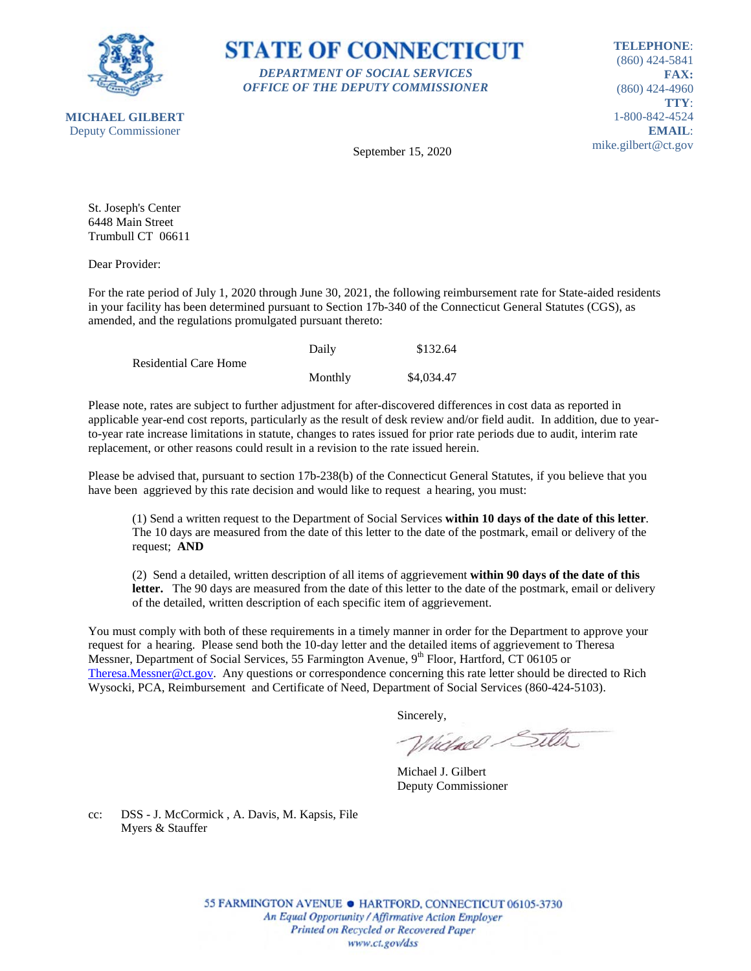



**TELEPHONE**: (860) 424-5841 **FAX:** (860) 424-4960 **TTY**: 1-800-842-4524 **EMAIL**: mike.gilbert@ct.gov

September 15, 2020

St. Joseph's Center 6448 Main Street Trumbull CT 06611

Dear Provider:

For the rate period of July 1, 2020 through June 30, 2021, the following reimbursement rate for State-aided residents in your facility has been determined pursuant to Section 17b-340 of the Connecticut General Statutes (CGS), as amended, and the regulations promulgated pursuant thereto:

|                              | Daily   | \$132.64   |
|------------------------------|---------|------------|
| <b>Residential Care Home</b> |         |            |
|                              | Monthly | \$4,034.47 |

Please note, rates are subject to further adjustment for after-discovered differences in cost data as reported in applicable year-end cost reports, particularly as the result of desk review and/or field audit. In addition, due to yearto-year rate increase limitations in statute, changes to rates issued for prior rate periods due to audit, interim rate replacement, or other reasons could result in a revision to the rate issued herein.

Please be advised that, pursuant to section 17b-238(b) of the Connecticut General Statutes, if you believe that you have been aggrieved by this rate decision and would like to request a hearing, you must:

(1) Send a written request to the Department of Social Services **within 10 days of the date of this letter**. The 10 days are measured from the date of this letter to the date of the postmark, email or delivery of the request; **AND**

(2) Send a detailed, written description of all items of aggrievement **within 90 days of the date of this letter.** The 90 days are measured from the date of this letter to the date of the postmark, email or delivery of the detailed, written description of each specific item of aggrievement.

You must comply with both of these requirements in a timely manner in order for the Department to approve your request for a hearing. Please send both the 10-day letter and the detailed items of aggrievement to Theresa Messner, Department of Social Services, 55 Farmington Avenue, 9<sup>th</sup> Floor, Hartford, CT 06105 or [Theresa.Messner@ct.gov.](mailto:Theresa.Messner@ct.gov) Any questions or correspondence concerning this rate letter should be directed to Rich Wysocki, PCA, Reimbursement and Certificate of Need, Department of Social Services (860-424-5103).

Sincerely,

Wielnel Silta

Michael J. Gilbert Deputy Commissioner

cc: DSS - J. McCormick , A. Davis, M. Kapsis, File Myers & Stauffer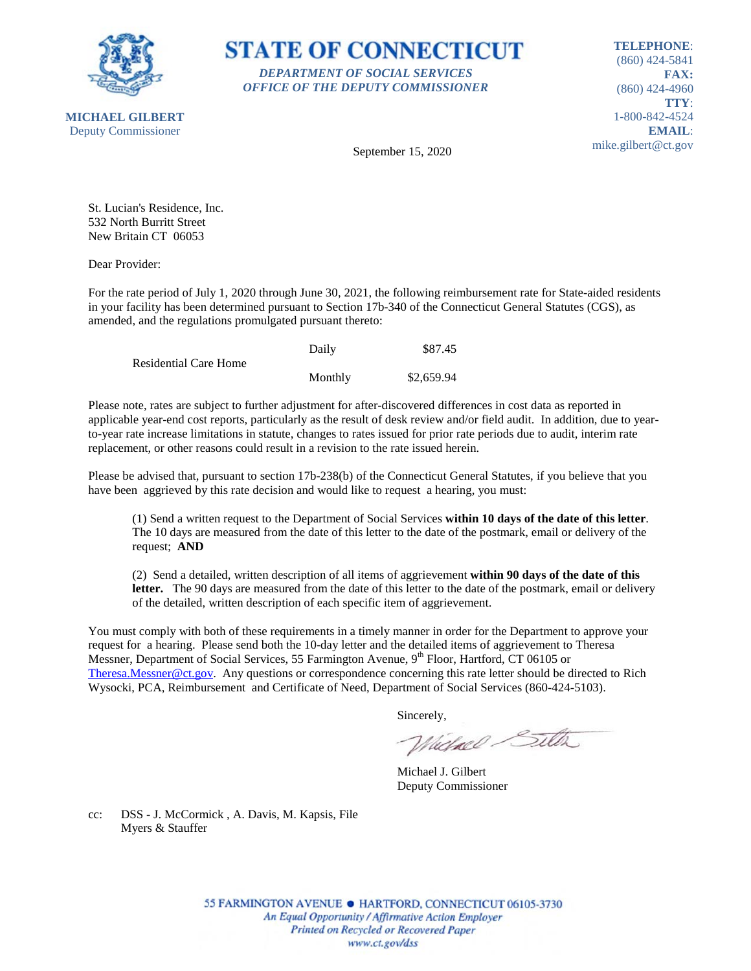

**STATE OF CONNECTICUT** *DEPARTMENT OF SOCIAL SERVICES OFFICE OF THE DEPUTY COMMISSIONER*

**TELEPHONE**: (860) 424-5841 **FAX:** (860) 424-4960 **TTY**: 1-800-842-4524 **EMAIL**: mike.gilbert@ct.gov

September 15, 2020

St. Lucian's Residence, Inc. 532 North Burritt Street New Britain CT 06053

Dear Provider:

For the rate period of July 1, 2020 through June 30, 2021, the following reimbursement rate for State-aided residents in your facility has been determined pursuant to Section 17b-340 of the Connecticut General Statutes (CGS), as amended, and the regulations promulgated pursuant thereto:

|                              | Daily   | \$87.45    |
|------------------------------|---------|------------|
| <b>Residential Care Home</b> |         |            |
|                              | Monthly | \$2,659.94 |

Please note, rates are subject to further adjustment for after-discovered differences in cost data as reported in applicable year-end cost reports, particularly as the result of desk review and/or field audit. In addition, due to yearto-year rate increase limitations in statute, changes to rates issued for prior rate periods due to audit, interim rate replacement, or other reasons could result in a revision to the rate issued herein.

Please be advised that, pursuant to section 17b-238(b) of the Connecticut General Statutes, if you believe that you have been aggrieved by this rate decision and would like to request a hearing, you must:

(1) Send a written request to the Department of Social Services **within 10 days of the date of this letter**. The 10 days are measured from the date of this letter to the date of the postmark, email or delivery of the request; **AND**

(2) Send a detailed, written description of all items of aggrievement **within 90 days of the date of this letter.** The 90 days are measured from the date of this letter to the date of the postmark, email or delivery of the detailed, written description of each specific item of aggrievement.

You must comply with both of these requirements in a timely manner in order for the Department to approve your request for a hearing. Please send both the 10-day letter and the detailed items of aggrievement to Theresa Messner, Department of Social Services, 55 Farmington Avenue, 9<sup>th</sup> Floor, Hartford, CT 06105 or [Theresa.Messner@ct.gov.](mailto:Theresa.Messner@ct.gov) Any questions or correspondence concerning this rate letter should be directed to Rich Wysocki, PCA, Reimbursement and Certificate of Need, Department of Social Services (860-424-5103).

Sincerely,

Wielnel Silta

Michael J. Gilbert Deputy Commissioner

cc: DSS - J. McCormick , A. Davis, M. Kapsis, File Myers & Stauffer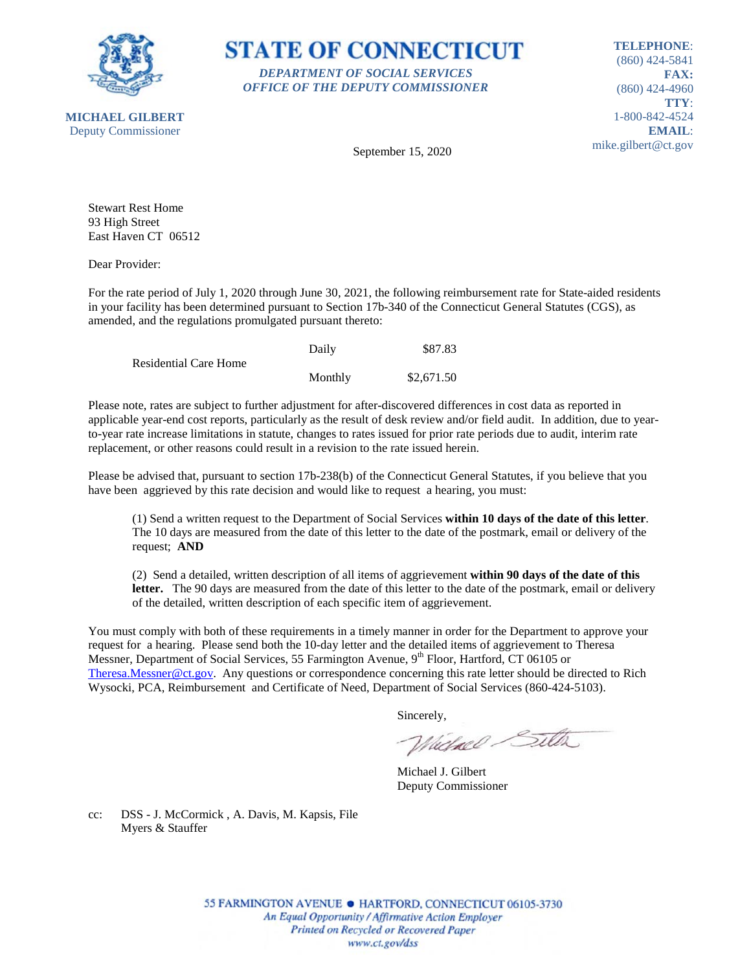



**TELEPHONE**: (860) 424-5841 **FAX:** (860) 424-4960 **TTY**: 1-800-842-4524 **EMAIL**: mike.gilbert@ct.gov

September 15, 2020

Stewart Rest Home 93 High Street East Haven CT 06512

Dear Provider:

For the rate period of July 1, 2020 through June 30, 2021, the following reimbursement rate for State-aided residents in your facility has been determined pursuant to Section 17b-340 of the Connecticut General Statutes (CGS), as amended, and the regulations promulgated pursuant thereto:

|                              | Daily   | \$87.83    |
|------------------------------|---------|------------|
| <b>Residential Care Home</b> |         |            |
|                              | Monthly | \$2,671.50 |

Please note, rates are subject to further adjustment for after-discovered differences in cost data as reported in applicable year-end cost reports, particularly as the result of desk review and/or field audit. In addition, due to yearto-year rate increase limitations in statute, changes to rates issued for prior rate periods due to audit, interim rate replacement, or other reasons could result in a revision to the rate issued herein.

Please be advised that, pursuant to section 17b-238(b) of the Connecticut General Statutes, if you believe that you have been aggrieved by this rate decision and would like to request a hearing, you must:

(1) Send a written request to the Department of Social Services **within 10 days of the date of this letter**. The 10 days are measured from the date of this letter to the date of the postmark, email or delivery of the request; **AND**

(2) Send a detailed, written description of all items of aggrievement **within 90 days of the date of this letter.** The 90 days are measured from the date of this letter to the date of the postmark, email or delivery of the detailed, written description of each specific item of aggrievement.

You must comply with both of these requirements in a timely manner in order for the Department to approve your request for a hearing. Please send both the 10-day letter and the detailed items of aggrievement to Theresa Messner, Department of Social Services, 55 Farmington Avenue, 9<sup>th</sup> Floor, Hartford, CT 06105 or [Theresa.Messner@ct.gov.](mailto:Theresa.Messner@ct.gov) Any questions or correspondence concerning this rate letter should be directed to Rich Wysocki, PCA, Reimbursement and Certificate of Need, Department of Social Services (860-424-5103).

Sincerely,

Wielnel Silta

Michael J. Gilbert Deputy Commissioner

cc: DSS - J. McCormick , A. Davis, M. Kapsis, File Myers & Stauffer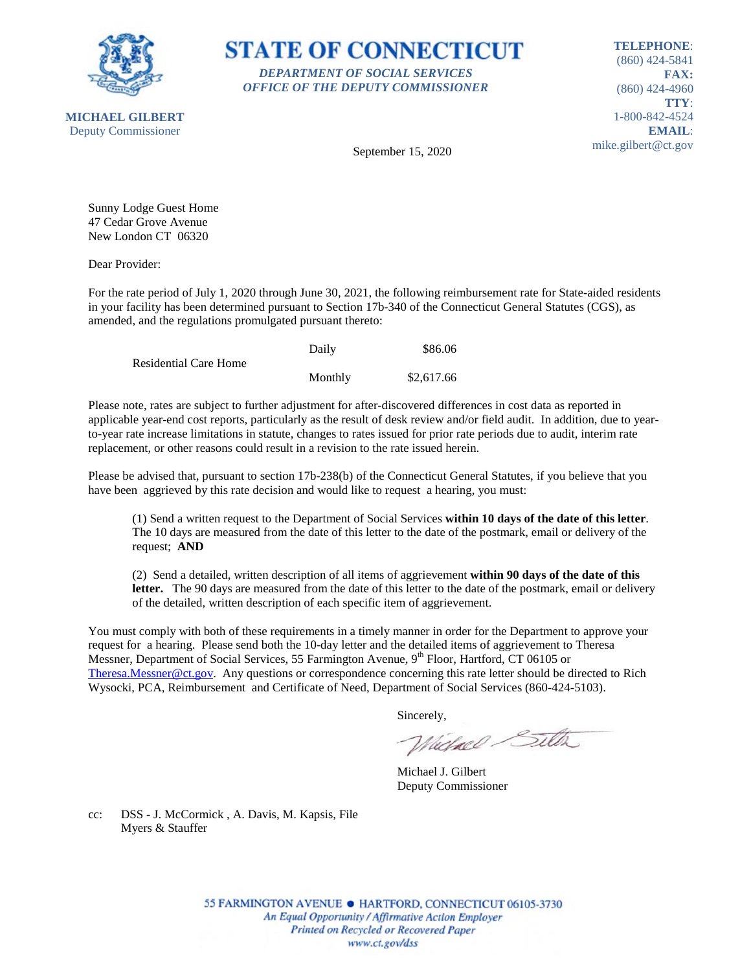



**TELEPHONE**: (860) 424-5841 **FAX:** (860) 424-4960 **TTY**: 1-800-842-4524 **EMAIL**: mike.gilbert@ct.gov

September 15, 2020

Sunny Lodge Guest Home 47 Cedar Grove Avenue New London CT 06320

Dear Provider:

For the rate period of July 1, 2020 through June 30, 2021, the following reimbursement rate for State-aided residents in your facility has been determined pursuant to Section 17b-340 of the Connecticut General Statutes (CGS), as amended, and the regulations promulgated pursuant thereto:

|                       | Daily   | \$86.06    |
|-----------------------|---------|------------|
| Residential Care Home |         |            |
|                       | Monthly | \$2,617.66 |

Please note, rates are subject to further adjustment for after-discovered differences in cost data as reported in applicable year-end cost reports, particularly as the result of desk review and/or field audit. In addition, due to yearto-year rate increase limitations in statute, changes to rates issued for prior rate periods due to audit, interim rate replacement, or other reasons could result in a revision to the rate issued herein.

Please be advised that, pursuant to section 17b-238(b) of the Connecticut General Statutes, if you believe that you have been aggrieved by this rate decision and would like to request a hearing, you must:

(1) Send a written request to the Department of Social Services **within 10 days of the date of this letter**. The 10 days are measured from the date of this letter to the date of the postmark, email or delivery of the request; **AND**

(2) Send a detailed, written description of all items of aggrievement **within 90 days of the date of this letter.** The 90 days are measured from the date of this letter to the date of the postmark, email or delivery of the detailed, written description of each specific item of aggrievement.

You must comply with both of these requirements in a timely manner in order for the Department to approve your request for a hearing. Please send both the 10-day letter and the detailed items of aggrievement to Theresa Messner, Department of Social Services, 55 Farmington Avenue, 9<sup>th</sup> Floor, Hartford, CT 06105 or [Theresa.Messner@ct.gov.](mailto:Theresa.Messner@ct.gov) Any questions or correspondence concerning this rate letter should be directed to Rich Wysocki, PCA, Reimbursement and Certificate of Need, Department of Social Services (860-424-5103).

Sincerely,

Wielnel Silta

Michael J. Gilbert Deputy Commissioner

cc: DSS - J. McCormick , A. Davis, M. Kapsis, File Myers & Stauffer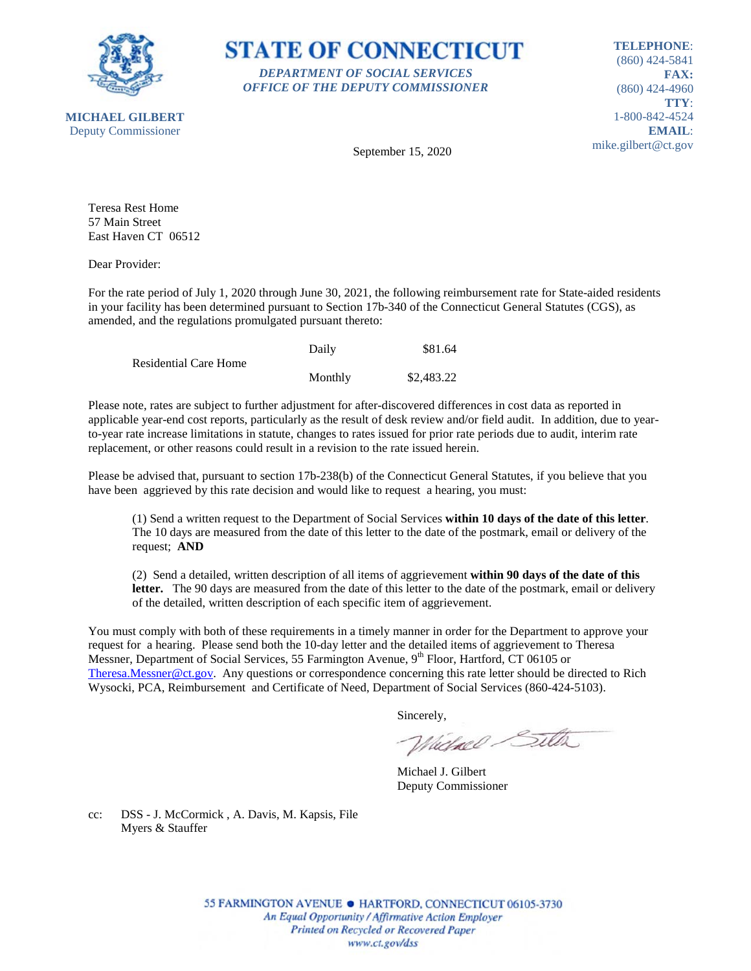



**TELEPHONE**: (860) 424-5841 **FAX:** (860) 424-4960 **TTY**: 1-800-842-4524 **EMAIL**: mike.gilbert@ct.gov

September 15, 2020

Teresa Rest Home 57 Main Street East Haven CT 06512

Dear Provider:

For the rate period of July 1, 2020 through June 30, 2021, the following reimbursement rate for State-aided residents in your facility has been determined pursuant to Section 17b-340 of the Connecticut General Statutes (CGS), as amended, and the regulations promulgated pursuant thereto:

|                              | Daily   | \$81.64    |
|------------------------------|---------|------------|
| <b>Residential Care Home</b> |         |            |
|                              | Monthly | \$2,483.22 |

Please note, rates are subject to further adjustment for after-discovered differences in cost data as reported in applicable year-end cost reports, particularly as the result of desk review and/or field audit. In addition, due to yearto-year rate increase limitations in statute, changes to rates issued for prior rate periods due to audit, interim rate replacement, or other reasons could result in a revision to the rate issued herein.

Please be advised that, pursuant to section 17b-238(b) of the Connecticut General Statutes, if you believe that you have been aggrieved by this rate decision and would like to request a hearing, you must:

(1) Send a written request to the Department of Social Services **within 10 days of the date of this letter**. The 10 days are measured from the date of this letter to the date of the postmark, email or delivery of the request; **AND**

(2) Send a detailed, written description of all items of aggrievement **within 90 days of the date of this letter.** The 90 days are measured from the date of this letter to the date of the postmark, email or delivery of the detailed, written description of each specific item of aggrievement.

You must comply with both of these requirements in a timely manner in order for the Department to approve your request for a hearing. Please send both the 10-day letter and the detailed items of aggrievement to Theresa Messner, Department of Social Services, 55 Farmington Avenue, 9<sup>th</sup> Floor, Hartford, CT 06105 or [Theresa.Messner@ct.gov.](mailto:Theresa.Messner@ct.gov) Any questions or correspondence concerning this rate letter should be directed to Rich Wysocki, PCA, Reimbursement and Certificate of Need, Department of Social Services (860-424-5103).

Sincerely,

Wielnel Silta

Michael J. Gilbert Deputy Commissioner

cc: DSS - J. McCormick , A. Davis, M. Kapsis, File Myers & Stauffer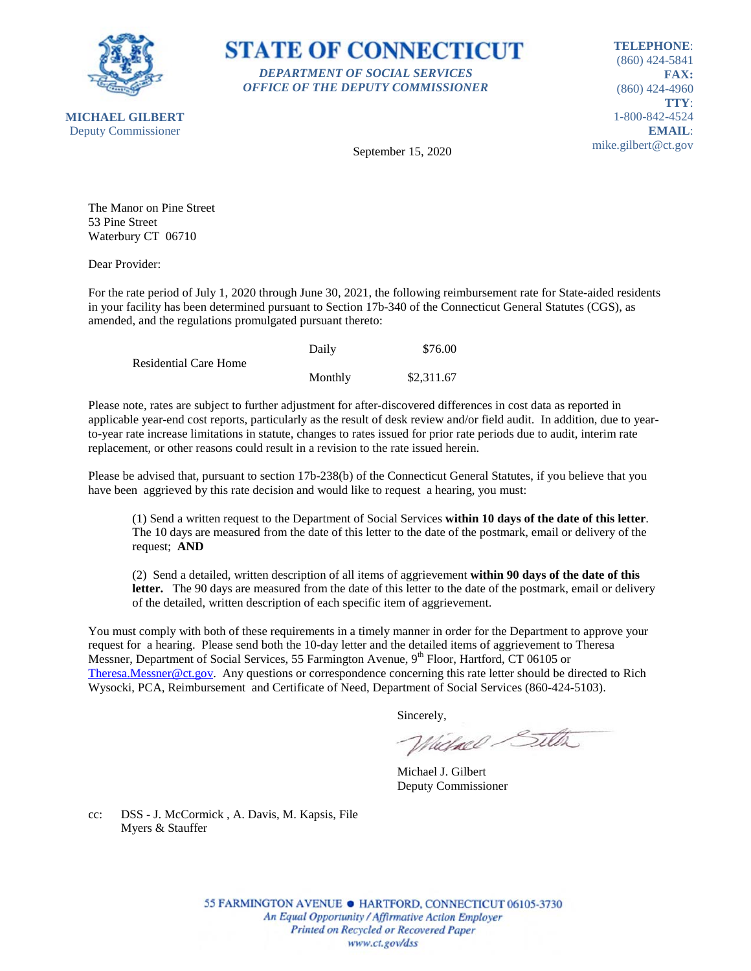



**TELEPHONE**: (860) 424-5841 **FAX:** (860) 424-4960 **TTY**: 1-800-842-4524 **EMAIL**: mike.gilbert@ct.gov

September 15, 2020

The Manor on Pine Street 53 Pine Street Waterbury CT 06710

Dear Provider:

For the rate period of July 1, 2020 through June 30, 2021, the following reimbursement rate for State-aided residents in your facility has been determined pursuant to Section 17b-340 of the Connecticut General Statutes (CGS), as amended, and the regulations promulgated pursuant thereto:

|                              | Daily   | \$76.00    |
|------------------------------|---------|------------|
| <b>Residential Care Home</b> |         |            |
|                              | Monthly | \$2,311.67 |

Please note, rates are subject to further adjustment for after-discovered differences in cost data as reported in applicable year-end cost reports, particularly as the result of desk review and/or field audit. In addition, due to yearto-year rate increase limitations in statute, changes to rates issued for prior rate periods due to audit, interim rate replacement, or other reasons could result in a revision to the rate issued herein.

Please be advised that, pursuant to section 17b-238(b) of the Connecticut General Statutes, if you believe that you have been aggrieved by this rate decision and would like to request a hearing, you must:

(1) Send a written request to the Department of Social Services **within 10 days of the date of this letter**. The 10 days are measured from the date of this letter to the date of the postmark, email or delivery of the request; **AND**

(2) Send a detailed, written description of all items of aggrievement **within 90 days of the date of this letter.** The 90 days are measured from the date of this letter to the date of the postmark, email or delivery of the detailed, written description of each specific item of aggrievement.

You must comply with both of these requirements in a timely manner in order for the Department to approve your request for a hearing. Please send both the 10-day letter and the detailed items of aggrievement to Theresa Messner, Department of Social Services, 55 Farmington Avenue, 9<sup>th</sup> Floor, Hartford, CT 06105 or [Theresa.Messner@ct.gov.](mailto:Theresa.Messner@ct.gov) Any questions or correspondence concerning this rate letter should be directed to Rich Wysocki, PCA, Reimbursement and Certificate of Need, Department of Social Services (860-424-5103).

Sincerely,

Wielnel Silta

Michael J. Gilbert Deputy Commissioner

cc: DSS - J. McCormick , A. Davis, M. Kapsis, File Myers & Stauffer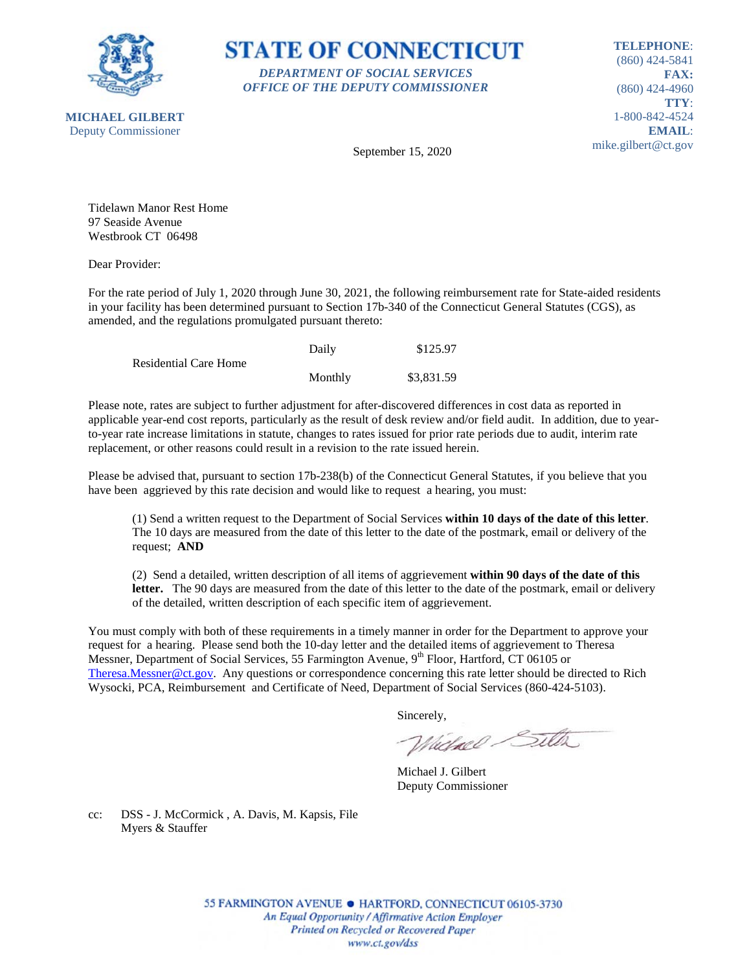

**STATE OF CONNECTICUT** *DEPARTMENT OF SOCIAL SERVICES OFFICE OF THE DEPUTY COMMISSIONER*

**TELEPHONE**: (860) 424-5841 **FAX:** (860) 424-4960 **TTY**: 1-800-842-4524 **EMAIL**: mike.gilbert@ct.gov

September 15, 2020

Tidelawn Manor Rest Home 97 Seaside Avenue Westbrook CT 06498

Dear Provider:

For the rate period of July 1, 2020 through June 30, 2021, the following reimbursement rate for State-aided residents in your facility has been determined pursuant to Section 17b-340 of the Connecticut General Statutes (CGS), as amended, and the regulations promulgated pursuant thereto:

|                              | Daily   | \$125.97   |
|------------------------------|---------|------------|
| <b>Residential Care Home</b> |         |            |
|                              | Monthly | \$3,831.59 |

Please note, rates are subject to further adjustment for after-discovered differences in cost data as reported in applicable year-end cost reports, particularly as the result of desk review and/or field audit. In addition, due to yearto-year rate increase limitations in statute, changes to rates issued for prior rate periods due to audit, interim rate replacement, or other reasons could result in a revision to the rate issued herein.

Please be advised that, pursuant to section 17b-238(b) of the Connecticut General Statutes, if you believe that you have been aggrieved by this rate decision and would like to request a hearing, you must:

(1) Send a written request to the Department of Social Services **within 10 days of the date of this letter**. The 10 days are measured from the date of this letter to the date of the postmark, email or delivery of the request; **AND**

(2) Send a detailed, written description of all items of aggrievement **within 90 days of the date of this letter.** The 90 days are measured from the date of this letter to the date of the postmark, email or delivery of the detailed, written description of each specific item of aggrievement.

You must comply with both of these requirements in a timely manner in order for the Department to approve your request for a hearing. Please send both the 10-day letter and the detailed items of aggrievement to Theresa Messner, Department of Social Services, 55 Farmington Avenue, 9<sup>th</sup> Floor, Hartford, CT 06105 or [Theresa.Messner@ct.gov.](mailto:Theresa.Messner@ct.gov) Any questions or correspondence concerning this rate letter should be directed to Rich Wysocki, PCA, Reimbursement and Certificate of Need, Department of Social Services (860-424-5103).

Sincerely,

Wielnel Silta

Michael J. Gilbert Deputy Commissioner

cc: DSS - J. McCormick , A. Davis, M. Kapsis, File Myers & Stauffer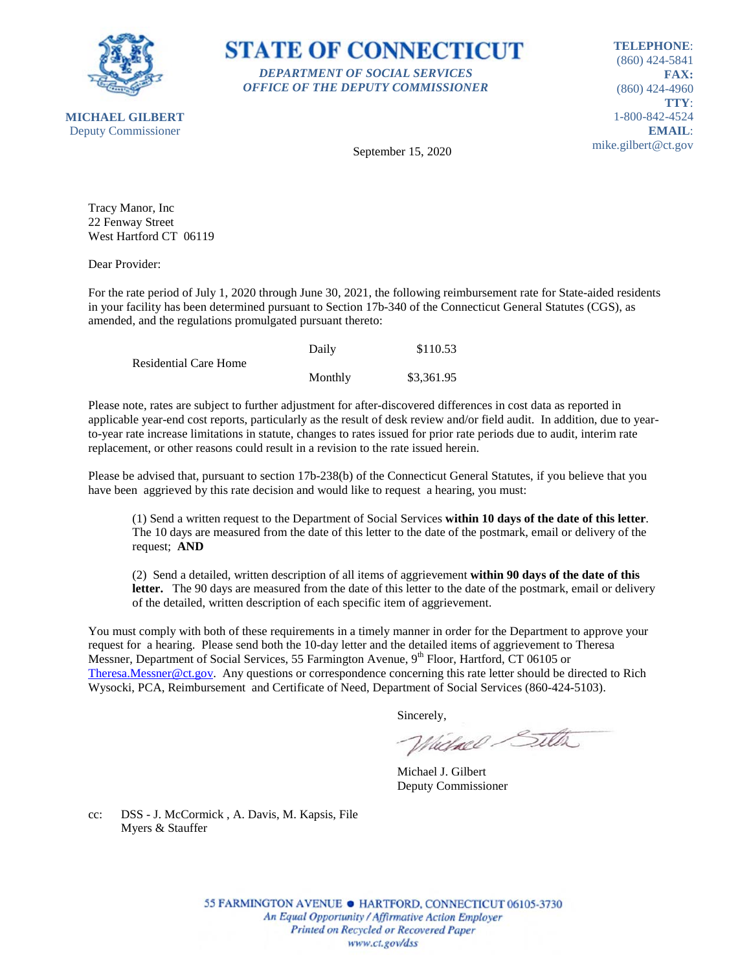

**STATE OF CONNECTICUT** *DEPARTMENT OF SOCIAL SERVICES OFFICE OF THE DEPUTY COMMISSIONER*

**TELEPHONE**: (860) 424-5841 **FAX:** (860) 424-4960 **TTY**: 1-800-842-4524 **EMAIL**: mike.gilbert@ct.gov

September 15, 2020

Tracy Manor, Inc 22 Fenway Street West Hartford CT 06119

Dear Provider:

For the rate period of July 1, 2020 through June 30, 2021, the following reimbursement rate for State-aided residents in your facility has been determined pursuant to Section 17b-340 of the Connecticut General Statutes (CGS), as amended, and the regulations promulgated pursuant thereto:

|                              | Daily   | \$110.53   |
|------------------------------|---------|------------|
| <b>Residential Care Home</b> |         |            |
|                              | Monthly | \$3,361.95 |

Please note, rates are subject to further adjustment for after-discovered differences in cost data as reported in applicable year-end cost reports, particularly as the result of desk review and/or field audit. In addition, due to yearto-year rate increase limitations in statute, changes to rates issued for prior rate periods due to audit, interim rate replacement, or other reasons could result in a revision to the rate issued herein.

Please be advised that, pursuant to section 17b-238(b) of the Connecticut General Statutes, if you believe that you have been aggrieved by this rate decision and would like to request a hearing, you must:

(1) Send a written request to the Department of Social Services **within 10 days of the date of this letter**. The 10 days are measured from the date of this letter to the date of the postmark, email or delivery of the request; **AND**

(2) Send a detailed, written description of all items of aggrievement **within 90 days of the date of this letter.** The 90 days are measured from the date of this letter to the date of the postmark, email or delivery of the detailed, written description of each specific item of aggrievement.

You must comply with both of these requirements in a timely manner in order for the Department to approve your request for a hearing. Please send both the 10-day letter and the detailed items of aggrievement to Theresa Messner, Department of Social Services, 55 Farmington Avenue, 9<sup>th</sup> Floor, Hartford, CT 06105 or [Theresa.Messner@ct.gov.](mailto:Theresa.Messner@ct.gov) Any questions or correspondence concerning this rate letter should be directed to Rich Wysocki, PCA, Reimbursement and Certificate of Need, Department of Social Services (860-424-5103).

Sincerely,

Wielnel Silta

Michael J. Gilbert Deputy Commissioner

cc: DSS - J. McCormick , A. Davis, M. Kapsis, File Myers & Stauffer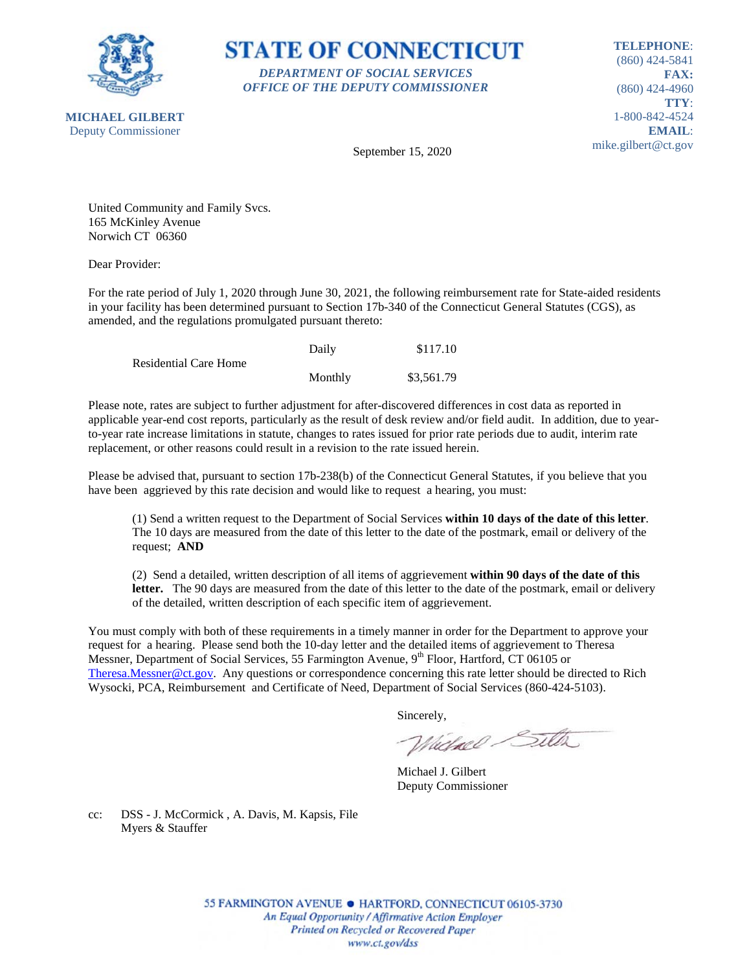

**STATE OF CONNECTICUT** *DEPARTMENT OF SOCIAL SERVICES OFFICE OF THE DEPUTY COMMISSIONER*

**TELEPHONE**: (860) 424-5841 **FAX:** (860) 424-4960 **TTY**: 1-800-842-4524 **EMAIL**: mike.gilbert@ct.gov

September 15, 2020

United Community and Family Svcs. 165 McKinley Avenue Norwich CT 06360

Dear Provider:

For the rate period of July 1, 2020 through June 30, 2021, the following reimbursement rate for State-aided residents in your facility has been determined pursuant to Section 17b-340 of the Connecticut General Statutes (CGS), as amended, and the regulations promulgated pursuant thereto:

|                              | Daily   | \$117.10   |
|------------------------------|---------|------------|
| <b>Residential Care Home</b> |         |            |
|                              | Monthly | \$3,561.79 |

Please note, rates are subject to further adjustment for after-discovered differences in cost data as reported in applicable year-end cost reports, particularly as the result of desk review and/or field audit. In addition, due to yearto-year rate increase limitations in statute, changes to rates issued for prior rate periods due to audit, interim rate replacement, or other reasons could result in a revision to the rate issued herein.

Please be advised that, pursuant to section 17b-238(b) of the Connecticut General Statutes, if you believe that you have been aggrieved by this rate decision and would like to request a hearing, you must:

(1) Send a written request to the Department of Social Services **within 10 days of the date of this letter**. The 10 days are measured from the date of this letter to the date of the postmark, email or delivery of the request; **AND**

(2) Send a detailed, written description of all items of aggrievement **within 90 days of the date of this letter.** The 90 days are measured from the date of this letter to the date of the postmark, email or delivery of the detailed, written description of each specific item of aggrievement.

You must comply with both of these requirements in a timely manner in order for the Department to approve your request for a hearing. Please send both the 10-day letter and the detailed items of aggrievement to Theresa Messner, Department of Social Services, 55 Farmington Avenue, 9<sup>th</sup> Floor, Hartford, CT 06105 or [Theresa.Messner@ct.gov.](mailto:Theresa.Messner@ct.gov) Any questions or correspondence concerning this rate letter should be directed to Rich Wysocki, PCA, Reimbursement and Certificate of Need, Department of Social Services (860-424-5103).

Sincerely,

Wielnel Silta

Michael J. Gilbert Deputy Commissioner

cc: DSS - J. McCormick , A. Davis, M. Kapsis, File Myers & Stauffer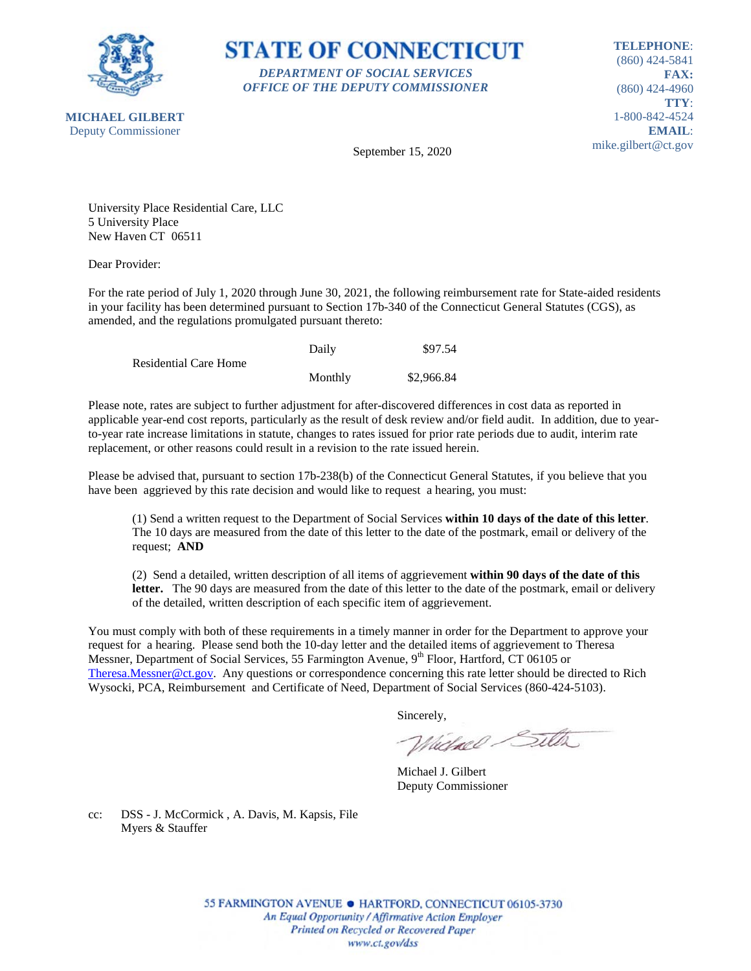

**STATE OF CONNECTICUT** *DEPARTMENT OF SOCIAL SERVICES OFFICE OF THE DEPUTY COMMISSIONER*

**TELEPHONE**: (860) 424-5841 **FAX:** (860) 424-4960 **TTY**: 1-800-842-4524 **EMAIL**: mike.gilbert@ct.gov

September 15, 2020

University Place Residential Care, LLC 5 University Place New Haven CT 06511

Dear Provider:

For the rate period of July 1, 2020 through June 30, 2021, the following reimbursement rate for State-aided residents in your facility has been determined pursuant to Section 17b-340 of the Connecticut General Statutes (CGS), as amended, and the regulations promulgated pursuant thereto:

|                              | Daily   | \$97.54    |
|------------------------------|---------|------------|
| <b>Residential Care Home</b> |         |            |
|                              | Monthly | \$2,966.84 |

Please note, rates are subject to further adjustment for after-discovered differences in cost data as reported in applicable year-end cost reports, particularly as the result of desk review and/or field audit. In addition, due to yearto-year rate increase limitations in statute, changes to rates issued for prior rate periods due to audit, interim rate replacement, or other reasons could result in a revision to the rate issued herein.

Please be advised that, pursuant to section 17b-238(b) of the Connecticut General Statutes, if you believe that you have been aggrieved by this rate decision and would like to request a hearing, you must:

(1) Send a written request to the Department of Social Services **within 10 days of the date of this letter**. The 10 days are measured from the date of this letter to the date of the postmark, email or delivery of the request; **AND**

(2) Send a detailed, written description of all items of aggrievement **within 90 days of the date of this letter.** The 90 days are measured from the date of this letter to the date of the postmark, email or delivery of the detailed, written description of each specific item of aggrievement.

You must comply with both of these requirements in a timely manner in order for the Department to approve your request for a hearing. Please send both the 10-day letter and the detailed items of aggrievement to Theresa Messner, Department of Social Services, 55 Farmington Avenue, 9<sup>th</sup> Floor, Hartford, CT 06105 or [Theresa.Messner@ct.gov.](mailto:Theresa.Messner@ct.gov) Any questions or correspondence concerning this rate letter should be directed to Rich Wysocki, PCA, Reimbursement and Certificate of Need, Department of Social Services (860-424-5103).

Sincerely,

Wielnel Silta

Michael J. Gilbert Deputy Commissioner

cc: DSS - J. McCormick , A. Davis, M. Kapsis, File Myers & Stauffer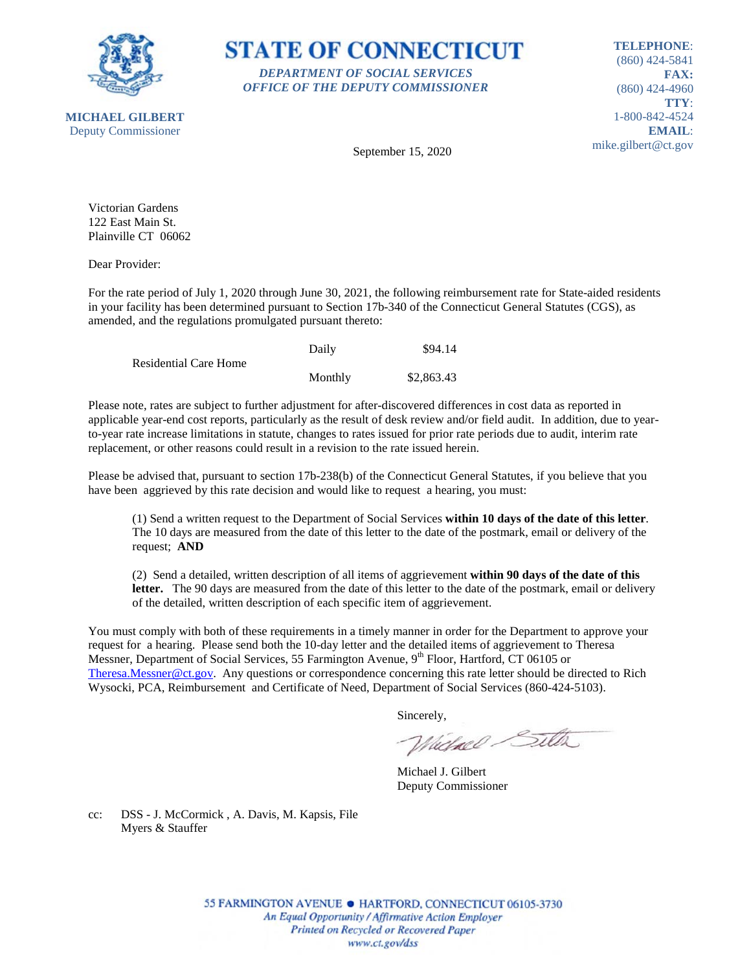



**TELEPHONE**: (860) 424-5841 **FAX:** (860) 424-4960 **TTY**: 1-800-842-4524 **EMAIL**: mike.gilbert@ct.gov

September 15, 2020

Victorian Gardens 122 East Main St. Plainville CT 06062

Dear Provider:

For the rate period of July 1, 2020 through June 30, 2021, the following reimbursement rate for State-aided residents in your facility has been determined pursuant to Section 17b-340 of the Connecticut General Statutes (CGS), as amended, and the regulations promulgated pursuant thereto:

|                              | Daily   | \$94.14    |
|------------------------------|---------|------------|
| <b>Residential Care Home</b> |         |            |
|                              | Monthly | \$2,863.43 |

Please note, rates are subject to further adjustment for after-discovered differences in cost data as reported in applicable year-end cost reports, particularly as the result of desk review and/or field audit. In addition, due to yearto-year rate increase limitations in statute, changes to rates issued for prior rate periods due to audit, interim rate replacement, or other reasons could result in a revision to the rate issued herein.

Please be advised that, pursuant to section 17b-238(b) of the Connecticut General Statutes, if you believe that you have been aggrieved by this rate decision and would like to request a hearing, you must:

(1) Send a written request to the Department of Social Services **within 10 days of the date of this letter**. The 10 days are measured from the date of this letter to the date of the postmark, email or delivery of the request; **AND**

(2) Send a detailed, written description of all items of aggrievement **within 90 days of the date of this letter.** The 90 days are measured from the date of this letter to the date of the postmark, email or delivery of the detailed, written description of each specific item of aggrievement.

You must comply with both of these requirements in a timely manner in order for the Department to approve your request for a hearing. Please send both the 10-day letter and the detailed items of aggrievement to Theresa Messner, Department of Social Services, 55 Farmington Avenue, 9<sup>th</sup> Floor, Hartford, CT 06105 or [Theresa.Messner@ct.gov.](mailto:Theresa.Messner@ct.gov) Any questions or correspondence concerning this rate letter should be directed to Rich Wysocki, PCA, Reimbursement and Certificate of Need, Department of Social Services (860-424-5103).

Sincerely,

Wielnel Silta

Michael J. Gilbert Deputy Commissioner

cc: DSS - J. McCormick , A. Davis, M. Kapsis, File Myers & Stauffer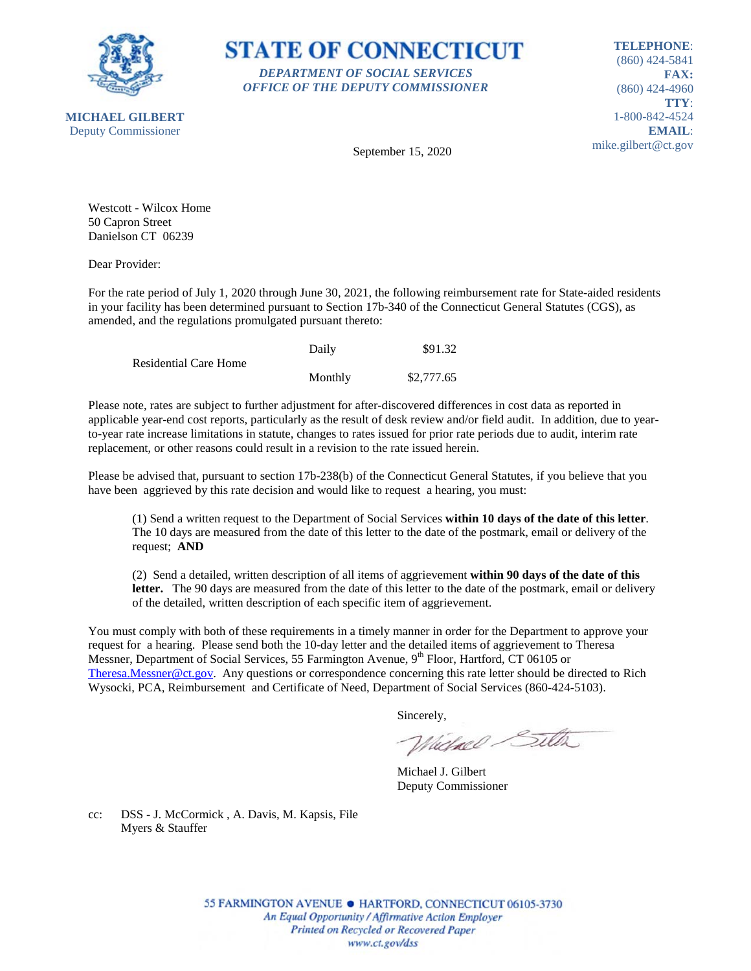



**TELEPHONE**: (860) 424-5841 **FAX:** (860) 424-4960 **TTY**: 1-800-842-4524 **EMAIL**: mike.gilbert@ct.gov

September 15, 2020

Westcott - Wilcox Home 50 Capron Street Danielson CT 06239

Dear Provider:

For the rate period of July 1, 2020 through June 30, 2021, the following reimbursement rate for State-aided residents in your facility has been determined pursuant to Section 17b-340 of the Connecticut General Statutes (CGS), as amended, and the regulations promulgated pursuant thereto:

|                              | Daily   | \$91.32    |
|------------------------------|---------|------------|
| <b>Residential Care Home</b> |         |            |
|                              | Monthly | \$2,777.65 |

Please note, rates are subject to further adjustment for after-discovered differences in cost data as reported in applicable year-end cost reports, particularly as the result of desk review and/or field audit. In addition, due to yearto-year rate increase limitations in statute, changes to rates issued for prior rate periods due to audit, interim rate replacement, or other reasons could result in a revision to the rate issued herein.

Please be advised that, pursuant to section 17b-238(b) of the Connecticut General Statutes, if you believe that you have been aggrieved by this rate decision and would like to request a hearing, you must:

(1) Send a written request to the Department of Social Services **within 10 days of the date of this letter**. The 10 days are measured from the date of this letter to the date of the postmark, email or delivery of the request; **AND**

(2) Send a detailed, written description of all items of aggrievement **within 90 days of the date of this letter.** The 90 days are measured from the date of this letter to the date of the postmark, email or delivery of the detailed, written description of each specific item of aggrievement.

You must comply with both of these requirements in a timely manner in order for the Department to approve your request for a hearing. Please send both the 10-day letter and the detailed items of aggrievement to Theresa Messner, Department of Social Services, 55 Farmington Avenue, 9<sup>th</sup> Floor, Hartford, CT 06105 or [Theresa.Messner@ct.gov.](mailto:Theresa.Messner@ct.gov) Any questions or correspondence concerning this rate letter should be directed to Rich Wysocki, PCA, Reimbursement and Certificate of Need, Department of Social Services (860-424-5103).

Sincerely,

Wielnel Silta

Michael J. Gilbert Deputy Commissioner

cc: DSS - J. McCormick , A. Davis, M. Kapsis, File Myers & Stauffer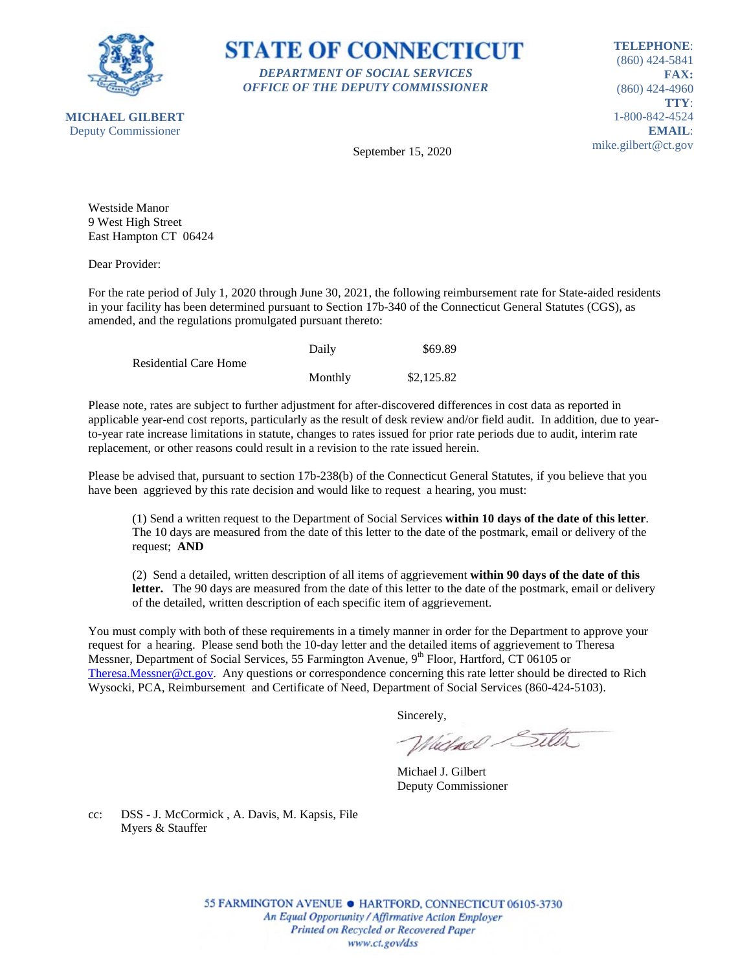

**STATE OF CONNECTICUT** *DEPARTMENT OF SOCIAL SERVICES OFFICE OF THE DEPUTY COMMISSIONER*

**TELEPHONE**: (860) 424-5841 **FAX:** (860) 424-4960 **TTY**: 1-800-842-4524 **EMAIL**: mike.gilbert@ct.gov

**MICHAEL GILBERT** Deputy Commissioner

September 15, 2020

Westside Manor 9 West High Street East Hampton CT 06424

Dear Provider:

For the rate period of July 1, 2020 through June 30, 2021, the following reimbursement rate for State-aided residents in your facility has been determined pursuant to Section 17b-340 of the Connecticut General Statutes (CGS), as amended, and the regulations promulgated pursuant thereto:

|                              | Daily   | \$69.89    |
|------------------------------|---------|------------|
| <b>Residential Care Home</b> |         |            |
|                              | Monthly | \$2,125.82 |

Please note, rates are subject to further adjustment for after-discovered differences in cost data as reported in applicable year-end cost reports, particularly as the result of desk review and/or field audit. In addition, due to yearto-year rate increase limitations in statute, changes to rates issued for prior rate periods due to audit, interim rate replacement, or other reasons could result in a revision to the rate issued herein.

Please be advised that, pursuant to section 17b-238(b) of the Connecticut General Statutes, if you believe that you have been aggrieved by this rate decision and would like to request a hearing, you must:

(1) Send a written request to the Department of Social Services **within 10 days of the date of this letter**. The 10 days are measured from the date of this letter to the date of the postmark, email or delivery of the request; **AND**

(2) Send a detailed, written description of all items of aggrievement **within 90 days of the date of this letter.** The 90 days are measured from the date of this letter to the date of the postmark, email or delivery of the detailed, written description of each specific item of aggrievement.

You must comply with both of these requirements in a timely manner in order for the Department to approve your request for a hearing. Please send both the 10-day letter and the detailed items of aggrievement to Theresa Messner, Department of Social Services, 55 Farmington Avenue, 9<sup>th</sup> Floor, Hartford, CT 06105 or [Theresa.Messner@ct.gov.](mailto:Theresa.Messner@ct.gov) Any questions or correspondence concerning this rate letter should be directed to Rich Wysocki, PCA, Reimbursement and Certificate of Need, Department of Social Services (860-424-5103).

Sincerely,

Wielnel Silta

Michael J. Gilbert Deputy Commissioner

cc: DSS - J. McCormick , A. Davis, M. Kapsis, File Myers & Stauffer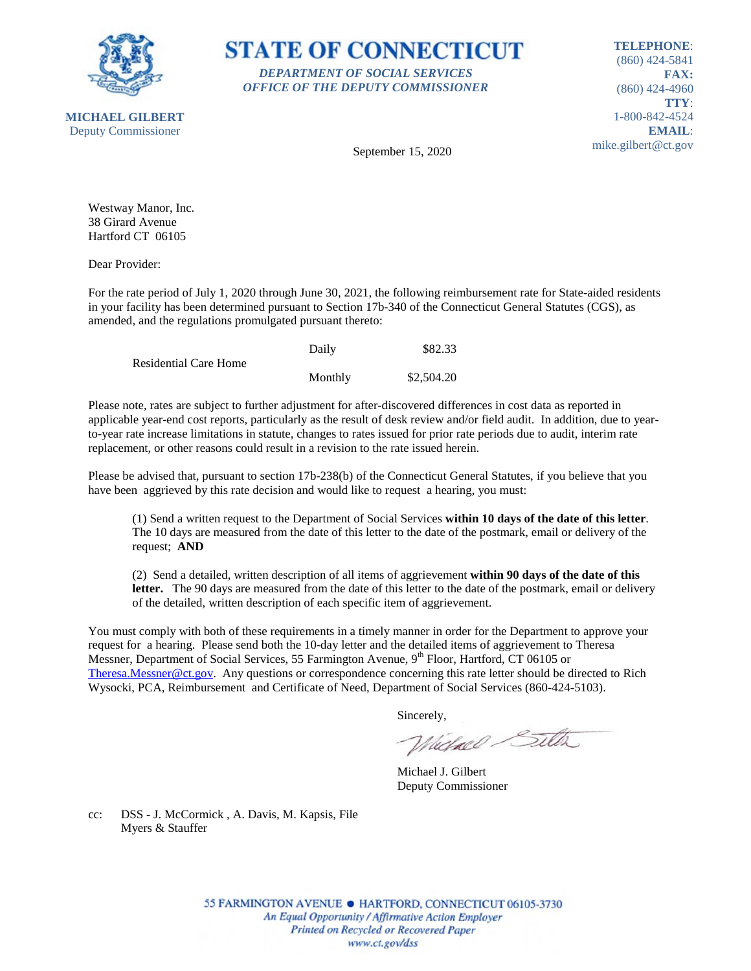



**TELEPHONE**: (860) 424-5841 **FAX:** (860) 424-4960 **TTY**: 1-800-842-4524 **EMAIL**: mike.gilbert@ct.gov

September 15, 2020

Westway Manor, Inc. 38 Girard Avenue Hartford CT 06105

Dear Provider:

For the rate period of July 1, 2020 through June 30, 2021, the following reimbursement rate for State-aided residents in your facility has been determined pursuant to Section 17b-340 of the Connecticut General Statutes (CGS), as amended, and the regulations promulgated pursuant thereto:

|                              | Daily   | \$82.33    |
|------------------------------|---------|------------|
| <b>Residential Care Home</b> |         |            |
|                              | Monthly | \$2,504.20 |

Please note, rates are subject to further adjustment for after-discovered differences in cost data as reported in applicable year-end cost reports, particularly as the result of desk review and/or field audit. In addition, due to yearto-year rate increase limitations in statute, changes to rates issued for prior rate periods due to audit, interim rate replacement, or other reasons could result in a revision to the rate issued herein.

Please be advised that, pursuant to section 17b-238(b) of the Connecticut General Statutes, if you believe that you have been aggrieved by this rate decision and would like to request a hearing, you must:

(1) Send a written request to the Department of Social Services **within 10 days of the date of this letter**. The 10 days are measured from the date of this letter to the date of the postmark, email or delivery of the request; **AND**

(2) Send a detailed, written description of all items of aggrievement **within 90 days of the date of this letter.** The 90 days are measured from the date of this letter to the date of the postmark, email or delivery of the detailed, written description of each specific item of aggrievement.

You must comply with both of these requirements in a timely manner in order for the Department to approve your request for a hearing. Please send both the 10-day letter and the detailed items of aggrievement to Theresa Messner, Department of Social Services, 55 Farmington Avenue, 9<sup>th</sup> Floor, Hartford, CT 06105 or [Theresa.Messner@ct.gov.](mailto:Theresa.Messner@ct.gov) Any questions or correspondence concerning this rate letter should be directed to Rich Wysocki, PCA, Reimbursement and Certificate of Need, Department of Social Services (860-424-5103).

Sincerely,

Wielnel Silta

Michael J. Gilbert Deputy Commissioner

cc: DSS - J. McCormick , A. Davis, M. Kapsis, File Myers & Stauffer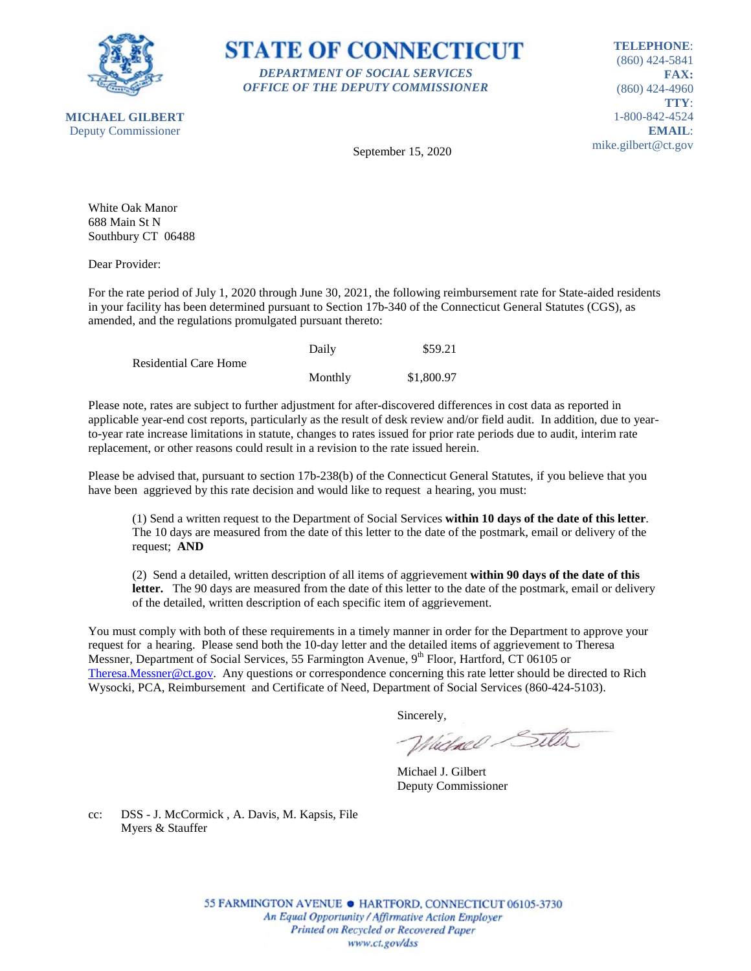



**TELEPHONE**: (860) 424-5841 **FAX:** (860) 424-4960 **TTY**: 1-800-842-4524 **EMAIL**: mike.gilbert@ct.gov

September 15, 2020

White Oak Manor 688 Main St N Southbury CT 06488

Dear Provider:

For the rate period of July 1, 2020 through June 30, 2021, the following reimbursement rate for State-aided residents in your facility has been determined pursuant to Section 17b-340 of the Connecticut General Statutes (CGS), as amended, and the regulations promulgated pursuant thereto:

|                              | Daily   | \$59.21    |
|------------------------------|---------|------------|
| <b>Residential Care Home</b> |         |            |
|                              | Monthly | \$1,800.97 |

Please note, rates are subject to further adjustment for after-discovered differences in cost data as reported in applicable year-end cost reports, particularly as the result of desk review and/or field audit. In addition, due to yearto-year rate increase limitations in statute, changes to rates issued for prior rate periods due to audit, interim rate replacement, or other reasons could result in a revision to the rate issued herein.

Please be advised that, pursuant to section 17b-238(b) of the Connecticut General Statutes, if you believe that you have been aggrieved by this rate decision and would like to request a hearing, you must:

(1) Send a written request to the Department of Social Services **within 10 days of the date of this letter**. The 10 days are measured from the date of this letter to the date of the postmark, email or delivery of the request; **AND**

(2) Send a detailed, written description of all items of aggrievement **within 90 days of the date of this letter.** The 90 days are measured from the date of this letter to the date of the postmark, email or delivery of the detailed, written description of each specific item of aggrievement.

You must comply with both of these requirements in a timely manner in order for the Department to approve your request for a hearing. Please send both the 10-day letter and the detailed items of aggrievement to Theresa Messner, Department of Social Services, 55 Farmington Avenue, 9<sup>th</sup> Floor, Hartford, CT 06105 or [Theresa.Messner@ct.gov.](mailto:Theresa.Messner@ct.gov) Any questions or correspondence concerning this rate letter should be directed to Rich Wysocki, PCA, Reimbursement and Certificate of Need, Department of Social Services (860-424-5103).

Sincerely,

Wielnel Silta

Michael J. Gilbert Deputy Commissioner

cc: DSS - J. McCormick , A. Davis, M. Kapsis, File Myers & Stauffer